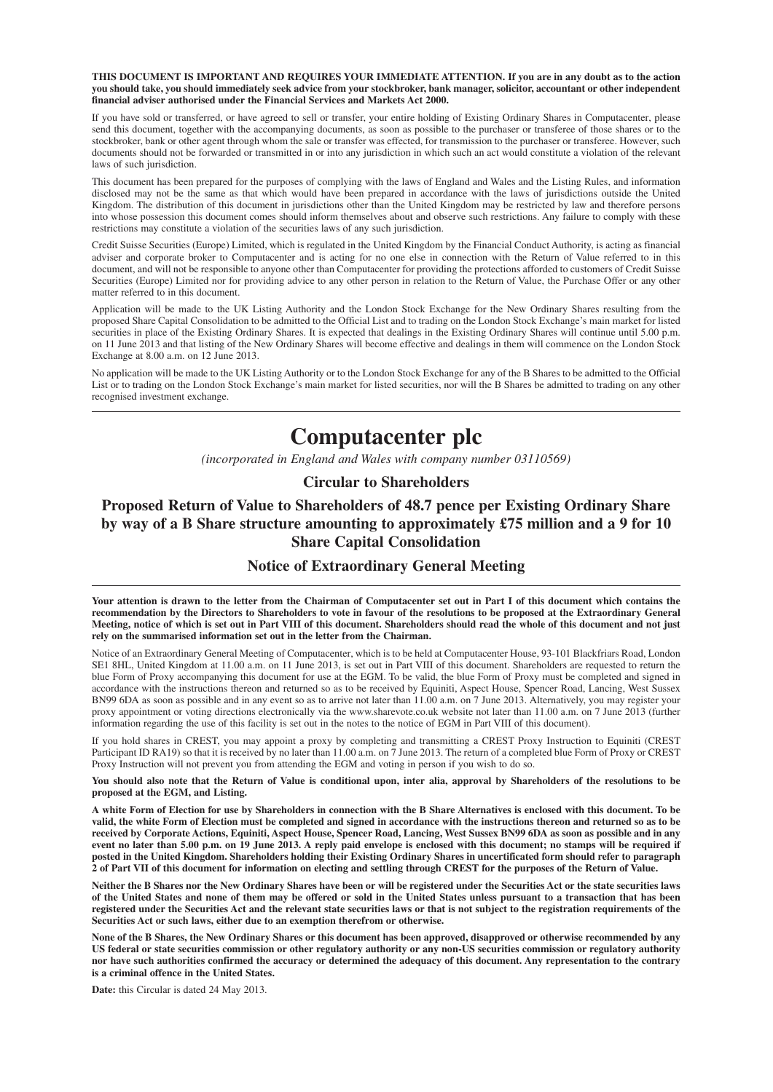**THIS DOCUMENT IS IMPORTANT AND REQUIRES YOUR IMMEDIATE ATTENTION. If you are in any doubt as to the action you should take, you should immediately seek advice from your stockbroker, bank manager, solicitor, accountant or other independent financial adviser authorised under the Financial Services and Markets Act 2000.**

If you have sold or transferred, or have agreed to sell or transfer, your entire holding of Existing Ordinary Shares in Computacenter, please send this document, together with the accompanying documents, as soon as possible to the purchaser or transferee of those shares or to the stockbroker, bank or other agent through whom the sale or transfer was effected, for transmission to the purchaser or transferee. However, such documents should not be forwarded or transmitted in or into any jurisdiction in which such an act would constitute a violation of the relevant laws of such jurisdiction.

This document has been prepared for the purposes of complying with the laws of England and Wales and the Listing Rules, and information disclosed may not be the same as that which would have been prepared in accordance with the laws of jurisdictions outside the United Kingdom. The distribution of this document in jurisdictions other than the United Kingdom may be restricted by law and therefore persons into whose possession this document comes should inform themselves about and observe such restrictions. Any failure to comply with these restrictions may constitute a violation of the securities laws of any such jurisdiction.

Credit Suisse Securities (Europe) Limited, which is regulated in the United Kingdom by the Financial Conduct Authority, is acting as financial adviser and corporate broker to Computacenter and is acting for no one else in connection with the Return of Value referred to in this document, and will not be responsible to anyone other than Computacenter for providing the protections afforded to customers of Credit Suisse Securities (Europe) Limited nor for providing advice to any other person in relation to the Return of Value, the Purchase Offer or any other matter referred to in this document.

Application will be made to the UK Listing Authority and the London Stock Exchange for the New Ordinary Shares resulting from the proposed Share Capital Consolidation to be admitted to the Official List and to trading on the London Stock Exchange's main market for listed securities in place of the Existing Ordinary Shares. It is expected that dealings in the Existing Ordinary Shares will continue until 5.00 p.m. on 11 June 2013 and that listing of the New Ordinary Shares will become effective and dealings in them will commence on the London Stock Exchange at 8.00 a.m. on 12 June 2013.

No application will be made to the UK Listing Authority or to the London Stock Exchange for any of the B Shares to be admitted to the Official List or to trading on the London Stock Exchange's main market for listed securities, nor will the B Shares be admitted to trading on any other recognised investment exchange.

# **Computacenter plc**

*(incorporated in England and Wales with company number 03110569)*

#### **Circular to Shareholders**

**Proposed Return of Value to Shareholders of 48.7 pence per Existing Ordinary Share by way of a B Share structure amounting to approximately £75 million and a 9 for 10 Share Capital Consolidation**

## **Notice of Extraordinary General Meeting**

**Your attention is drawn to the letter from the Chairman of Computacenter set out in Part I of this document which contains the recommendation by the Directors to Shareholders to vote in favour of the resolutions to be proposed at the Extraordinary General Meeting, notice of which is set out in Part VIII of this document. Shareholders should read the whole of this document and not just rely on the summarised information set out in the letter from the Chairman.**

Notice of an Extraordinary General Meeting of Computacenter, which is to be held at Computacenter House, 93-101 Blackfriars Road, London SE1 8HL, United Kingdom at 11.00 a.m. on 11 June 2013, is set out in Part VIII of this document. Shareholders are requested to return the blue Form of Proxy accompanying this document for use at the EGM. To be valid, the blue Form of Proxy must be completed and signed in accordance with the instructions thereon and returned so as to be received by Equiniti, Aspect House, Spencer Road, Lancing, West Sussex BN99 6DA as soon as possible and in any event so as to arrive not later than 11.00 a.m. on 7 June 2013. Alternatively, you may register your proxy appointment or voting directions electronically via the www.sharevote.co.uk website not later than 11.00 a.m. on 7 June 2013 (further information regarding the use of this facility is set out in the notes to the notice of EGM in Part VIII of this document).

If you hold shares in CREST, you may appoint a proxy by completing and transmitting a CREST Proxy Instruction to Equiniti (CREST Participant ID RA19) so that it is received by no later than 11.00 a.m. on 7 June 2013. The return of a completed blue Form of Proxy or CREST Proxy Instruction will not prevent you from attending the EGM and voting in person if you wish to do so.

**You should also note that the Return of Value is conditional upon, inter alia, approval by Shareholders of the resolutions to be proposed at the EGM, and Listing.**

**A white Form of Election for use by Shareholders in connection with the B Share Alternatives is enclosed with this document. To be valid, the white Form of Election must be completed and signed in accordance with the instructions thereon and returned so as to be received by Corporate Actions, Equiniti, Aspect House, Spencer Road, Lancing, West Sussex BN99 6DA as soon as possible and in any event no later than 5.00 p.m. on 19 June 2013. A reply paid envelope is enclosed with this document; no stamps will be required if posted in the United Kingdom. Shareholders holding their Existing Ordinary Shares in uncertificated form should refer to paragraph 2 of Part VII of this document for information on electing and settling through CREST for the purposes of the Return of Value.**

**Neither the B Shares nor the New Ordinary Shares have been or will be registered under the Securities Act or the state securities laws of the United States and none of them may be offered or sold in the United States unless pursuant to a transaction that has been registered under the Securities Act and the relevant state securities laws or that is not subject to the registration requirements of the Securities Act or such laws, either due to an exemption therefrom or otherwise.**

**None of the B Shares, the New Ordinary Shares or this document has been approved, disapproved or otherwise recommended by any US federal or state securities commission or other regulatory authority or any non-US securities commission or regulatory authority nor have such authorities confirmed the accuracy or determined the adequacy of this document. Any representation to the contrary is a criminal offence in the United States.**

**Date:** this Circular is dated 24 May 2013.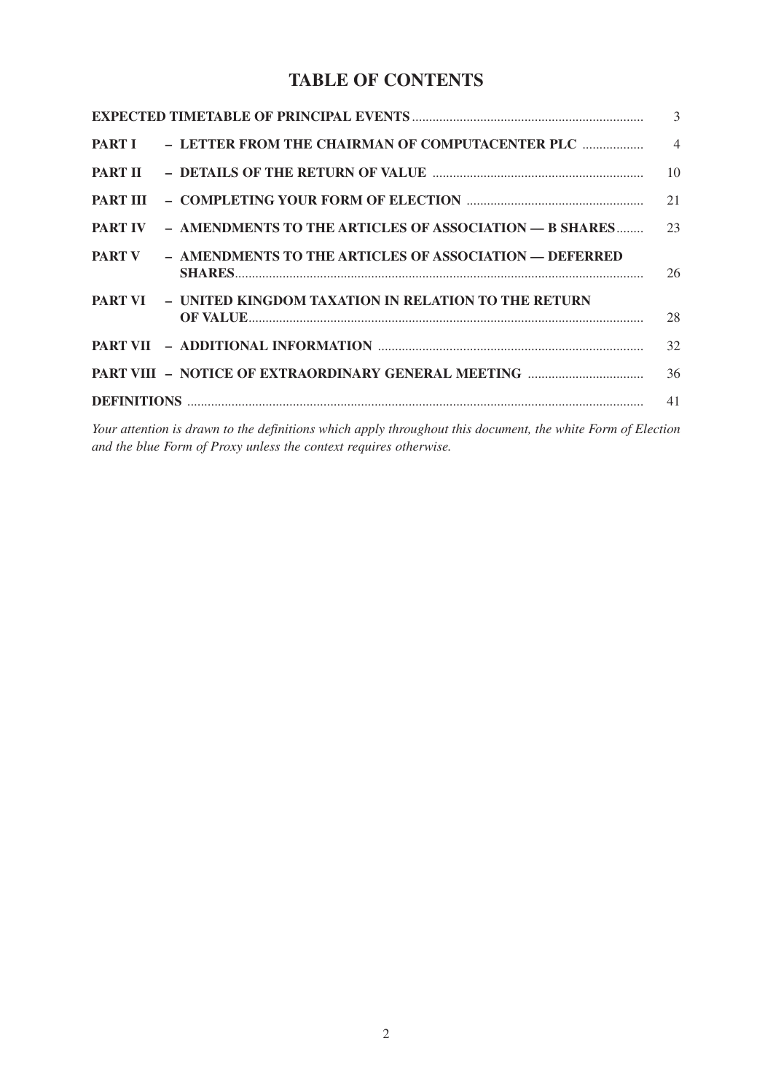## **TABLE OF CONTENTS**

|                |                                                                       | 3              |
|----------------|-----------------------------------------------------------------------|----------------|
|                | PART I - LETTER FROM THE CHAIRMAN OF COMPUTACENTER PLC                | $\overline{4}$ |
| <b>PART II</b> |                                                                       | 10             |
|                |                                                                       | 21             |
|                | <b>PART IV - AMENDMENTS TO THE ARTICLES OF ASSOCIATION - B SHARES</b> | 23             |
| <b>PART V</b>  | - AMENDMENTS TO THE ARTICLES OF ASSOCIATION - DEFERRED                | 26             |
|                | <b>PART VI – UNITED KINGDOM TAXATION IN RELATION TO THE RETURN</b>    | 28             |
|                |                                                                       | 32             |
|                |                                                                       | 36             |
|                |                                                                       | 41             |

*Your attention is drawn to the definitions which apply throughout this document, the white Form of Election and the blue Form of Proxy unless the context requires otherwise.*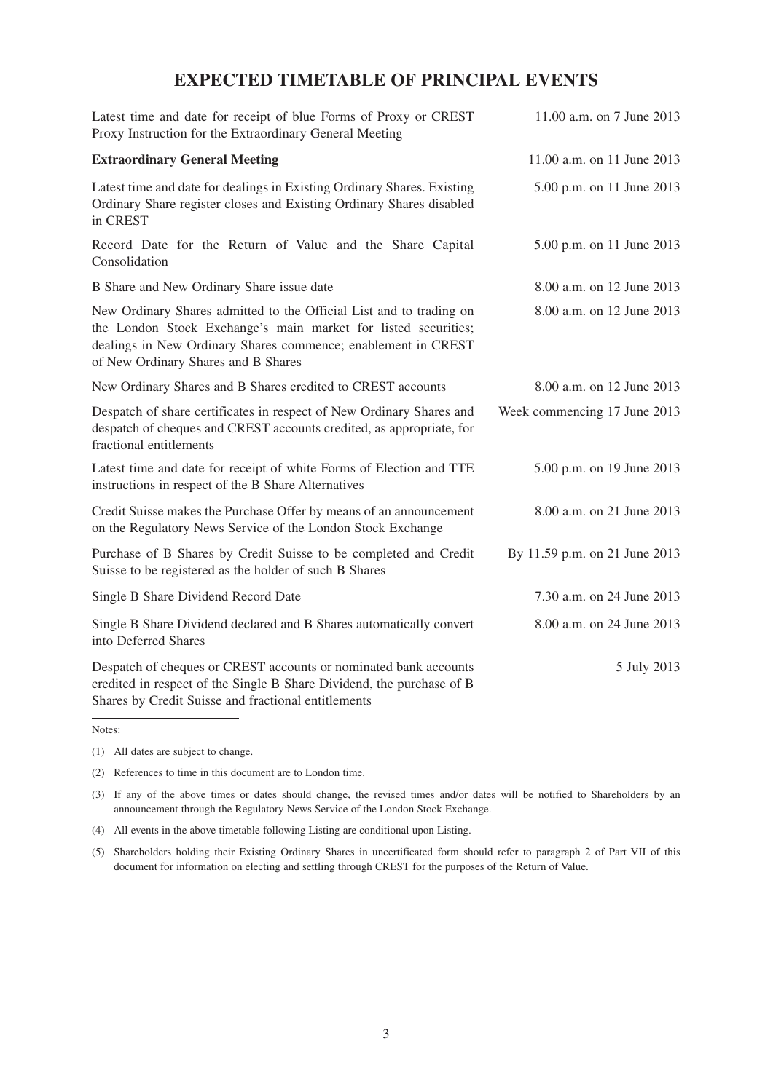## **EXPECTED TIMETABLE OF PRINCIPAL EVENTS**

| Latest time and date for receipt of blue Forms of Proxy or CREST<br>Proxy Instruction for the Extraordinary General Meeting                                                                                                                   | 11.00 a.m. on 7 June 2013     |
|-----------------------------------------------------------------------------------------------------------------------------------------------------------------------------------------------------------------------------------------------|-------------------------------|
| <b>Extraordinary General Meeting</b>                                                                                                                                                                                                          | 11.00 a.m. on 11 June 2013    |
| Latest time and date for dealings in Existing Ordinary Shares. Existing<br>Ordinary Share register closes and Existing Ordinary Shares disabled<br>in CREST                                                                                   | 5.00 p.m. on 11 June 2013     |
| Record Date for the Return of Value and the Share Capital<br>Consolidation                                                                                                                                                                    | 5.00 p.m. on 11 June 2013     |
| B Share and New Ordinary Share issue date                                                                                                                                                                                                     | 8.00 a.m. on 12 June 2013     |
| New Ordinary Shares admitted to the Official List and to trading on<br>the London Stock Exchange's main market for listed securities;<br>dealings in New Ordinary Shares commence; enablement in CREST<br>of New Ordinary Shares and B Shares | 8.00 a.m. on 12 June 2013     |
| New Ordinary Shares and B Shares credited to CREST accounts                                                                                                                                                                                   | 8.00 a.m. on 12 June 2013     |
| Despatch of share certificates in respect of New Ordinary Shares and<br>despatch of cheques and CREST accounts credited, as appropriate, for<br>fractional entitlements                                                                       | Week commencing 17 June 2013  |
| Latest time and date for receipt of white Forms of Election and TTE<br>instructions in respect of the B Share Alternatives                                                                                                                    | 5.00 p.m. on 19 June 2013     |
| Credit Suisse makes the Purchase Offer by means of an announcement<br>on the Regulatory News Service of the London Stock Exchange                                                                                                             | 8.00 a.m. on 21 June 2013     |
| Purchase of B Shares by Credit Suisse to be completed and Credit<br>Suisse to be registered as the holder of such B Shares                                                                                                                    | By 11.59 p.m. on 21 June 2013 |
| Single B Share Dividend Record Date                                                                                                                                                                                                           | 7.30 a.m. on 24 June 2013     |
| Single B Share Dividend declared and B Shares automatically convert<br>into Deferred Shares                                                                                                                                                   | 8.00 a.m. on 24 June 2013     |
| Despatch of cheques or CREST accounts or nominated bank accounts<br>credited in respect of the Single B Share Dividend, the purchase of B<br>Shares by Credit Suisse and fractional entitlements                                              | 5 July 2013                   |

Notes:

- (2) References to time in this document are to London time.
- (3) If any of the above times or dates should change, the revised times and/or dates will be notified to Shareholders by an announcement through the Regulatory News Service of the London Stock Exchange.
- (4) All events in the above timetable following Listing are conditional upon Listing.
- (5) Shareholders holding their Existing Ordinary Shares in uncertificated form should refer to paragraph 2 of Part VII of this document for information on electing and settling through CREST for the purposes of the Return of Value.

<sup>(1)</sup> All dates are subject to change.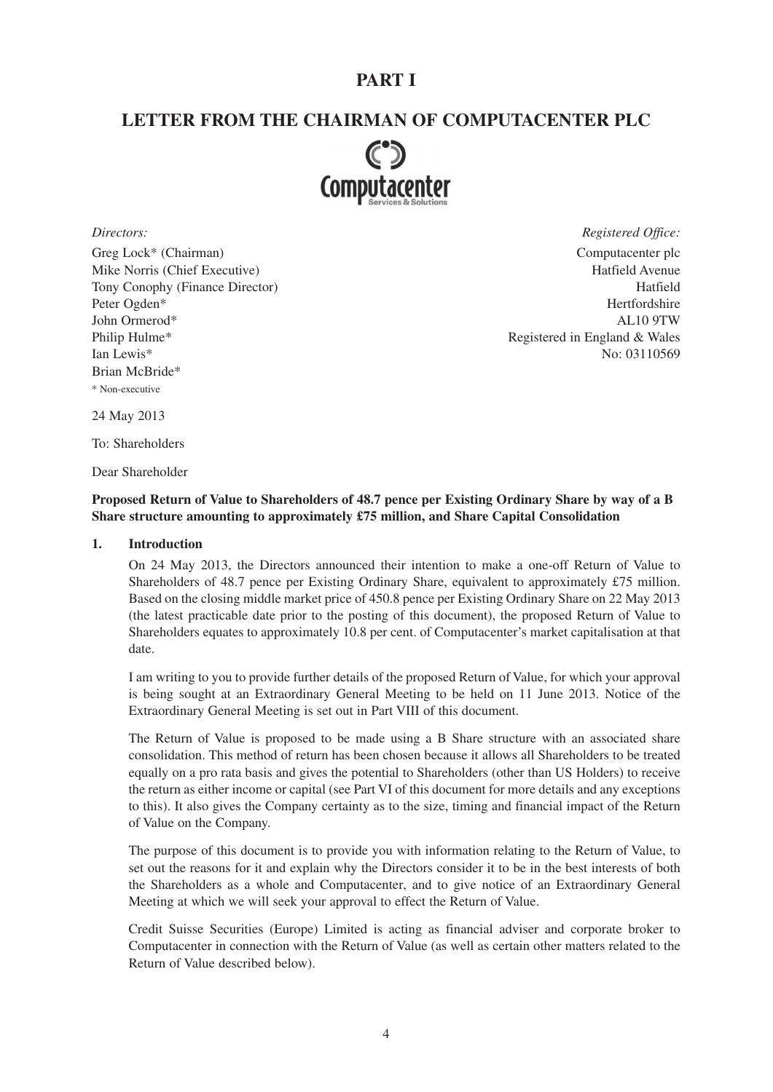## **PART I**

## **LETTER FROM THE CHAIRMAN OF COMPUTACENTER PLC**



Greg Lock\* (Chairman) Computacenter plc Mike Norris (Chief Executive) and the settlement of the Hatfield Avenue Hatfield Avenue Tony Conophy (Finance Director) Hatfield Peter Ogden\* Hertfordshire John Ormerod\* AL10 9TW Philip Hulme\* Registered in England & Wales Ian Lewis<sup>\*</sup> No: 03110569 Brian McBride\* \* Non-executive

*Directors: Registered Office:*

24 May 2013

To: Shareholders

Dear Shareholder

## **Proposed Return of Value to Shareholders of 48.7 pence per Existing Ordinary Share by way of a B Share structure amounting to approximately £75 million, and Share Capital Consolidation**

#### **1. Introduction**

On 24 May 2013, the Directors announced their intention to make a one-off Return of Value to Shareholders of 48.7 pence per Existing Ordinary Share, equivalent to approximately £75 million. Based on the closing middle market price of 450.8 pence per Existing Ordinary Share on 22 May 2013 (the latest practicable date prior to the posting of this document), the proposed Return of Value to Shareholders equates to approximately 10.8 per cent. of Computacenter's market capitalisation at that date.

I am writing to you to provide further details of the proposed Return of Value, for which your approval is being sought at an Extraordinary General Meeting to be held on 11 June 2013. Notice of the Extraordinary General Meeting is set out in Part VIII of this document.

The Return of Value is proposed to be made using a B Share structure with an associated share consolidation. This method of return has been chosen because it allows all Shareholders to be treated equally on a pro rata basis and gives the potential to Shareholders (other than US Holders) to receive the return as either income or capital (see Part VI of this document for more details and any exceptions to this). It also gives the Company certainty as to the size, timing and financial impact of the Return of Value on the Company.

The purpose of this document is to provide you with information relating to the Return of Value, to set out the reasons for it and explain why the Directors consider it to be in the best interests of both the Shareholders as a whole and Computacenter, and to give notice of an Extraordinary General Meeting at which we will seek your approval to effect the Return of Value.

Credit Suisse Securities (Europe) Limited is acting as financial adviser and corporate broker to Computacenter in connection with the Return of Value (as well as certain other matters related to the Return of Value described below).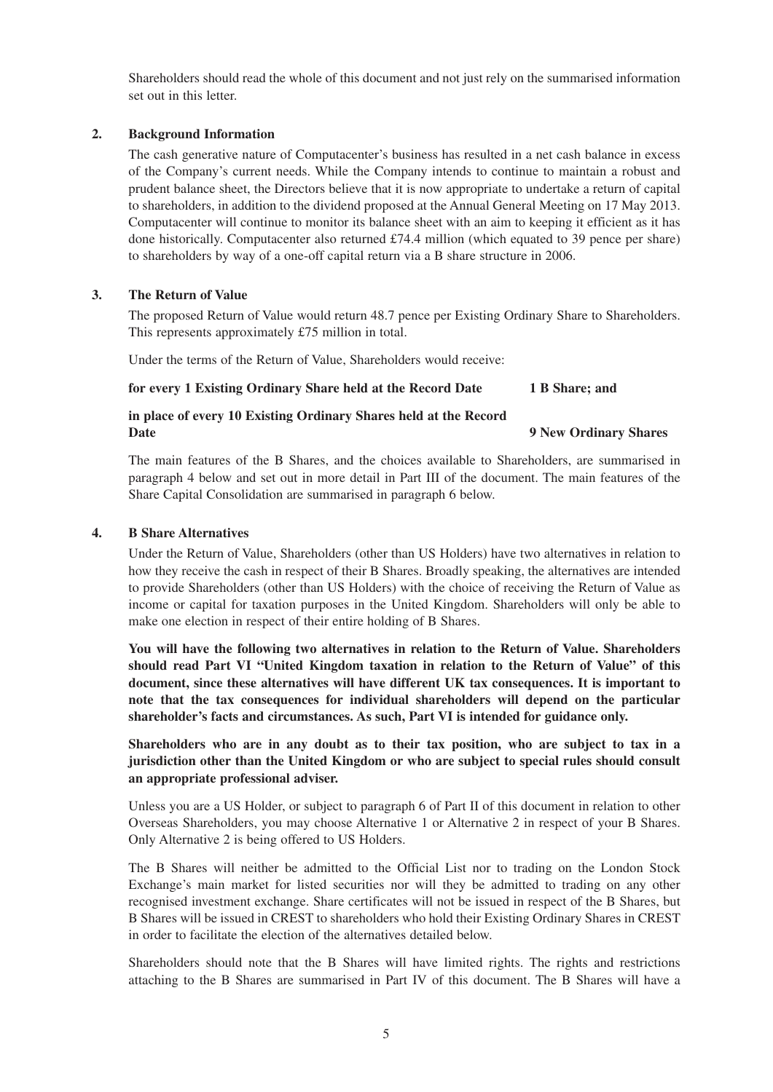Shareholders should read the whole of this document and not just rely on the summarised information set out in this letter.

## **2. Background Information**

The cash generative nature of Computacenter's business has resulted in a net cash balance in excess of the Company's current needs. While the Company intends to continue to maintain a robust and prudent balance sheet, the Directors believe that it is now appropriate to undertake a return of capital to shareholders, in addition to the dividend proposed at the Annual General Meeting on 17 May 2013. Computacenter will continue to monitor its balance sheet with an aim to keeping it efficient as it has done historically. Computacenter also returned  $£74.4$  million (which equated to 39 pence per share) to shareholders by way of a one-off capital return via a B share structure in 2006.

## **3. The Return of Value**

The proposed Return of Value would return 48.7 pence per Existing Ordinary Share to Shareholders. This represents approximately £75 million in total.

Under the terms of the Return of Value, Shareholders would receive:

## **for every 1 Existing Ordinary Share held at the Record Date 1 B Share; and**

### **in place of every 10 Existing Ordinary Shares held at the Record Date** 9 New Ordinary Shares

The main features of the B Shares, and the choices available to Shareholders, are summarised in paragraph 4 below and set out in more detail in Part III of the document. The main features of the Share Capital Consolidation are summarised in paragraph 6 below.

## **4. B Share Alternatives**

Under the Return of Value, Shareholders (other than US Holders) have two alternatives in relation to how they receive the cash in respect of their B Shares. Broadly speaking, the alternatives are intended to provide Shareholders (other than US Holders) with the choice of receiving the Return of Value as income or capital for taxation purposes in the United Kingdom. Shareholders will only be able to make one election in respect of their entire holding of B Shares.

**You will have the following two alternatives in relation to the Return of Value. Shareholders should read Part VI "United Kingdom taxation in relation to the Return of Value" of this document, since these alternatives will have different UK tax consequences. It is important to note that the tax consequences for individual shareholders will depend on the particular shareholder's facts and circumstances. As such, Part VI is intended for guidance only.**

**Shareholders who are in any doubt as to their tax position, who are subject to tax in a jurisdiction other than the United Kingdom or who are subject to special rules should consult an appropriate professional adviser.**

Unless you are a US Holder, or subject to paragraph 6 of Part II of this document in relation to other Overseas Shareholders, you may choose Alternative 1 or Alternative 2 in respect of your B Shares. Only Alternative 2 is being offered to US Holders.

The B Shares will neither be admitted to the Official List nor to trading on the London Stock Exchange's main market for listed securities nor will they be admitted to trading on any other recognised investment exchange. Share certificates will not be issued in respect of the B Shares, but B Shares will be issued in CREST to shareholders who hold their Existing Ordinary Shares in CREST in order to facilitate the election of the alternatives detailed below.

Shareholders should note that the B Shares will have limited rights. The rights and restrictions attaching to the B Shares are summarised in Part IV of this document. The B Shares will have a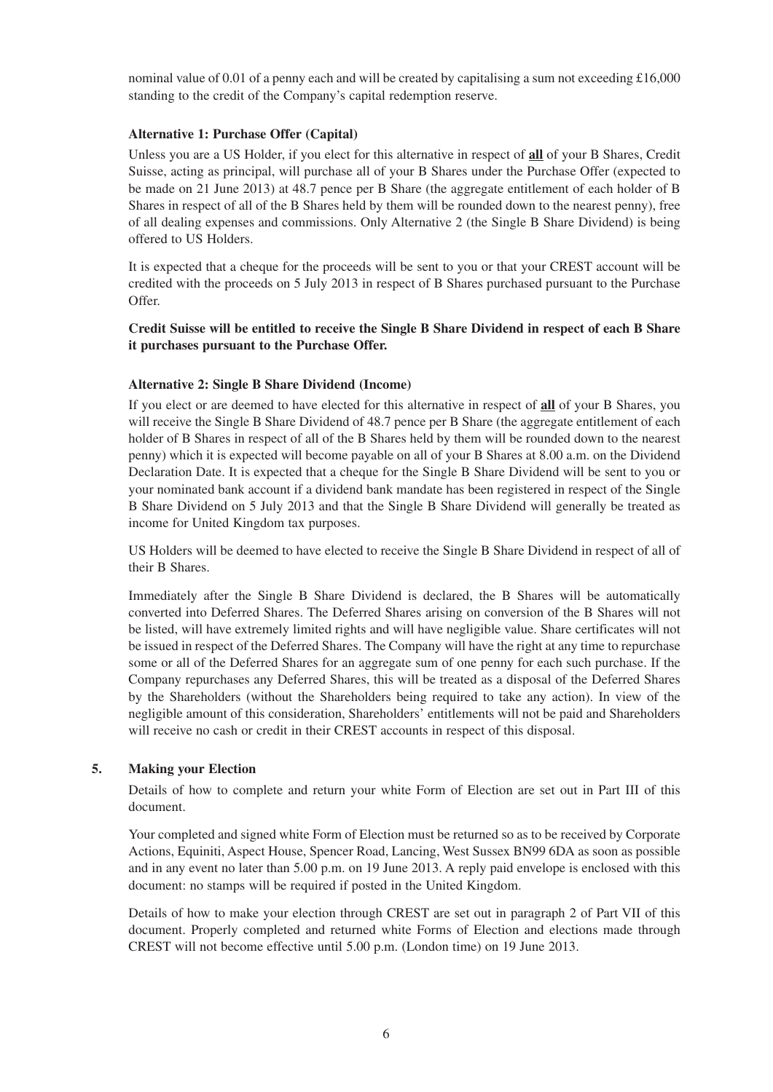nominal value of 0.01 of a penny each and will be created by capitalising a sum not exceeding £16,000 standing to the credit of the Company's capital redemption reserve.

## **Alternative 1: Purchase Offer (Capital)**

Unless you are a US Holder, if you elect for this alternative in respect of **all** of your B Shares, Credit Suisse, acting as principal, will purchase all of your B Shares under the Purchase Offer (expected to be made on 21 June 2013) at 48.7 pence per B Share (the aggregate entitlement of each holder of B Shares in respect of all of the B Shares held by them will be rounded down to the nearest penny), free of all dealing expenses and commissions. Only Alternative 2 (the Single B Share Dividend) is being offered to US Holders.

It is expected that a cheque for the proceeds will be sent to you or that your CREST account will be credited with the proceeds on 5 July 2013 in respect of B Shares purchased pursuant to the Purchase Offer.

## **Credit Suisse will be entitled to receive the Single B Share Dividend in respect of each B Share it purchases pursuant to the Purchase Offer.**

## **Alternative 2: Single B Share Dividend (Income)**

If you elect or are deemed to have elected for this alternative in respect of **all** of your B Shares, you will receive the Single B Share Dividend of 48.7 pence per B Share (the aggregate entitlement of each holder of B Shares in respect of all of the B Shares held by them will be rounded down to the nearest penny) which it is expected will become payable on all of your B Shares at 8.00 a.m. on the Dividend Declaration Date. It is expected that a cheque for the Single B Share Dividend will be sent to you or your nominated bank account if a dividend bank mandate has been registered in respect of the Single B Share Dividend on 5 July 2013 and that the Single B Share Dividend will generally be treated as income for United Kingdom tax purposes.

US Holders will be deemed to have elected to receive the Single B Share Dividend in respect of all of their B Shares.

Immediately after the Single B Share Dividend is declared, the B Shares will be automatically converted into Deferred Shares. The Deferred Shares arising on conversion of the B Shares will not be listed, will have extremely limited rights and will have negligible value. Share certificates will not be issued in respect of the Deferred Shares. The Company will have the right at any time to repurchase some or all of the Deferred Shares for an aggregate sum of one penny for each such purchase. If the Company repurchases any Deferred Shares, this will be treated as a disposal of the Deferred Shares by the Shareholders (without the Shareholders being required to take any action). In view of the negligible amount of this consideration, Shareholders' entitlements will not be paid and Shareholders will receive no cash or credit in their CREST accounts in respect of this disposal.

## **5. Making your Election**

Details of how to complete and return your white Form of Election are set out in Part III of this document.

Your completed and signed white Form of Election must be returned so as to be received by Corporate Actions, Equiniti, Aspect House, Spencer Road, Lancing, West Sussex BN99 6DA as soon as possible and in any event no later than 5.00 p.m. on 19 June 2013. A reply paid envelope is enclosed with this document: no stamps will be required if posted in the United Kingdom.

Details of how to make your election through CREST are set out in paragraph 2 of Part VII of this document. Properly completed and returned white Forms of Election and elections made through CREST will not become effective until 5.00 p.m. (London time) on 19 June 2013.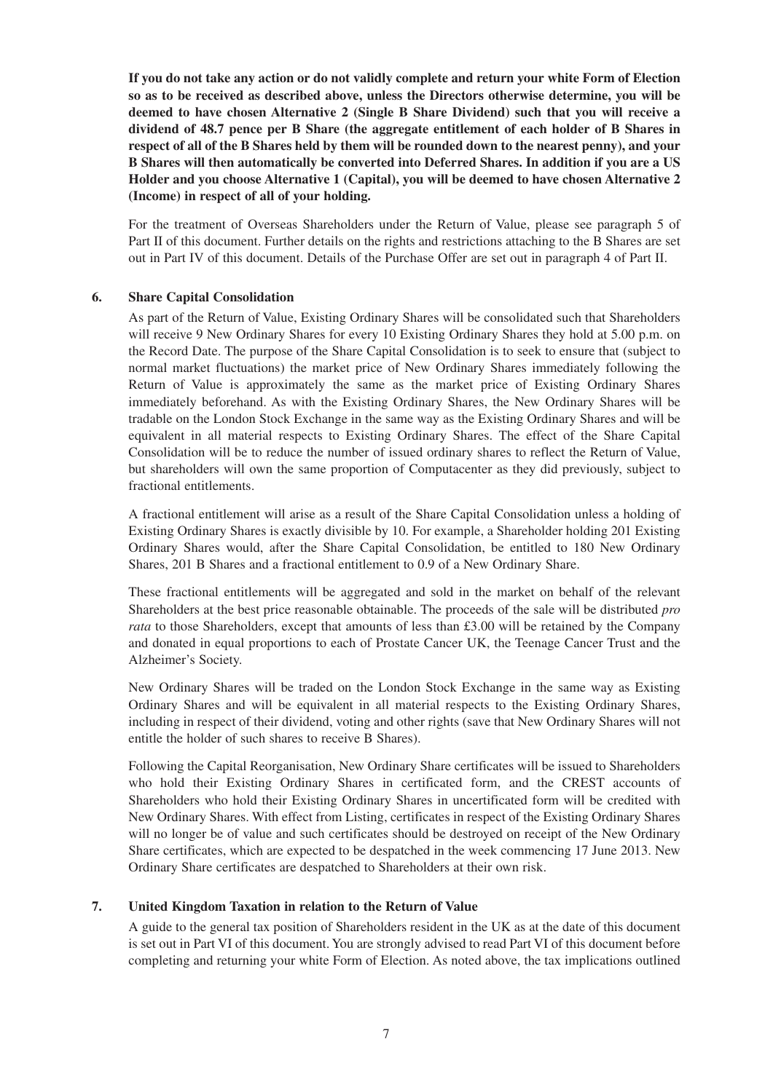**If you do not take any action or do not validly complete and return your white Form of Election so as to be received as described above, unless the Directors otherwise determine, you will be deemed to have chosen Alternative 2 (Single B Share Dividend) such that you will receive a dividend of 48.7 pence per B Share (the aggregate entitlement of each holder of B Shares in respect of all of the B Shares held by them will be rounded down to the nearest penny), and your B Shares will then automatically be converted into Deferred Shares. In addition if you are a US Holder and you choose Alternative 1 (Capital), you will be deemed to have chosen Alternative 2 (Income) in respect of all of your holding.**

For the treatment of Overseas Shareholders under the Return of Value, please see paragraph 5 of Part II of this document. Further details on the rights and restrictions attaching to the B Shares are set out in Part IV of this document. Details of the Purchase Offer are set out in paragraph 4 of Part II.

#### **6. Share Capital Consolidation**

As part of the Return of Value, Existing Ordinary Shares will be consolidated such that Shareholders will receive 9 New Ordinary Shares for every 10 Existing Ordinary Shares they hold at 5.00 p.m. on the Record Date. The purpose of the Share Capital Consolidation is to seek to ensure that (subject to normal market fluctuations) the market price of New Ordinary Shares immediately following the Return of Value is approximately the same as the market price of Existing Ordinary Shares immediately beforehand. As with the Existing Ordinary Shares, the New Ordinary Shares will be tradable on the London Stock Exchange in the same way as the Existing Ordinary Shares and will be equivalent in all material respects to Existing Ordinary Shares. The effect of the Share Capital Consolidation will be to reduce the number of issued ordinary shares to reflect the Return of Value, but shareholders will own the same proportion of Computacenter as they did previously, subject to fractional entitlements.

A fractional entitlement will arise as a result of the Share Capital Consolidation unless a holding of Existing Ordinary Shares is exactly divisible by 10. For example, a Shareholder holding 201 Existing Ordinary Shares would, after the Share Capital Consolidation, be entitled to 180 New Ordinary Shares, 201 B Shares and a fractional entitlement to 0.9 of a New Ordinary Share.

These fractional entitlements will be aggregated and sold in the market on behalf of the relevant Shareholders at the best price reasonable obtainable. The proceeds of the sale will be distributed *pro rata* to those Shareholders, except that amounts of less than £3.00 will be retained by the Company and donated in equal proportions to each of Prostate Cancer UK, the Teenage Cancer Trust and the Alzheimer's Society.

New Ordinary Shares will be traded on the London Stock Exchange in the same way as Existing Ordinary Shares and will be equivalent in all material respects to the Existing Ordinary Shares, including in respect of their dividend, voting and other rights (save that New Ordinary Shares will not entitle the holder of such shares to receive B Shares).

Following the Capital Reorganisation, New Ordinary Share certificates will be issued to Shareholders who hold their Existing Ordinary Shares in certificated form, and the CREST accounts of Shareholders who hold their Existing Ordinary Shares in uncertificated form will be credited with New Ordinary Shares. With effect from Listing, certificates in respect of the Existing Ordinary Shares will no longer be of value and such certificates should be destroyed on receipt of the New Ordinary Share certificates, which are expected to be despatched in the week commencing 17 June 2013. New Ordinary Share certificates are despatched to Shareholders at their own risk.

## **7. United Kingdom Taxation in relation to the Return of Value**

A guide to the general tax position of Shareholders resident in the UK as at the date of this document is set out in Part VI of this document. You are strongly advised to read Part VI of this document before completing and returning your white Form of Election. As noted above, the tax implications outlined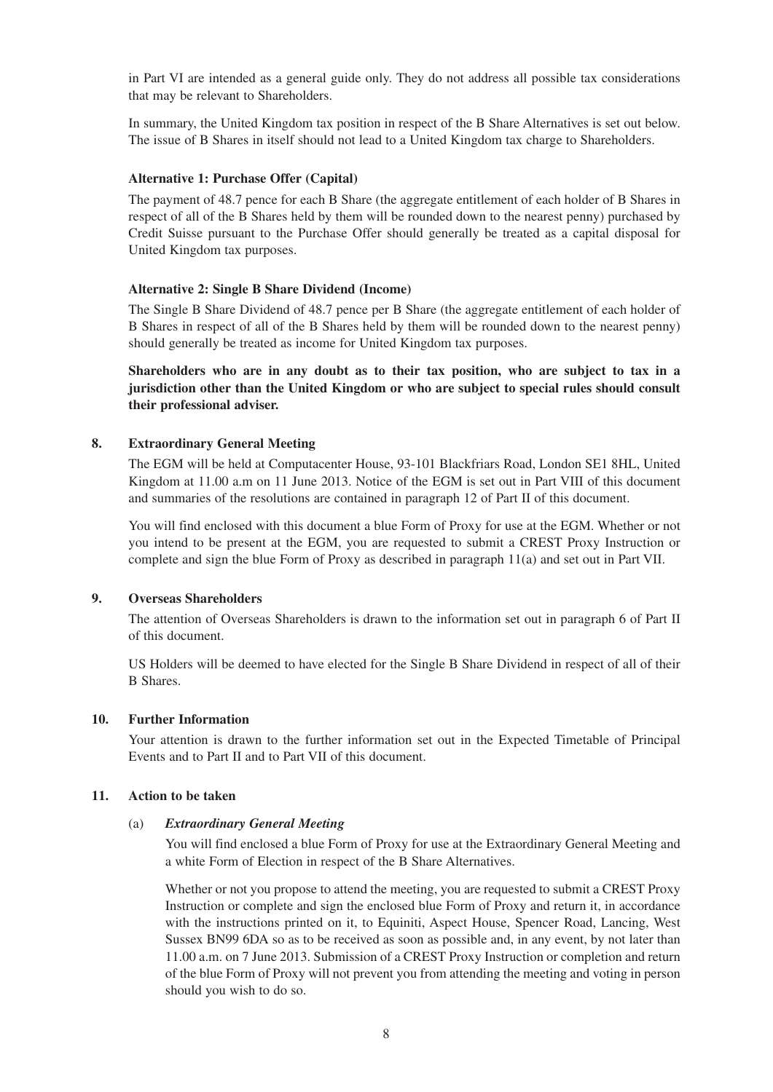in Part VI are intended as a general guide only. They do not address all possible tax considerations that may be relevant to Shareholders.

In summary, the United Kingdom tax position in respect of the B Share Alternatives is set out below. The issue of B Shares in itself should not lead to a United Kingdom tax charge to Shareholders.

## **Alternative 1: Purchase Offer (Capital)**

The payment of 48.7 pence for each B Share (the aggregate entitlement of each holder of B Shares in respect of all of the B Shares held by them will be rounded down to the nearest penny) purchased by Credit Suisse pursuant to the Purchase Offer should generally be treated as a capital disposal for United Kingdom tax purposes.

#### **Alternative 2: Single B Share Dividend (Income)**

The Single B Share Dividend of 48.7 pence per B Share (the aggregate entitlement of each holder of B Shares in respect of all of the B Shares held by them will be rounded down to the nearest penny) should generally be treated as income for United Kingdom tax purposes.

**Shareholders who are in any doubt as to their tax position, who are subject to tax in a jurisdiction other than the United Kingdom or who are subject to special rules should consult their professional adviser.**

#### **8. Extraordinary General Meeting**

The EGM will be held at Computacenter House, 93-101 Blackfriars Road, London SE1 8HL, United Kingdom at 11.00 a.m on 11 June 2013. Notice of the EGM is set out in Part VIII of this document and summaries of the resolutions are contained in paragraph 12 of Part II of this document.

You will find enclosed with this document a blue Form of Proxy for use at the EGM. Whether or not you intend to be present at the EGM, you are requested to submit a CREST Proxy Instruction or complete and sign the blue Form of Proxy as described in paragraph 11(a) and set out in Part VII.

#### **9. Overseas Shareholders**

The attention of Overseas Shareholders is drawn to the information set out in paragraph 6 of Part II of this document.

US Holders will be deemed to have elected for the Single B Share Dividend in respect of all of their B Shares.

#### **10. Further Information**

Your attention is drawn to the further information set out in the Expected Timetable of Principal Events and to Part II and to Part VII of this document.

#### **11. Action to be taken**

#### (a) *Extraordinary General Meeting*

You will find enclosed a blue Form of Proxy for use at the Extraordinary General Meeting and a white Form of Election in respect of the B Share Alternatives.

Whether or not you propose to attend the meeting, you are requested to submit a CREST Proxy Instruction or complete and sign the enclosed blue Form of Proxy and return it, in accordance with the instructions printed on it, to Equiniti, Aspect House, Spencer Road, Lancing, West Sussex BN99 6DA so as to be received as soon as possible and, in any event, by not later than 11.00 a.m. on 7 June 2013. Submission of a CREST Proxy Instruction or completion and return of the blue Form of Proxy will not prevent you from attending the meeting and voting in person should you wish to do so.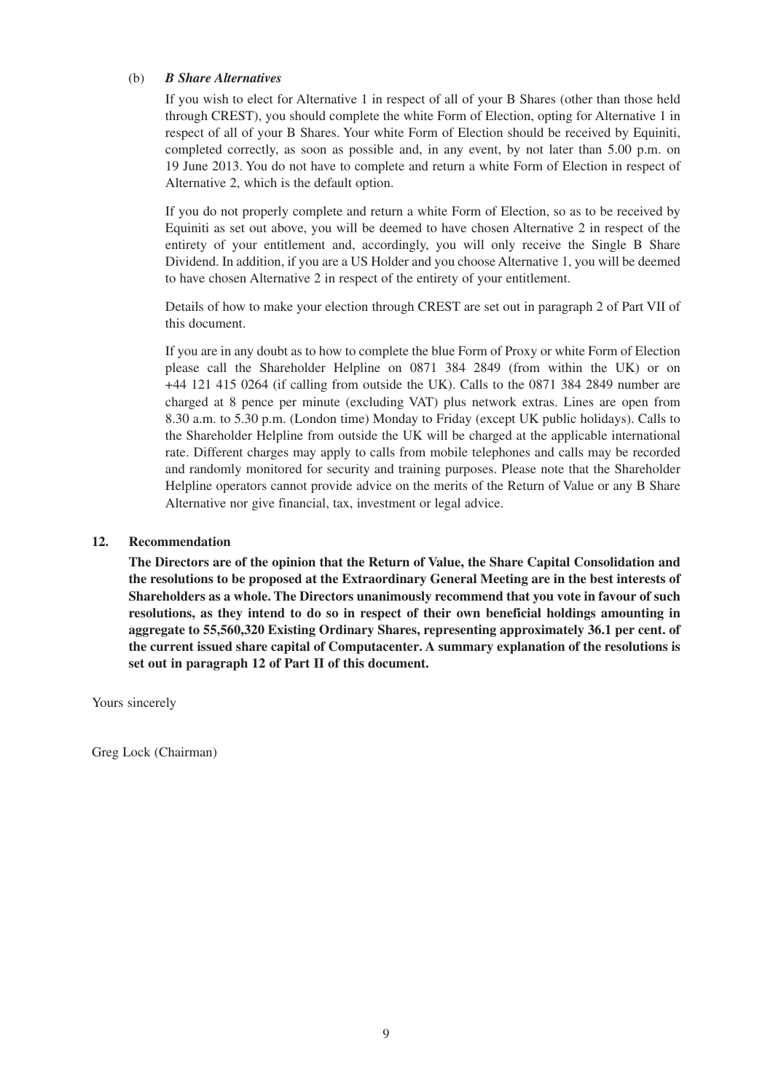### (b) *B Share Alternatives*

If you wish to elect for Alternative 1 in respect of all of your B Shares (other than those held through CREST), you should complete the white Form of Election, opting for Alternative 1 in respect of all of your B Shares. Your white Form of Election should be received by Equiniti, completed correctly, as soon as possible and, in any event, by not later than 5.00 p.m. on 19 June 2013. You do not have to complete and return a white Form of Election in respect of Alternative 2, which is the default option.

If you do not properly complete and return a white Form of Election, so as to be received by Equiniti as set out above, you will be deemed to have chosen Alternative 2 in respect of the entirety of your entitlement and, accordingly, you will only receive the Single B Share Dividend. In addition, if you are a US Holder and you choose Alternative 1, you will be deemed to have chosen Alternative 2 in respect of the entirety of your entitlement.

Details of how to make your election through CREST are set out in paragraph 2 of Part VII of this document.

If you are in any doubt as to how to complete the blue Form of Proxy or white Form of Election please call the Shareholder Helpline on 0871 384 2849 (from within the UK) or on +44 121 415 0264 (if calling from outside the UK). Calls to the 0871 384 2849 number are charged at 8 pence per minute (excluding VAT) plus network extras. Lines are open from 8.30 a.m. to 5.30 p.m. (London time) Monday to Friday (except UK public holidays). Calls to the Shareholder Helpline from outside the UK will be charged at the applicable international rate. Different charges may apply to calls from mobile telephones and calls may be recorded and randomly monitored for security and training purposes. Please note that the Shareholder Helpline operators cannot provide advice on the merits of the Return of Value or any B Share Alternative nor give financial, tax, investment or legal advice.

#### **12. Recommendation**

**The Directors are of the opinion that the Return of Value, the Share Capital Consolidation and the resolutions to be proposed at the Extraordinary General Meeting are in the best interests of Shareholders as a whole. The Directors unanimously recommend that you vote in favour of such resolutions, as they intend to do so in respect of their own beneficial holdings amounting in aggregate to 55,560,320 Existing Ordinary Shares, representing approximately 36.1 per cent. of the current issued share capital of Computacenter. A summary explanation of the resolutions is set out in paragraph 12 of Part II of this document.**

Yours sincerely

Greg Lock (Chairman)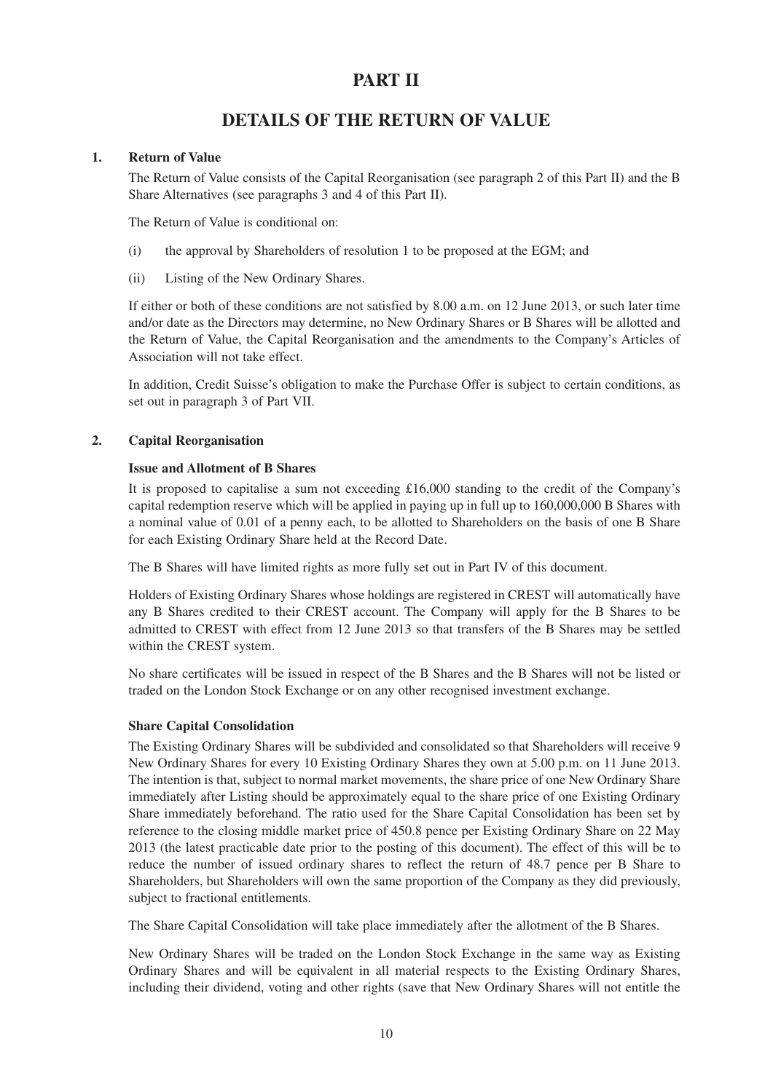## **PART II**

## **DETAILS OF THE RETURN OF VALUE**

## **1. Return of Value**

The Return of Value consists of the Capital Reorganisation (see paragraph 2 of this Part II) and the B Share Alternatives (see paragraphs 3 and 4 of this Part II).

The Return of Value is conditional on:

- (i) the approval by Shareholders of resolution 1 to be proposed at the EGM; and
- (ii) Listing of the New Ordinary Shares.

If either or both of these conditions are not satisfied by 8.00 a.m. on 12 June 2013, or such later time and/or date as the Directors may determine, no New Ordinary Shares or B Shares will be allotted and the Return of Value, the Capital Reorganisation and the amendments to the Company's Articles of Association will not take effect.

In addition, Credit Suisse's obligation to make the Purchase Offer is subject to certain conditions, as set out in paragraph 3 of Part VII.

## **2. Capital Reorganisation**

## **Issue and Allotment of B Shares**

It is proposed to capitalise a sum not exceeding £16,000 standing to the credit of the Company's capital redemption reserve which will be applied in paying up in full up to 160,000,000 B Shares with a nominal value of 0.01 of a penny each, to be allotted to Shareholders on the basis of one B Share for each Existing Ordinary Share held at the Record Date.

The B Shares will have limited rights as more fully set out in Part IV of this document.

Holders of Existing Ordinary Shares whose holdings are registered in CREST will automatically have any B Shares credited to their CREST account. The Company will apply for the B Shares to be admitted to CREST with effect from 12 June 2013 so that transfers of the B Shares may be settled within the CREST system.

No share certificates will be issued in respect of the B Shares and the B Shares will not be listed or traded on the London Stock Exchange or on any other recognised investment exchange.

## **Share Capital Consolidation**

The Existing Ordinary Shares will be subdivided and consolidated so that Shareholders will receive 9 New Ordinary Shares for every 10 Existing Ordinary Shares they own at 5.00 p.m. on 11 June 2013. The intention is that, subject to normal market movements, the share price of one New Ordinary Share immediately after Listing should be approximately equal to the share price of one Existing Ordinary Share immediately beforehand. The ratio used for the Share Capital Consolidation has been set by reference to the closing middle market price of 450.8 pence per Existing Ordinary Share on 22 May 2013 (the latest practicable date prior to the posting of this document). The effect of this will be to reduce the number of issued ordinary shares to reflect the return of 48.7 pence per B Share to Shareholders, but Shareholders will own the same proportion of the Company as they did previously, subject to fractional entitlements.

The Share Capital Consolidation will take place immediately after the allotment of the B Shares.

New Ordinary Shares will be traded on the London Stock Exchange in the same way as Existing Ordinary Shares and will be equivalent in all material respects to the Existing Ordinary Shares, including their dividend, voting and other rights (save that New Ordinary Shares will not entitle the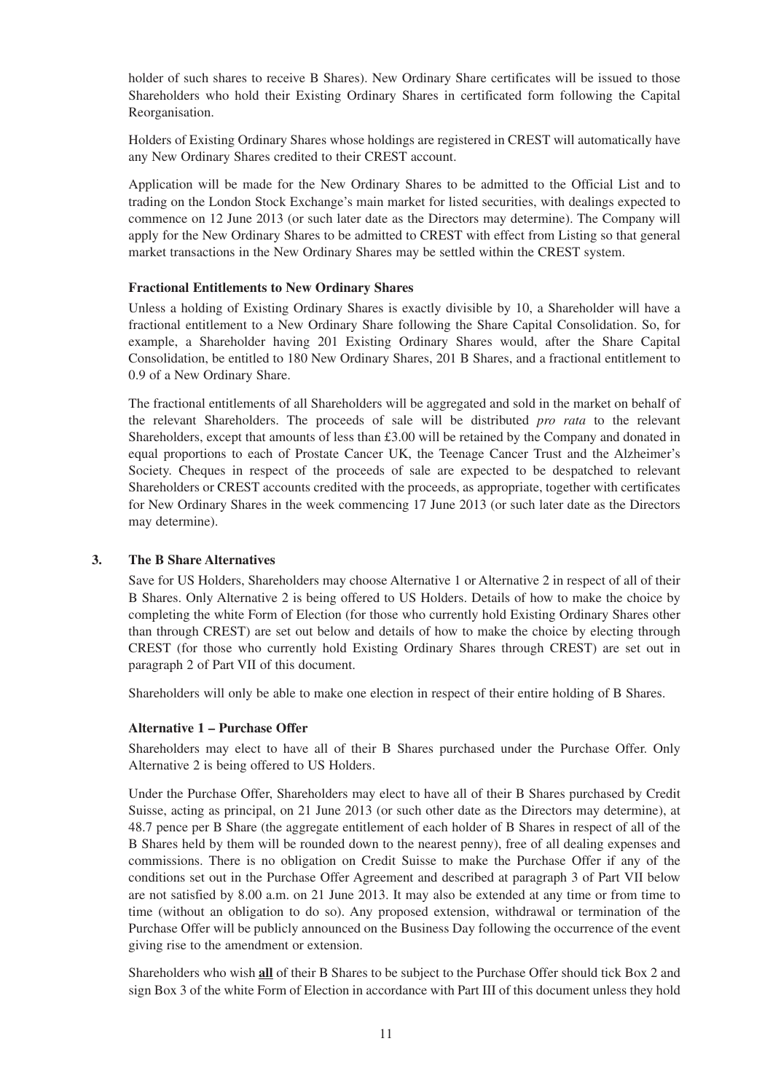holder of such shares to receive B Shares). New Ordinary Share certificates will be issued to those Shareholders who hold their Existing Ordinary Shares in certificated form following the Capital Reorganisation.

Holders of Existing Ordinary Shares whose holdings are registered in CREST will automatically have any New Ordinary Shares credited to their CREST account.

Application will be made for the New Ordinary Shares to be admitted to the Official List and to trading on the London Stock Exchange's main market for listed securities, with dealings expected to commence on 12 June 2013 (or such later date as the Directors may determine). The Company will apply for the New Ordinary Shares to be admitted to CREST with effect from Listing so that general market transactions in the New Ordinary Shares may be settled within the CREST system.

#### **Fractional Entitlements to New Ordinary Shares**

Unless a holding of Existing Ordinary Shares is exactly divisible by 10, a Shareholder will have a fractional entitlement to a New Ordinary Share following the Share Capital Consolidation. So, for example, a Shareholder having 201 Existing Ordinary Shares would, after the Share Capital Consolidation, be entitled to 180 New Ordinary Shares, 201 B Shares, and a fractional entitlement to 0.9 of a New Ordinary Share.

The fractional entitlements of all Shareholders will be aggregated and sold in the market on behalf of the relevant Shareholders. The proceeds of sale will be distributed *pro rata* to the relevant Shareholders, except that amounts of less than £3.00 will be retained by the Company and donated in equal proportions to each of Prostate Cancer UK, the Teenage Cancer Trust and the Alzheimer's Society. Cheques in respect of the proceeds of sale are expected to be despatched to relevant Shareholders or CREST accounts credited with the proceeds, as appropriate, together with certificates for New Ordinary Shares in the week commencing 17 June 2013 (or such later date as the Directors may determine).

## **3. The B Share Alternatives**

Save for US Holders, Shareholders may choose Alternative 1 or Alternative 2 in respect of all of their B Shares. Only Alternative 2 is being offered to US Holders. Details of how to make the choice by completing the white Form of Election (for those who currently hold Existing Ordinary Shares other than through CREST) are set out below and details of how to make the choice by electing through CREST (for those who currently hold Existing Ordinary Shares through CREST) are set out in paragraph 2 of Part VII of this document.

Shareholders will only be able to make one election in respect of their entire holding of B Shares.

#### **Alternative 1 – Purchase Offer**

Shareholders may elect to have all of their B Shares purchased under the Purchase Offer. Only Alternative 2 is being offered to US Holders.

Under the Purchase Offer, Shareholders may elect to have all of their B Shares purchased by Credit Suisse, acting as principal, on 21 June 2013 (or such other date as the Directors may determine), at 48.7 pence per B Share (the aggregate entitlement of each holder of B Shares in respect of all of the B Shares held by them will be rounded down to the nearest penny), free of all dealing expenses and commissions. There is no obligation on Credit Suisse to make the Purchase Offer if any of the conditions set out in the Purchase Offer Agreement and described at paragraph 3 of Part VII below are not satisfied by 8.00 a.m. on 21 June 2013. It may also be extended at any time or from time to time (without an obligation to do so). Any proposed extension, withdrawal or termination of the Purchase Offer will be publicly announced on the Business Day following the occurrence of the event giving rise to the amendment or extension.

Shareholders who wish **all** of their B Shares to be subject to the Purchase Offer should tick Box 2 and sign Box 3 of the white Form of Election in accordance with Part III of this document unless they hold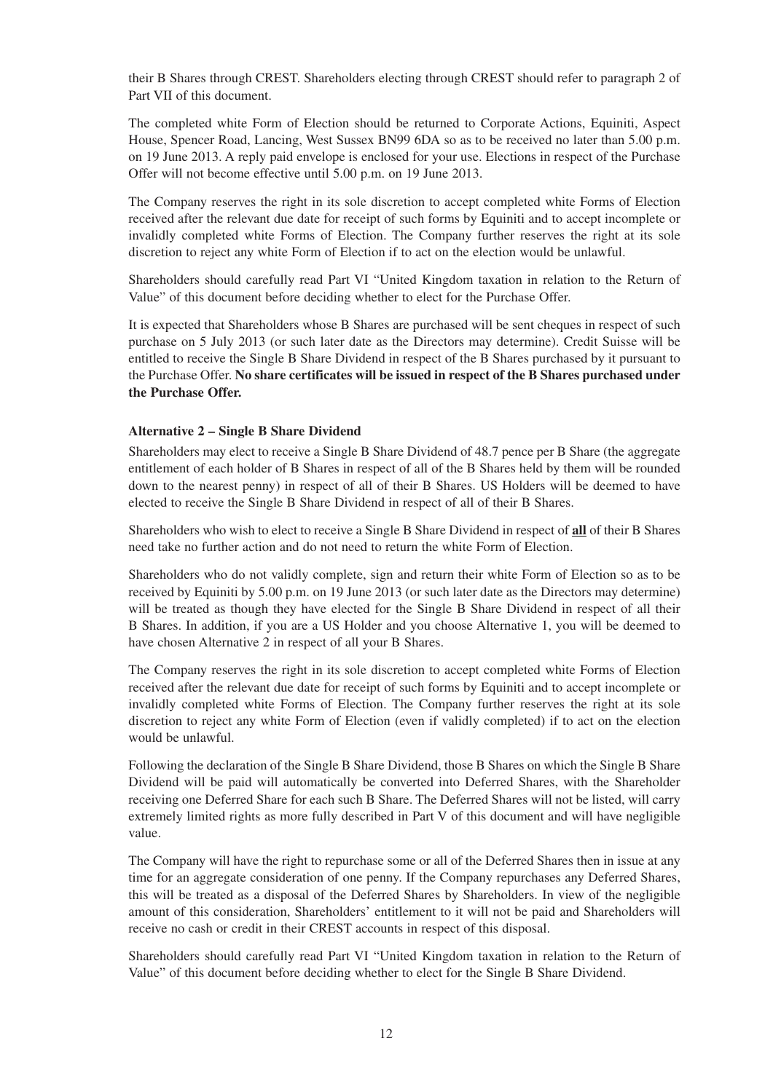their B Shares through CREST. Shareholders electing through CREST should refer to paragraph 2 of Part VII of this document.

The completed white Form of Election should be returned to Corporate Actions, Equiniti, Aspect House, Spencer Road, Lancing, West Sussex BN99 6DA so as to be received no later than 5.00 p.m. on 19 June 2013. A reply paid envelope is enclosed for your use. Elections in respect of the Purchase Offer will not become effective until 5.00 p.m. on 19 June 2013.

The Company reserves the right in its sole discretion to accept completed white Forms of Election received after the relevant due date for receipt of such forms by Equiniti and to accept incomplete or invalidly completed white Forms of Election. The Company further reserves the right at its sole discretion to reject any white Form of Election if to act on the election would be unlawful.

Shareholders should carefully read Part VI "United Kingdom taxation in relation to the Return of Value" of this document before deciding whether to elect for the Purchase Offer.

It is expected that Shareholders whose B Shares are purchased will be sent cheques in respect of such purchase on 5 July 2013 (or such later date as the Directors may determine). Credit Suisse will be entitled to receive the Single B Share Dividend in respect of the B Shares purchased by it pursuant to the Purchase Offer. **No share certificates will be issued in respect of the B Shares purchased under the Purchase Offer.**

#### **Alternative 2 – Single B Share Dividend**

Shareholders may elect to receive a Single B Share Dividend of 48.7 pence per B Share (the aggregate entitlement of each holder of B Shares in respect of all of the B Shares held by them will be rounded down to the nearest penny) in respect of all of their B Shares. US Holders will be deemed to have elected to receive the Single B Share Dividend in respect of all of their B Shares.

Shareholders who wish to elect to receive a Single B Share Dividend in respect of **all** of their B Shares need take no further action and do not need to return the white Form of Election.

Shareholders who do not validly complete, sign and return their white Form of Election so as to be received by Equiniti by 5.00 p.m. on 19 June 2013 (or such later date as the Directors may determine) will be treated as though they have elected for the Single B Share Dividend in respect of all their B Shares. In addition, if you are a US Holder and you choose Alternative 1, you will be deemed to have chosen Alternative 2 in respect of all your B Shares.

The Company reserves the right in its sole discretion to accept completed white Forms of Election received after the relevant due date for receipt of such forms by Equiniti and to accept incomplete or invalidly completed white Forms of Election. The Company further reserves the right at its sole discretion to reject any white Form of Election (even if validly completed) if to act on the election would be unlawful.

Following the declaration of the Single B Share Dividend, those B Shares on which the Single B Share Dividend will be paid will automatically be converted into Deferred Shares, with the Shareholder receiving one Deferred Share for each such B Share. The Deferred Shares will not be listed, will carry extremely limited rights as more fully described in Part V of this document and will have negligible value.

The Company will have the right to repurchase some or all of the Deferred Shares then in issue at any time for an aggregate consideration of one penny. If the Company repurchases any Deferred Shares, this will be treated as a disposal of the Deferred Shares by Shareholders. In view of the negligible amount of this consideration, Shareholders' entitlement to it will not be paid and Shareholders will receive no cash or credit in their CREST accounts in respect of this disposal.

Shareholders should carefully read Part VI "United Kingdom taxation in relation to the Return of Value" of this document before deciding whether to elect for the Single B Share Dividend.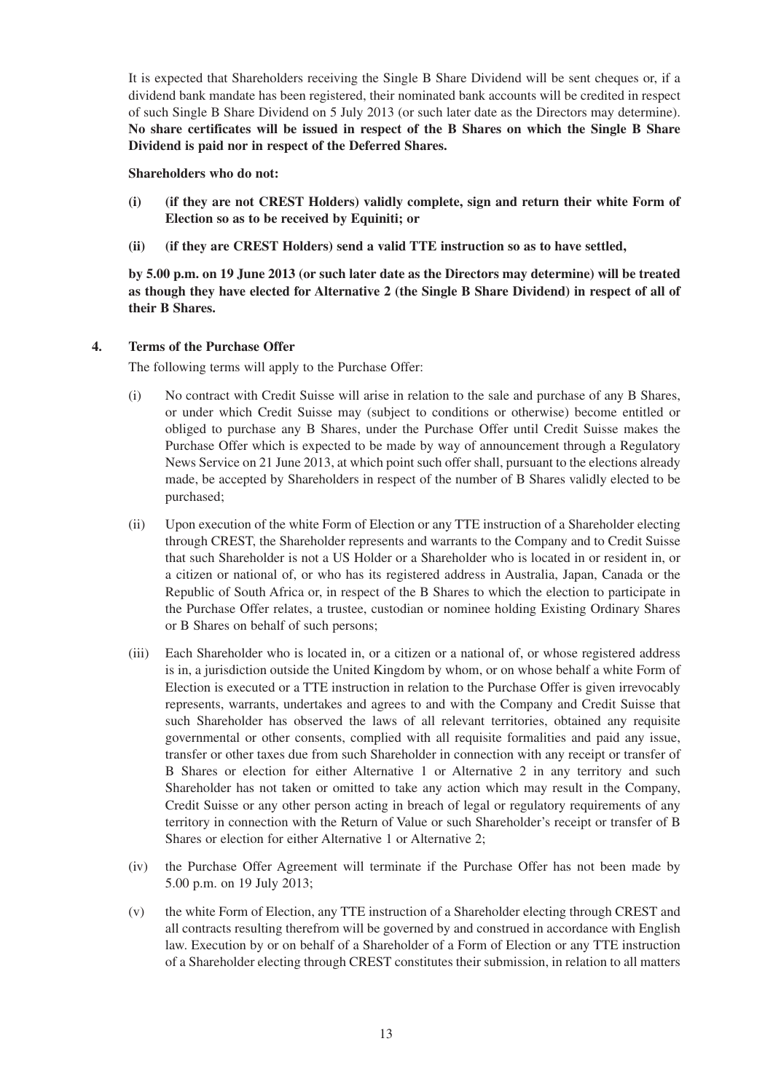It is expected that Shareholders receiving the Single B Share Dividend will be sent cheques or, if a dividend bank mandate has been registered, their nominated bank accounts will be credited in respect of such Single B Share Dividend on 5 July 2013 (or such later date as the Directors may determine). **No share certificates will be issued in respect of the B Shares on which the Single B Share Dividend is paid nor in respect of the Deferred Shares.**

### **Shareholders who do not:**

- **(i) (if they are not CREST Holders) validly complete, sign and return their white Form of Election so as to be received by Equiniti; or**
- **(ii) (if they are CREST Holders) send a valid TTE instruction so as to have settled,**

**by 5.00 p.m. on 19 June 2013 (or such later date as the Directors may determine) will be treated as though they have elected for Alternative 2 (the Single B Share Dividend) in respect of all of their B Shares.**

## **4. Terms of the Purchase Offer**

The following terms will apply to the Purchase Offer:

- (i) No contract with Credit Suisse will arise in relation to the sale and purchase of any B Shares, or under which Credit Suisse may (subject to conditions or otherwise) become entitled or obliged to purchase any B Shares, under the Purchase Offer until Credit Suisse makes the Purchase Offer which is expected to be made by way of announcement through a Regulatory News Service on 21 June 2013, at which point such offer shall, pursuant to the elections already made, be accepted by Shareholders in respect of the number of B Shares validly elected to be purchased;
- (ii) Upon execution of the white Form of Election or any TTE instruction of a Shareholder electing through CREST, the Shareholder represents and warrants to the Company and to Credit Suisse that such Shareholder is not a US Holder or a Shareholder who is located in or resident in, or a citizen or national of, or who has its registered address in Australia, Japan, Canada or the Republic of South Africa or, in respect of the B Shares to which the election to participate in the Purchase Offer relates, a trustee, custodian or nominee holding Existing Ordinary Shares or B Shares on behalf of such persons;
- (iii) Each Shareholder who is located in, or a citizen or a national of, or whose registered address is in, a jurisdiction outside the United Kingdom by whom, or on whose behalf a white Form of Election is executed or a TTE instruction in relation to the Purchase Offer is given irrevocably represents, warrants, undertakes and agrees to and with the Company and Credit Suisse that such Shareholder has observed the laws of all relevant territories, obtained any requisite governmental or other consents, complied with all requisite formalities and paid any issue, transfer or other taxes due from such Shareholder in connection with any receipt or transfer of B Shares or election for either Alternative 1 or Alternative 2 in any territory and such Shareholder has not taken or omitted to take any action which may result in the Company, Credit Suisse or any other person acting in breach of legal or regulatory requirements of any territory in connection with the Return of Value or such Shareholder's receipt or transfer of B Shares or election for either Alternative 1 or Alternative 2;
- (iv) the Purchase Offer Agreement will terminate if the Purchase Offer has not been made by 5.00 p.m. on 19 July 2013;
- (v) the white Form of Election, any TTE instruction of a Shareholder electing through CREST and all contracts resulting therefrom will be governed by and construed in accordance with English law. Execution by or on behalf of a Shareholder of a Form of Election or any TTE instruction of a Shareholder electing through CREST constitutes their submission, in relation to all matters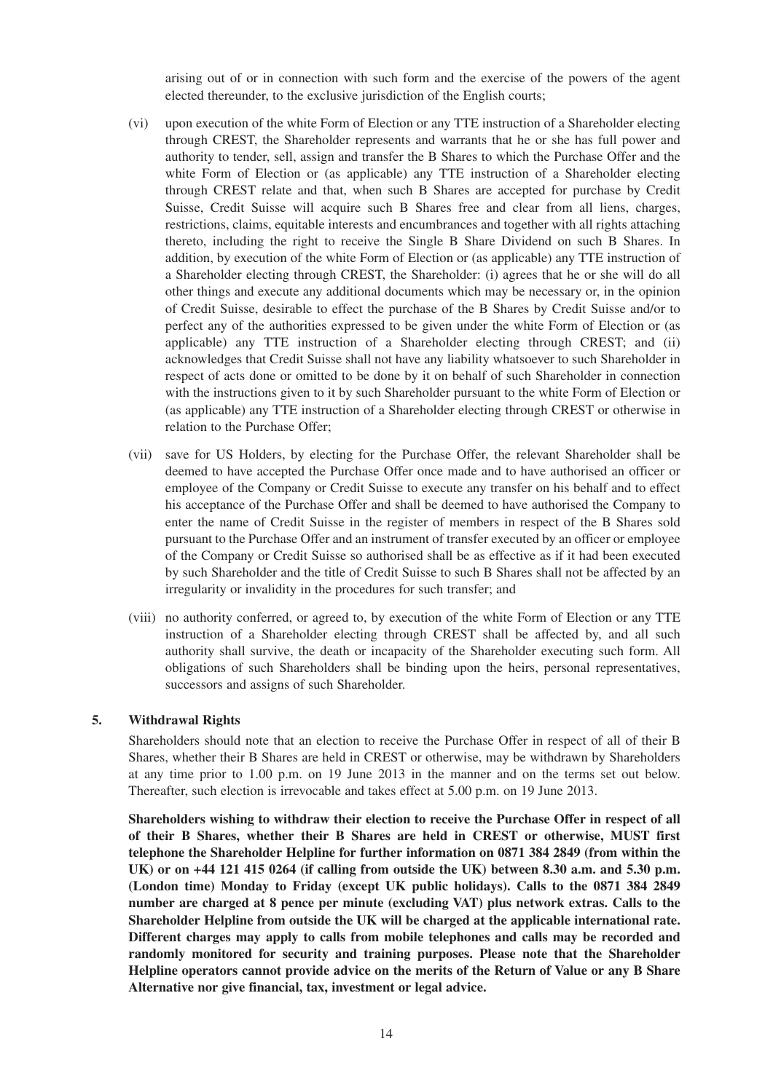arising out of or in connection with such form and the exercise of the powers of the agent elected thereunder, to the exclusive jurisdiction of the English courts;

- (vi) upon execution of the white Form of Election or any TTE instruction of a Shareholder electing through CREST, the Shareholder represents and warrants that he or she has full power and authority to tender, sell, assign and transfer the B Shares to which the Purchase Offer and the white Form of Election or (as applicable) any TTE instruction of a Shareholder electing through CREST relate and that, when such B Shares are accepted for purchase by Credit Suisse, Credit Suisse will acquire such B Shares free and clear from all liens, charges, restrictions, claims, equitable interests and encumbrances and together with all rights attaching thereto, including the right to receive the Single B Share Dividend on such B Shares. In addition, by execution of the white Form of Election or (as applicable) any TTE instruction of a Shareholder electing through CREST, the Shareholder: (i) agrees that he or she will do all other things and execute any additional documents which may be necessary or, in the opinion of Credit Suisse, desirable to effect the purchase of the B Shares by Credit Suisse and/or to perfect any of the authorities expressed to be given under the white Form of Election or (as applicable) any TTE instruction of a Shareholder electing through CREST; and (ii) acknowledges that Credit Suisse shall not have any liability whatsoever to such Shareholder in respect of acts done or omitted to be done by it on behalf of such Shareholder in connection with the instructions given to it by such Shareholder pursuant to the white Form of Election or (as applicable) any TTE instruction of a Shareholder electing through CREST or otherwise in relation to the Purchase Offer;
- (vii) save for US Holders, by electing for the Purchase Offer, the relevant Shareholder shall be deemed to have accepted the Purchase Offer once made and to have authorised an officer or employee of the Company or Credit Suisse to execute any transfer on his behalf and to effect his acceptance of the Purchase Offer and shall be deemed to have authorised the Company to enter the name of Credit Suisse in the register of members in respect of the B Shares sold pursuant to the Purchase Offer and an instrument of transfer executed by an officer or employee of the Company or Credit Suisse so authorised shall be as effective as if it had been executed by such Shareholder and the title of Credit Suisse to such B Shares shall not be affected by an irregularity or invalidity in the procedures for such transfer; and
- (viii) no authority conferred, or agreed to, by execution of the white Form of Election or any TTE instruction of a Shareholder electing through CREST shall be affected by, and all such authority shall survive, the death or incapacity of the Shareholder executing such form. All obligations of such Shareholders shall be binding upon the heirs, personal representatives, successors and assigns of such Shareholder.

## **5. Withdrawal Rights**

Shareholders should note that an election to receive the Purchase Offer in respect of all of their B Shares, whether their B Shares are held in CREST or otherwise, may be withdrawn by Shareholders at any time prior to 1.00 p.m. on 19 June 2013 in the manner and on the terms set out below. Thereafter, such election is irrevocable and takes effect at 5.00 p.m. on 19 June 2013.

**Shareholders wishing to withdraw their election to receive the Purchase Offer in respect of all of their B Shares, whether their B Shares are held in CREST or otherwise, MUST first telephone the Shareholder Helpline for further information on 0871 384 2849 (from within the UK) or on +44 121 415 0264 (if calling from outside the UK) between 8.30 a.m. and 5.30 p.m. (London time) Monday to Friday (except UK public holidays). Calls to the 0871 384 2849 number are charged at 8 pence per minute (excluding VAT) plus network extras. Calls to the Shareholder Helpline from outside the UK will be charged at the applicable international rate. Different charges may apply to calls from mobile telephones and calls may be recorded and randomly monitored for security and training purposes. Please note that the Shareholder Helpline operators cannot provide advice on the merits of the Return of Value or any B Share Alternative nor give financial, tax, investment or legal advice.**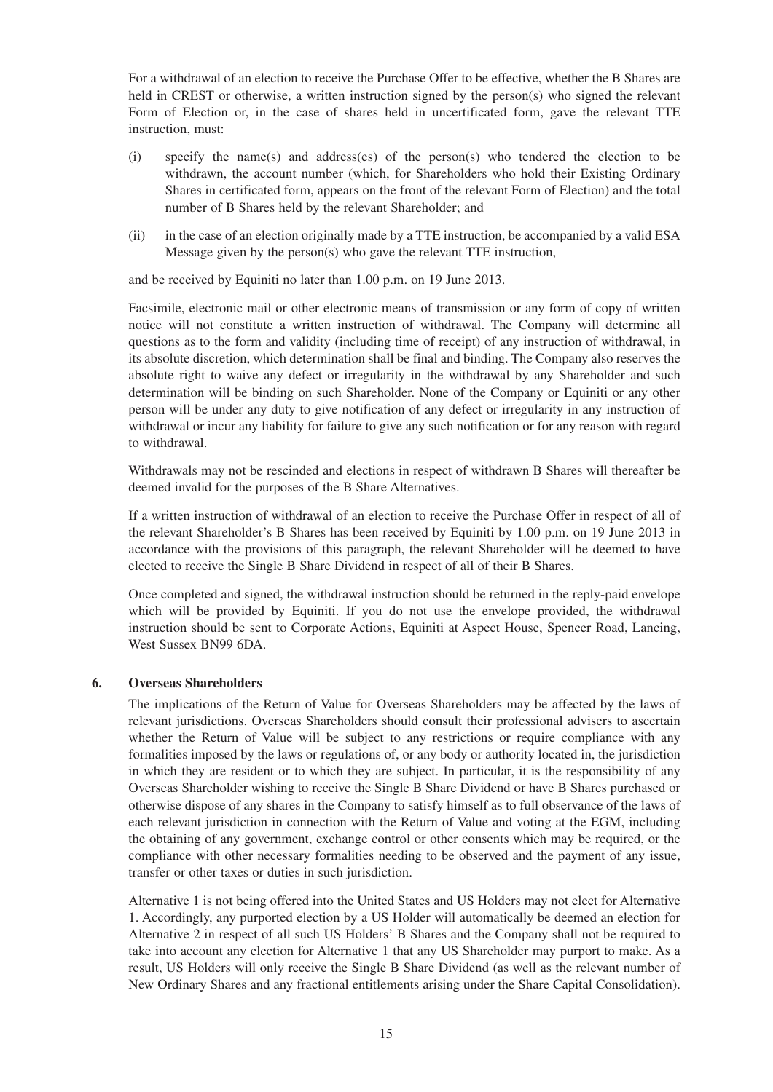For a withdrawal of an election to receive the Purchase Offer to be effective, whether the B Shares are held in CREST or otherwise, a written instruction signed by the person(s) who signed the relevant Form of Election or, in the case of shares held in uncertificated form, gave the relevant TTE instruction, must:

- (i) specify the name(s) and address(es) of the person(s) who tendered the election to be withdrawn, the account number (which, for Shareholders who hold their Existing Ordinary Shares in certificated form, appears on the front of the relevant Form of Election) and the total number of B Shares held by the relevant Shareholder; and
- (ii) in the case of an election originally made by a TTE instruction, be accompanied by a valid ESA Message given by the person(s) who gave the relevant TTE instruction,

and be received by Equiniti no later than 1.00 p.m. on 19 June 2013.

Facsimile, electronic mail or other electronic means of transmission or any form of copy of written notice will not constitute a written instruction of withdrawal. The Company will determine all questions as to the form and validity (including time of receipt) of any instruction of withdrawal, in its absolute discretion, which determination shall be final and binding. The Company also reserves the absolute right to waive any defect or irregularity in the withdrawal by any Shareholder and such determination will be binding on such Shareholder. None of the Company or Equiniti or any other person will be under any duty to give notification of any defect or irregularity in any instruction of withdrawal or incur any liability for failure to give any such notification or for any reason with regard to withdrawal.

Withdrawals may not be rescinded and elections in respect of withdrawn B Shares will thereafter be deemed invalid for the purposes of the B Share Alternatives.

If a written instruction of withdrawal of an election to receive the Purchase Offer in respect of all of the relevant Shareholder's B Shares has been received by Equiniti by 1.00 p.m. on 19 June 2013 in accordance with the provisions of this paragraph, the relevant Shareholder will be deemed to have elected to receive the Single B Share Dividend in respect of all of their B Shares.

Once completed and signed, the withdrawal instruction should be returned in the reply-paid envelope which will be provided by Equiniti. If you do not use the envelope provided, the withdrawal instruction should be sent to Corporate Actions, Equiniti at Aspect House, Spencer Road, Lancing, West Sussex BN99 6DA.

## **6. Overseas Shareholders**

The implications of the Return of Value for Overseas Shareholders may be affected by the laws of relevant jurisdictions. Overseas Shareholders should consult their professional advisers to ascertain whether the Return of Value will be subject to any restrictions or require compliance with any formalities imposed by the laws or regulations of, or any body or authority located in, the jurisdiction in which they are resident or to which they are subject. In particular, it is the responsibility of any Overseas Shareholder wishing to receive the Single B Share Dividend or have B Shares purchased or otherwise dispose of any shares in the Company to satisfy himself as to full observance of the laws of each relevant jurisdiction in connection with the Return of Value and voting at the EGM, including the obtaining of any government, exchange control or other consents which may be required, or the compliance with other necessary formalities needing to be observed and the payment of any issue, transfer or other taxes or duties in such jurisdiction.

Alternative 1 is not being offered into the United States and US Holders may not elect for Alternative 1. Accordingly, any purported election by a US Holder will automatically be deemed an election for Alternative 2 in respect of all such US Holders' B Shares and the Company shall not be required to take into account any election for Alternative 1 that any US Shareholder may purport to make. As a result, US Holders will only receive the Single B Share Dividend (as well as the relevant number of New Ordinary Shares and any fractional entitlements arising under the Share Capital Consolidation).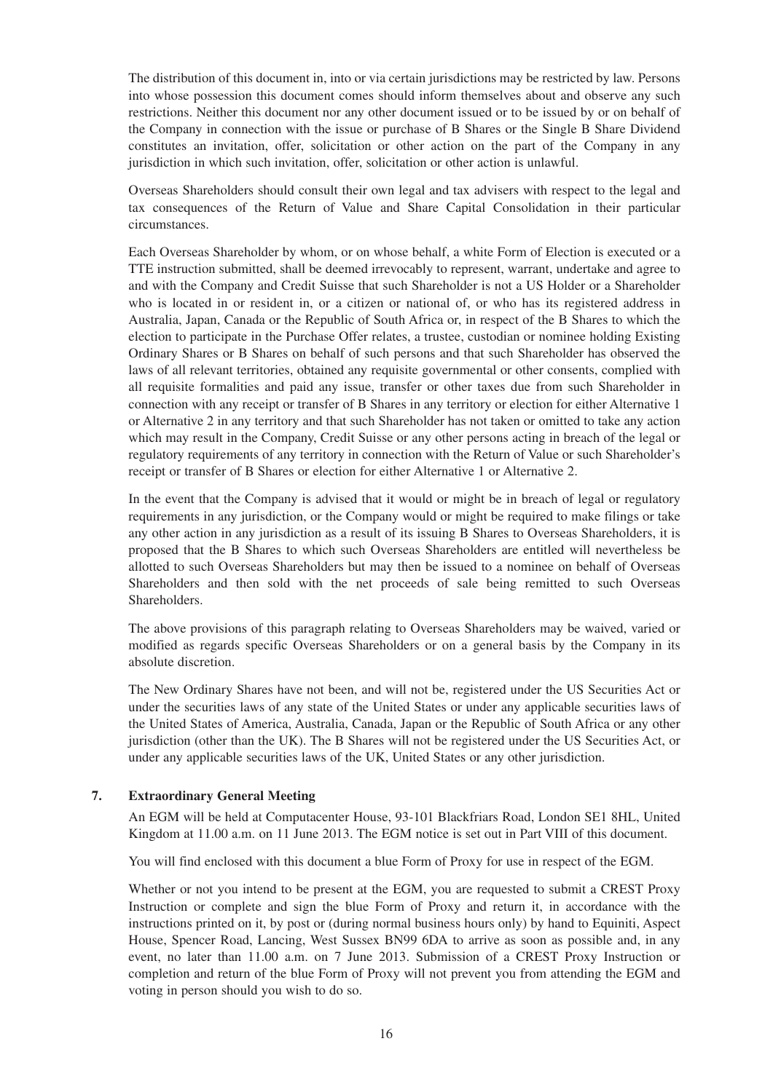The distribution of this document in, into or via certain jurisdictions may be restricted by law. Persons into whose possession this document comes should inform themselves about and observe any such restrictions. Neither this document nor any other document issued or to be issued by or on behalf of the Company in connection with the issue or purchase of B Shares or the Single B Share Dividend constitutes an invitation, offer, solicitation or other action on the part of the Company in any jurisdiction in which such invitation, offer, solicitation or other action is unlawful.

Overseas Shareholders should consult their own legal and tax advisers with respect to the legal and tax consequences of the Return of Value and Share Capital Consolidation in their particular circumstances.

Each Overseas Shareholder by whom, or on whose behalf, a white Form of Election is executed or a TTE instruction submitted, shall be deemed irrevocably to represent, warrant, undertake and agree to and with the Company and Credit Suisse that such Shareholder is not a US Holder or a Shareholder who is located in or resident in, or a citizen or national of, or who has its registered address in Australia, Japan, Canada or the Republic of South Africa or, in respect of the B Shares to which the election to participate in the Purchase Offer relates, a trustee, custodian or nominee holding Existing Ordinary Shares or B Shares on behalf of such persons and that such Shareholder has observed the laws of all relevant territories, obtained any requisite governmental or other consents, complied with all requisite formalities and paid any issue, transfer or other taxes due from such Shareholder in connection with any receipt or transfer of B Shares in any territory or election for either Alternative 1 or Alternative 2 in any territory and that such Shareholder has not taken or omitted to take any action which may result in the Company, Credit Suisse or any other persons acting in breach of the legal or regulatory requirements of any territory in connection with the Return of Value or such Shareholder's receipt or transfer of B Shares or election for either Alternative 1 or Alternative 2.

In the event that the Company is advised that it would or might be in breach of legal or regulatory requirements in any jurisdiction, or the Company would or might be required to make filings or take any other action in any jurisdiction as a result of its issuing B Shares to Overseas Shareholders, it is proposed that the B Shares to which such Overseas Shareholders are entitled will nevertheless be allotted to such Overseas Shareholders but may then be issued to a nominee on behalf of Overseas Shareholders and then sold with the net proceeds of sale being remitted to such Overseas Shareholders.

The above provisions of this paragraph relating to Overseas Shareholders may be waived, varied or modified as regards specific Overseas Shareholders or on a general basis by the Company in its absolute discretion.

The New Ordinary Shares have not been, and will not be, registered under the US Securities Act or under the securities laws of any state of the United States or under any applicable securities laws of the United States of America, Australia, Canada, Japan or the Republic of South Africa or any other jurisdiction (other than the UK). The B Shares will not be registered under the US Securities Act, or under any applicable securities laws of the UK, United States or any other jurisdiction.

## **7. Extraordinary General Meeting**

An EGM will be held at Computacenter House, 93-101 Blackfriars Road, London SE1 8HL, United Kingdom at 11.00 a.m. on 11 June 2013. The EGM notice is set out in Part VIII of this document.

You will find enclosed with this document a blue Form of Proxy for use in respect of the EGM.

Whether or not you intend to be present at the EGM, you are requested to submit a CREST Proxy Instruction or complete and sign the blue Form of Proxy and return it, in accordance with the instructions printed on it, by post or (during normal business hours only) by hand to Equiniti, Aspect House, Spencer Road, Lancing, West Sussex BN99 6DA to arrive as soon as possible and, in any event, no later than 11.00 a.m. on 7 June 2013. Submission of a CREST Proxy Instruction or completion and return of the blue Form of Proxy will not prevent you from attending the EGM and voting in person should you wish to do so.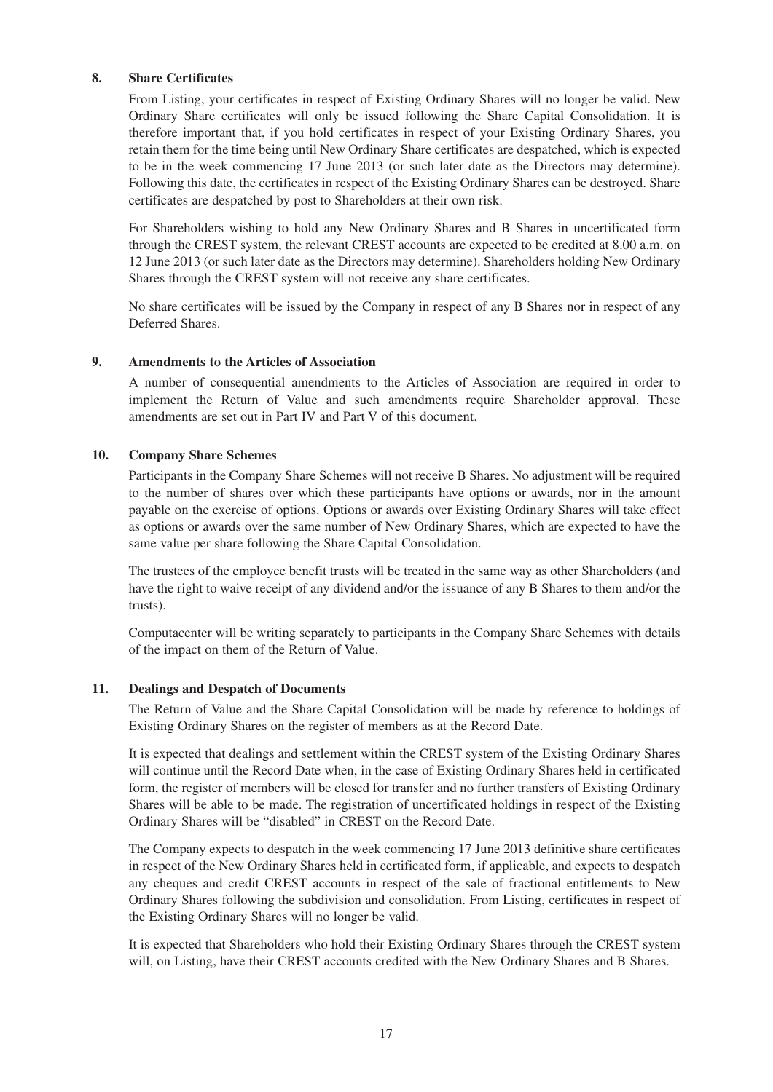### **8. Share Certificates**

From Listing, your certificates in respect of Existing Ordinary Shares will no longer be valid. New Ordinary Share certificates will only be issued following the Share Capital Consolidation. It is therefore important that, if you hold certificates in respect of your Existing Ordinary Shares, you retain them for the time being until New Ordinary Share certificates are despatched, which is expected to be in the week commencing 17 June 2013 (or such later date as the Directors may determine). Following this date, the certificates in respect of the Existing Ordinary Shares can be destroyed. Share certificates are despatched by post to Shareholders at their own risk.

For Shareholders wishing to hold any New Ordinary Shares and B Shares in uncertificated form through the CREST system, the relevant CREST accounts are expected to be credited at 8.00 a.m. on 12 June 2013 (or such later date as the Directors may determine). Shareholders holding New Ordinary Shares through the CREST system will not receive any share certificates.

No share certificates will be issued by the Company in respect of any B Shares nor in respect of any Deferred Shares.

### **9. Amendments to the Articles of Association**

A number of consequential amendments to the Articles of Association are required in order to implement the Return of Value and such amendments require Shareholder approval. These amendments are set out in Part IV and Part V of this document.

#### **10. Company Share Schemes**

Participants in the Company Share Schemes will not receive B Shares. No adjustment will be required to the number of shares over which these participants have options or awards, nor in the amount payable on the exercise of options. Options or awards over Existing Ordinary Shares will take effect as options or awards over the same number of New Ordinary Shares, which are expected to have the same value per share following the Share Capital Consolidation.

The trustees of the employee benefit trusts will be treated in the same way as other Shareholders (and have the right to waive receipt of any dividend and/or the issuance of any B Shares to them and/or the trusts).

Computacenter will be writing separately to participants in the Company Share Schemes with details of the impact on them of the Return of Value.

## **11. Dealings and Despatch of Documents**

The Return of Value and the Share Capital Consolidation will be made by reference to holdings of Existing Ordinary Shares on the register of members as at the Record Date.

It is expected that dealings and settlement within the CREST system of the Existing Ordinary Shares will continue until the Record Date when, in the case of Existing Ordinary Shares held in certificated form, the register of members will be closed for transfer and no further transfers of Existing Ordinary Shares will be able to be made. The registration of uncertificated holdings in respect of the Existing Ordinary Shares will be "disabled" in CREST on the Record Date.

The Company expects to despatch in the week commencing 17 June 2013 definitive share certificates in respect of the New Ordinary Shares held in certificated form, if applicable, and expects to despatch any cheques and credit CREST accounts in respect of the sale of fractional entitlements to New Ordinary Shares following the subdivision and consolidation. From Listing, certificates in respect of the Existing Ordinary Shares will no longer be valid.

It is expected that Shareholders who hold their Existing Ordinary Shares through the CREST system will, on Listing, have their CREST accounts credited with the New Ordinary Shares and B Shares.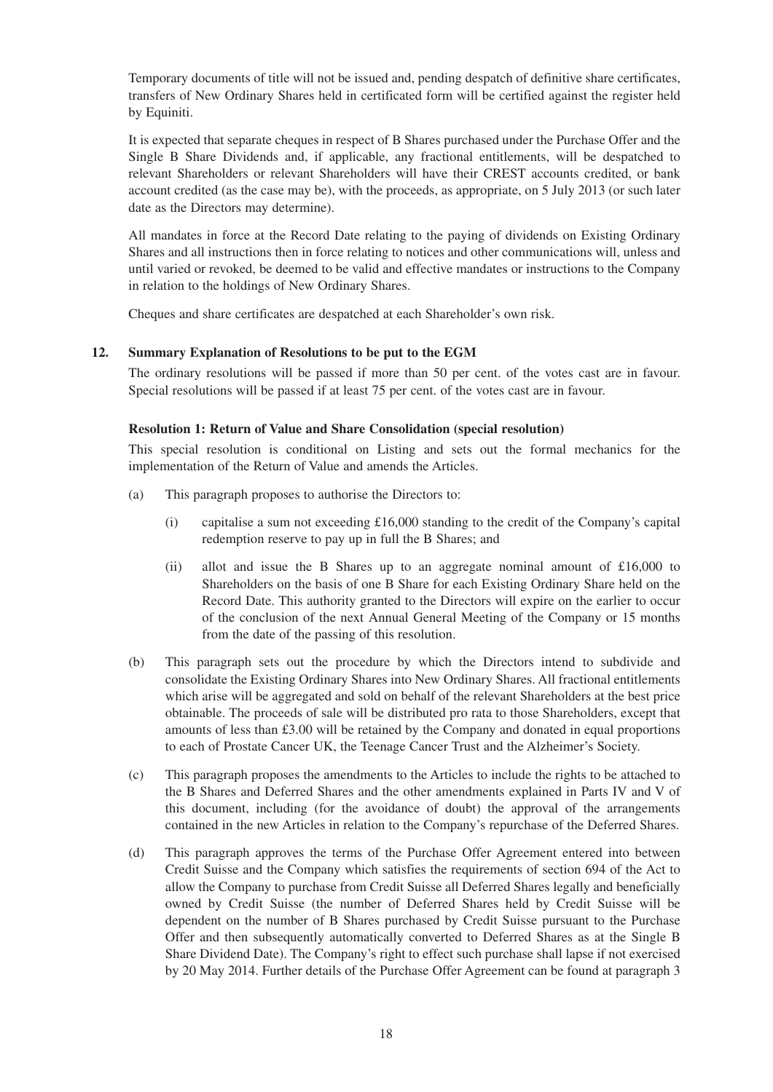Temporary documents of title will not be issued and, pending despatch of definitive share certificates, transfers of New Ordinary Shares held in certificated form will be certified against the register held by Equiniti.

It is expected that separate cheques in respect of B Shares purchased under the Purchase Offer and the Single B Share Dividends and, if applicable, any fractional entitlements, will be despatched to relevant Shareholders or relevant Shareholders will have their CREST accounts credited, or bank account credited (as the case may be), with the proceeds, as appropriate, on 5 July 2013 (or such later date as the Directors may determine).

All mandates in force at the Record Date relating to the paying of dividends on Existing Ordinary Shares and all instructions then in force relating to notices and other communications will, unless and until varied or revoked, be deemed to be valid and effective mandates or instructions to the Company in relation to the holdings of New Ordinary Shares.

Cheques and share certificates are despatched at each Shareholder's own risk.

#### **12. Summary Explanation of Resolutions to be put to the EGM**

The ordinary resolutions will be passed if more than 50 per cent. of the votes cast are in favour. Special resolutions will be passed if at least 75 per cent. of the votes cast are in favour.

#### **Resolution 1: Return of Value and Share Consolidation (special resolution)**

This special resolution is conditional on Listing and sets out the formal mechanics for the implementation of the Return of Value and amends the Articles.

- (a) This paragraph proposes to authorise the Directors to:
	- (i) capitalise a sum not exceeding £16,000 standing to the credit of the Company's capital redemption reserve to pay up in full the B Shares; and
	- (ii) allot and issue the B Shares up to an aggregate nominal amount of £16,000 to Shareholders on the basis of one B Share for each Existing Ordinary Share held on the Record Date. This authority granted to the Directors will expire on the earlier to occur of the conclusion of the next Annual General Meeting of the Company or 15 months from the date of the passing of this resolution.
- (b) This paragraph sets out the procedure by which the Directors intend to subdivide and consolidate the Existing Ordinary Shares into New Ordinary Shares. All fractional entitlements which arise will be aggregated and sold on behalf of the relevant Shareholders at the best price obtainable. The proceeds of sale will be distributed pro rata to those Shareholders, except that amounts of less than £3.00 will be retained by the Company and donated in equal proportions to each of Prostate Cancer UK, the Teenage Cancer Trust and the Alzheimer's Society.
- (c) This paragraph proposes the amendments to the Articles to include the rights to be attached to the B Shares and Deferred Shares and the other amendments explained in Parts IV and V of this document, including (for the avoidance of doubt) the approval of the arrangements contained in the new Articles in relation to the Company's repurchase of the Deferred Shares.
- (d) This paragraph approves the terms of the Purchase Offer Agreement entered into between Credit Suisse and the Company which satisfies the requirements of section 694 of the Act to allow the Company to purchase from Credit Suisse all Deferred Shares legally and beneficially owned by Credit Suisse (the number of Deferred Shares held by Credit Suisse will be dependent on the number of B Shares purchased by Credit Suisse pursuant to the Purchase Offer and then subsequently automatically converted to Deferred Shares as at the Single B Share Dividend Date). The Company's right to effect such purchase shall lapse if not exercised by 20 May 2014. Further details of the Purchase Offer Agreement can be found at paragraph 3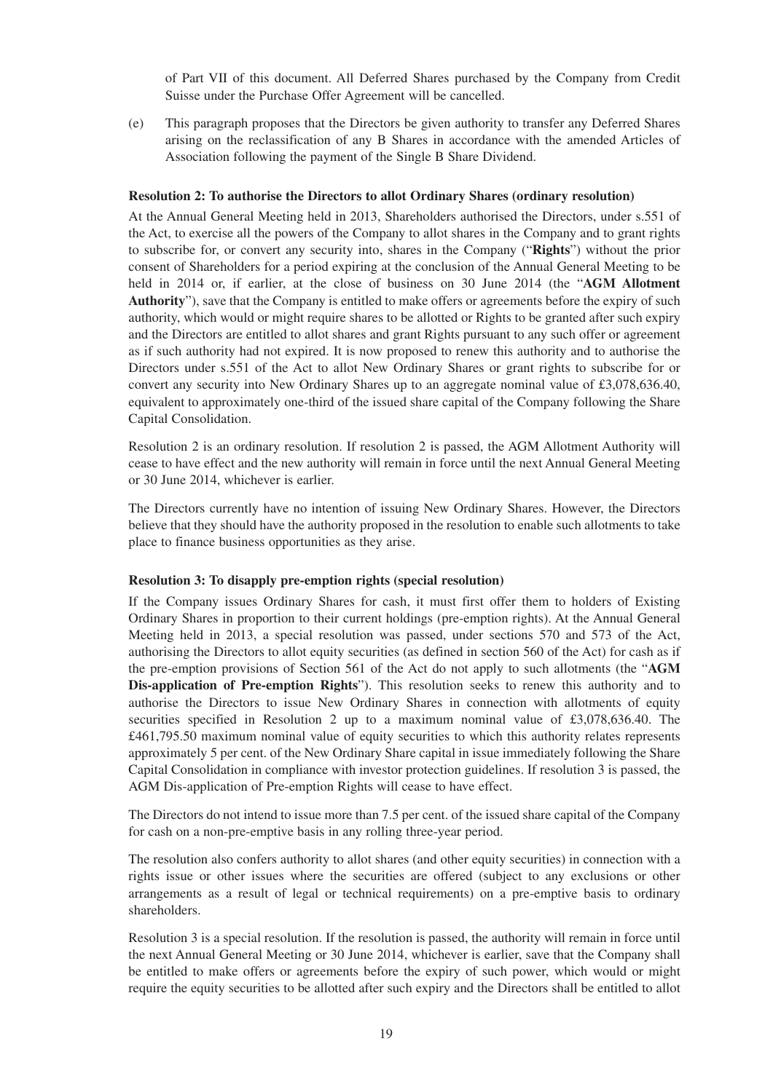of Part VII of this document. All Deferred Shares purchased by the Company from Credit Suisse under the Purchase Offer Agreement will be cancelled.

(e) This paragraph proposes that the Directors be given authority to transfer any Deferred Shares arising on the reclassification of any B Shares in accordance with the amended Articles of Association following the payment of the Single B Share Dividend.

#### **Resolution 2: To authorise the Directors to allot Ordinary Shares (ordinary resolution)**

At the Annual General Meeting held in 2013, Shareholders authorised the Directors, under s.551 of the Act, to exercise all the powers of the Company to allot shares in the Company and to grant rights to subscribe for, or convert any security into, shares in the Company ("**Rights**") without the prior consent of Shareholders for a period expiring at the conclusion of the Annual General Meeting to be held in 2014 or, if earlier, at the close of business on 30 June 2014 (the "**AGM Allotment Authority**"), save that the Company is entitled to make offers or agreements before the expiry of such authority, which would or might require shares to be allotted or Rights to be granted after such expiry and the Directors are entitled to allot shares and grant Rights pursuant to any such offer or agreement as if such authority had not expired. It is now proposed to renew this authority and to authorise the Directors under s.551 of the Act to allot New Ordinary Shares or grant rights to subscribe for or convert any security into New Ordinary Shares up to an aggregate nominal value of £3,078,636.40, equivalent to approximately one-third of the issued share capital of the Company following the Share Capital Consolidation.

Resolution 2 is an ordinary resolution. If resolution 2 is passed, the AGM Allotment Authority will cease to have effect and the new authority will remain in force until the next Annual General Meeting or 30 June 2014, whichever is earlier.

The Directors currently have no intention of issuing New Ordinary Shares. However, the Directors believe that they should have the authority proposed in the resolution to enable such allotments to take place to finance business opportunities as they arise.

#### **Resolution 3: To disapply pre-emption rights (special resolution)**

If the Company issues Ordinary Shares for cash, it must first offer them to holders of Existing Ordinary Shares in proportion to their current holdings (pre-emption rights). At the Annual General Meeting held in 2013, a special resolution was passed, under sections 570 and 573 of the Act, authorising the Directors to allot equity securities (as defined in section 560 of the Act) for cash as if the pre-emption provisions of Section 561 of the Act do not apply to such allotments (the "**AGM Dis-application of Pre-emption Rights**"). This resolution seeks to renew this authority and to authorise the Directors to issue New Ordinary Shares in connection with allotments of equity securities specified in Resolution 2 up to a maximum nominal value of £3,078,636.40. The £461,795.50 maximum nominal value of equity securities to which this authority relates represents approximately 5 per cent. of the New Ordinary Share capital in issue immediately following the Share Capital Consolidation in compliance with investor protection guidelines. If resolution 3 is passed, the AGM Dis-application of Pre-emption Rights will cease to have effect.

The Directors do not intend to issue more than 7.5 per cent. of the issued share capital of the Company for cash on a non-pre-emptive basis in any rolling three-year period.

The resolution also confers authority to allot shares (and other equity securities) in connection with a rights issue or other issues where the securities are offered (subject to any exclusions or other arrangements as a result of legal or technical requirements) on a pre-emptive basis to ordinary shareholders.

Resolution 3 is a special resolution. If the resolution is passed, the authority will remain in force until the next Annual General Meeting or 30 June 2014, whichever is earlier, save that the Company shall be entitled to make offers or agreements before the expiry of such power, which would or might require the equity securities to be allotted after such expiry and the Directors shall be entitled to allot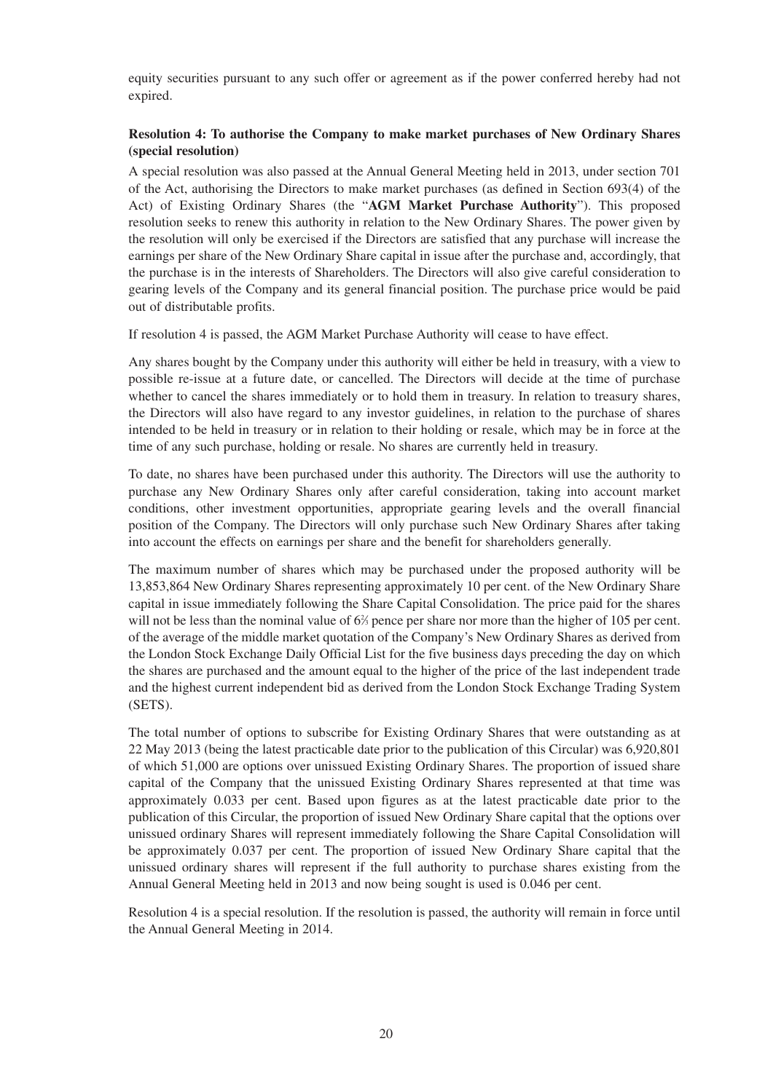equity securities pursuant to any such offer or agreement as if the power conferred hereby had not expired.

## **Resolution 4: To authorise the Company to make market purchases of New Ordinary Shares (special resolution)**

A special resolution was also passed at the Annual General Meeting held in 2013, under section 701 of the Act, authorising the Directors to make market purchases (as defined in Section 693(4) of the Act) of Existing Ordinary Shares (the "**AGM Market Purchase Authority**"). This proposed resolution seeks to renew this authority in relation to the New Ordinary Shares. The power given by the resolution will only be exercised if the Directors are satisfied that any purchase will increase the earnings per share of the New Ordinary Share capital in issue after the purchase and, accordingly, that the purchase is in the interests of Shareholders. The Directors will also give careful consideration to gearing levels of the Company and its general financial position. The purchase price would be paid out of distributable profits.

If resolution 4 is passed, the AGM Market Purchase Authority will cease to have effect.

Any shares bought by the Company under this authority will either be held in treasury, with a view to possible re-issue at a future date, or cancelled. The Directors will decide at the time of purchase whether to cancel the shares immediately or to hold them in treasury. In relation to treasury shares, the Directors will also have regard to any investor guidelines, in relation to the purchase of shares intended to be held in treasury or in relation to their holding or resale, which may be in force at the time of any such purchase, holding or resale. No shares are currently held in treasury.

To date, no shares have been purchased under this authority. The Directors will use the authority to purchase any New Ordinary Shares only after careful consideration, taking into account market conditions, other investment opportunities, appropriate gearing levels and the overall financial position of the Company. The Directors will only purchase such New Ordinary Shares after taking into account the effects on earnings per share and the benefit for shareholders generally.

The maximum number of shares which may be purchased under the proposed authority will be 13,853,864 New Ordinary Shares representing approximately 10 per cent. of the New Ordinary Share capital in issue immediately following the Share Capital Consolidation. The price paid for the shares will not be less than the nominal value of 6<sup>2</sup>/<sub>3</sub> pence per share nor more than the higher of 105 per cent. of the average of the middle market quotation of the Company's New Ordinary Shares as derived from the London Stock Exchange Daily Official List for the five business days preceding the day on which the shares are purchased and the amount equal to the higher of the price of the last independent trade and the highest current independent bid as derived from the London Stock Exchange Trading System (SETS).

The total number of options to subscribe for Existing Ordinary Shares that were outstanding as at 22 May 2013 (being the latest practicable date prior to the publication of this Circular) was 6,920,801 of which 51,000 are options over unissued Existing Ordinary Shares. The proportion of issued share capital of the Company that the unissued Existing Ordinary Shares represented at that time was approximately 0.033 per cent. Based upon figures as at the latest practicable date prior to the publication of this Circular, the proportion of issued New Ordinary Share capital that the options over unissued ordinary Shares will represent immediately following the Share Capital Consolidation will be approximately 0.037 per cent. The proportion of issued New Ordinary Share capital that the unissued ordinary shares will represent if the full authority to purchase shares existing from the Annual General Meeting held in 2013 and now being sought is used is 0.046 per cent.

Resolution 4 is a special resolution. If the resolution is passed, the authority will remain in force until the Annual General Meeting in 2014.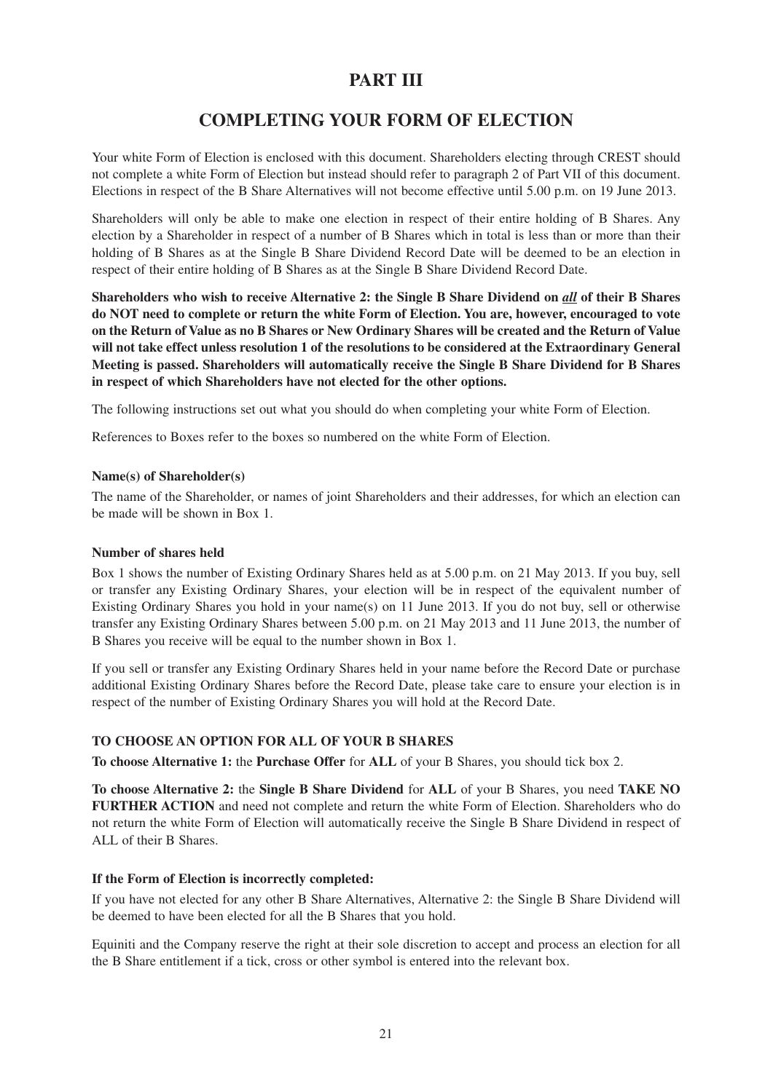## **PART III**

## **COMPLETING YOUR FORM OF ELECTION**

Your white Form of Election is enclosed with this document. Shareholders electing through CREST should not complete a white Form of Election but instead should refer to paragraph 2 of Part VII of this document. Elections in respect of the B Share Alternatives will not become effective until 5.00 p.m. on 19 June 2013.

Shareholders will only be able to make one election in respect of their entire holding of B Shares. Any election by a Shareholder in respect of a number of B Shares which in total is less than or more than their holding of B Shares as at the Single B Share Dividend Record Date will be deemed to be an election in respect of their entire holding of B Shares as at the Single B Share Dividend Record Date.

**Shareholders who wish to receive Alternative 2: the Single B Share Dividend on** *all* **of their B Shares do NOT need to complete or return the white Form of Election. You are, however, encouraged to vote on the Return of Value as no B Shares or New Ordinary Shares will be created and the Return of Value will not take effect unless resolution 1 of the resolutions to be considered at the Extraordinary General Meeting is passed. Shareholders will automatically receive the Single B Share Dividend for B Shares in respect of which Shareholders have not elected for the other options.**

The following instructions set out what you should do when completing your white Form of Election.

References to Boxes refer to the boxes so numbered on the white Form of Election.

#### **Name(s) of Shareholder(s)**

The name of the Shareholder, or names of joint Shareholders and their addresses, for which an election can be made will be shown in Box 1.

#### **Number of shares held**

Box 1 shows the number of Existing Ordinary Shares held as at 5.00 p.m. on 21 May 2013. If you buy, sell or transfer any Existing Ordinary Shares, your election will be in respect of the equivalent number of Existing Ordinary Shares you hold in your name(s) on 11 June 2013. If you do not buy, sell or otherwise transfer any Existing Ordinary Shares between 5.00 p.m. on 21 May 2013 and 11 June 2013, the number of B Shares you receive will be equal to the number shown in Box 1.

If you sell or transfer any Existing Ordinary Shares held in your name before the Record Date or purchase additional Existing Ordinary Shares before the Record Date, please take care to ensure your election is in respect of the number of Existing Ordinary Shares you will hold at the Record Date.

## **TO CHOOSE AN OPTION FOR ALL OF YOUR B SHARES**

**To choose Alternative 1:** the **Purchase Offer** for **ALL** of your B Shares, you should tick box 2.

**To choose Alternative 2:** the **Single B Share Dividend** for **ALL** of your B Shares, you need **TAKE NO FURTHER ACTION** and need not complete and return the white Form of Election. Shareholders who do not return the white Form of Election will automatically receive the Single B Share Dividend in respect of ALL of their B Shares.

## **If the Form of Election is incorrectly completed:**

If you have not elected for any other B Share Alternatives, Alternative 2: the Single B Share Dividend will be deemed to have been elected for all the B Shares that you hold.

Equiniti and the Company reserve the right at their sole discretion to accept and process an election for all the B Share entitlement if a tick, cross or other symbol is entered into the relevant box.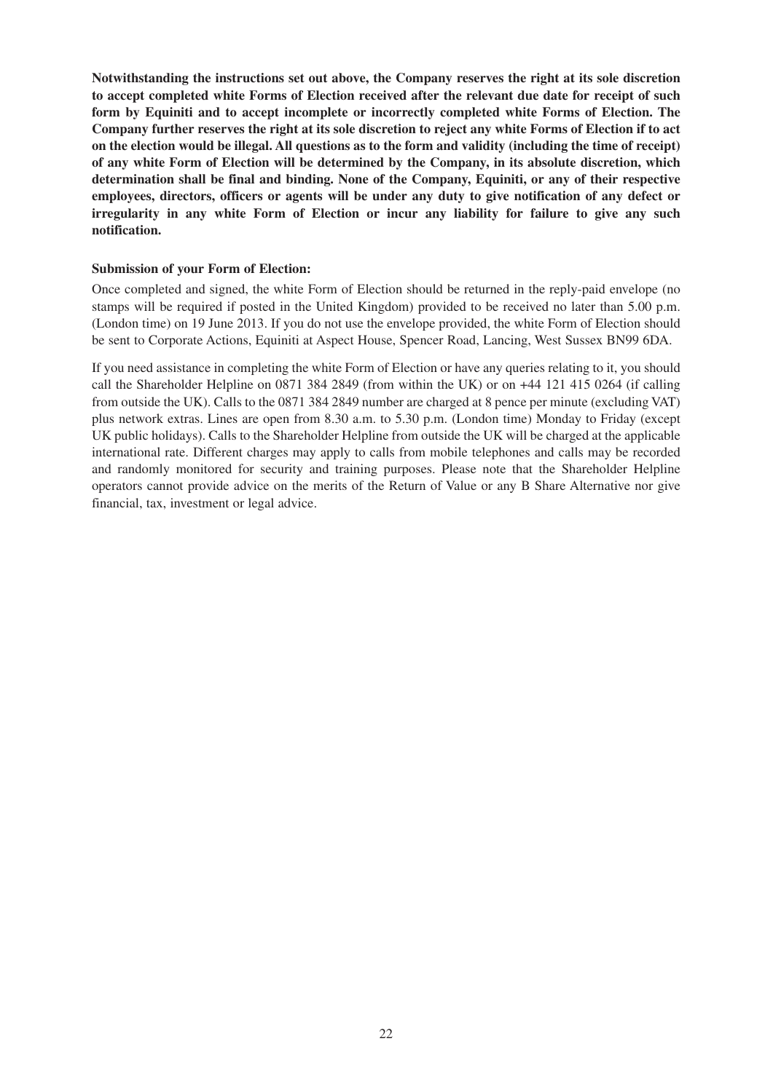**Notwithstanding the instructions set out above, the Company reserves the right at its sole discretion to accept completed white Forms of Election received after the relevant due date for receipt of such form by Equiniti and to accept incomplete or incorrectly completed white Forms of Election. The Company further reserves the right at its sole discretion to reject any white Forms of Election if to act on the election would be illegal. All questions as to the form and validity (including the time of receipt) of any white Form of Election will be determined by the Company, in its absolute discretion, which determination shall be final and binding. None of the Company, Equiniti, or any of their respective employees, directors, officers or agents will be under any duty to give notification of any defect or irregularity in any white Form of Election or incur any liability for failure to give any such notification.**

#### **Submission of your Form of Election:**

Once completed and signed, the white Form of Election should be returned in the reply-paid envelope (no stamps will be required if posted in the United Kingdom) provided to be received no later than 5.00 p.m. (London time) on 19 June 2013. If you do not use the envelope provided, the white Form of Election should be sent to Corporate Actions, Equiniti at Aspect House, Spencer Road, Lancing, West Sussex BN99 6DA.

If you need assistance in completing the white Form of Election or have any queries relating to it, you should call the Shareholder Helpline on 0871 384 2849 (from within the UK) or on +44 121 415 0264 (if calling from outside the UK). Calls to the 0871 384 2849 number are charged at 8 pence per minute (excluding VAT) plus network extras. Lines are open from 8.30 a.m. to 5.30 p.m. (London time) Monday to Friday (except UK public holidays). Calls to the Shareholder Helpline from outside the UK will be charged at the applicable international rate. Different charges may apply to calls from mobile telephones and calls may be recorded and randomly monitored for security and training purposes. Please note that the Shareholder Helpline operators cannot provide advice on the merits of the Return of Value or any B Share Alternative nor give financial, tax, investment or legal advice.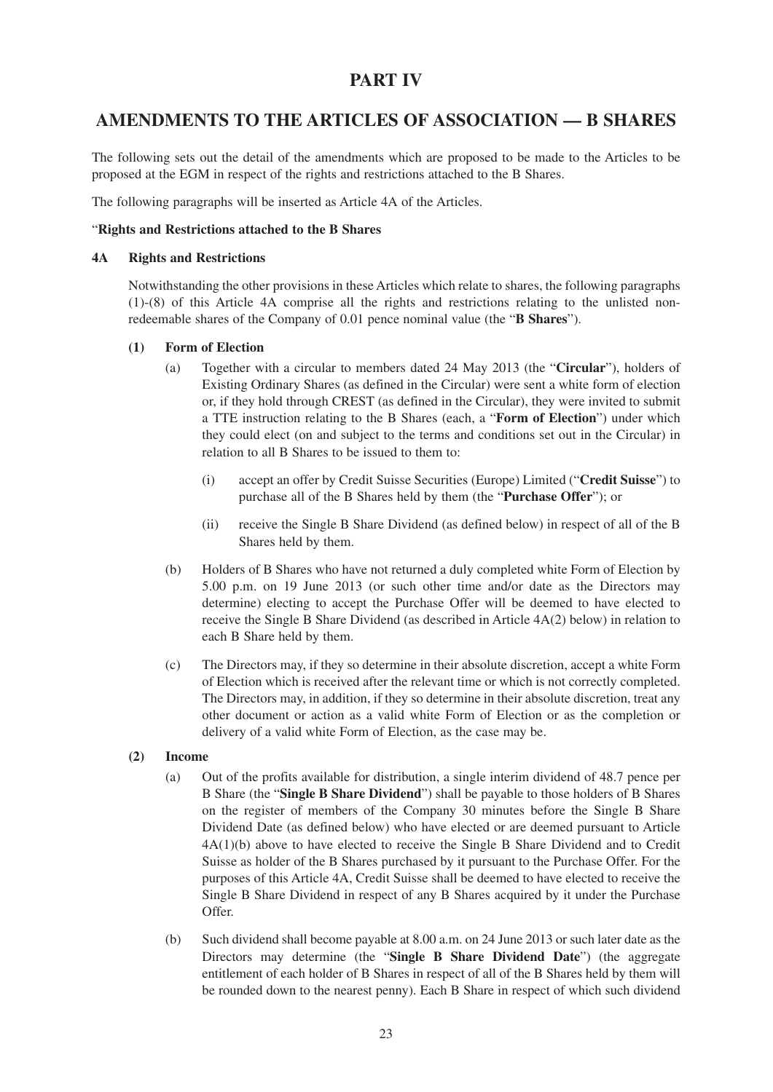## **PART IV**

## **AMENDMENTS TO THE ARTICLES OF ASSOCIATION — B SHARES**

The following sets out the detail of the amendments which are proposed to be made to the Articles to be proposed at the EGM in respect of the rights and restrictions attached to the B Shares.

The following paragraphs will be inserted as Article 4A of the Articles.

### "**Rights and Restrictions attached to the B Shares**

#### **4A Rights and Restrictions**

Notwithstanding the other provisions in these Articles which relate to shares, the following paragraphs (1)-(8) of this Article 4A comprise all the rights and restrictions relating to the unlisted nonredeemable shares of the Company of 0.01 pence nominal value (the "**B Shares**").

#### **(1) Form of Election**

- (a) Together with a circular to members dated 24 May 2013 (the "**Circular**"), holders of Existing Ordinary Shares (as defined in the Circular) were sent a white form of election or, if they hold through CREST (as defined in the Circular), they were invited to submit a TTE instruction relating to the B Shares (each, a "**Form of Election**") under which they could elect (on and subject to the terms and conditions set out in the Circular) in relation to all B Shares to be issued to them to:
	- (i) accept an offer by Credit Suisse Securities (Europe) Limited ("**Credit Suisse**") to purchase all of the B Shares held by them (the "**Purchase Offer**"); or
	- (ii) receive the Single B Share Dividend (as defined below) in respect of all of the B Shares held by them.
- (b) Holders of B Shares who have not returned a duly completed white Form of Election by 5.00 p.m. on 19 June 2013 (or such other time and/or date as the Directors may determine) electing to accept the Purchase Offer will be deemed to have elected to receive the Single B Share Dividend (as described in Article 4A(2) below) in relation to each B Share held by them.
- (c) The Directors may, if they so determine in their absolute discretion, accept a white Form of Election which is received after the relevant time or which is not correctly completed. The Directors may, in addition, if they so determine in their absolute discretion, treat any other document or action as a valid white Form of Election or as the completion or delivery of a valid white Form of Election, as the case may be.
- **(2) Income**
	- (a) Out of the profits available for distribution, a single interim dividend of 48.7 pence per B Share (the "**Single B Share Dividend**") shall be payable to those holders of B Shares on the register of members of the Company 30 minutes before the Single B Share Dividend Date (as defined below) who have elected or are deemed pursuant to Article 4A(1)(b) above to have elected to receive the Single B Share Dividend and to Credit Suisse as holder of the B Shares purchased by it pursuant to the Purchase Offer. For the purposes of this Article 4A, Credit Suisse shall be deemed to have elected to receive the Single B Share Dividend in respect of any B Shares acquired by it under the Purchase Offer.
	- (b) Such dividend shall become payable at 8.00 a.m. on 24 June 2013 or such later date as the Directors may determine (the "**Single B Share Dividend Date**") (the aggregate entitlement of each holder of B Shares in respect of all of the B Shares held by them will be rounded down to the nearest penny). Each B Share in respect of which such dividend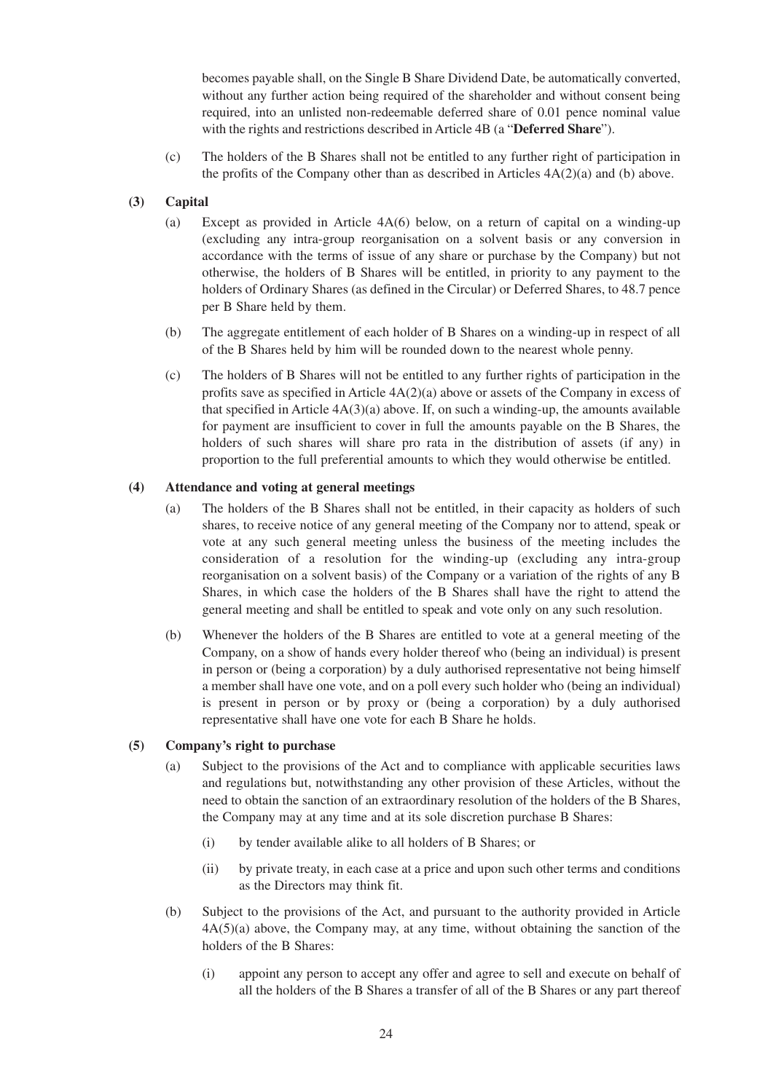becomes payable shall, on the Single B Share Dividend Date, be automatically converted, without any further action being required of the shareholder and without consent being required, into an unlisted non-redeemable deferred share of 0.01 pence nominal value with the rights and restrictions described in Article 4B (a "**Deferred Share**").

(c) The holders of the B Shares shall not be entitled to any further right of participation in the profits of the Company other than as described in Articles  $4A(2)(a)$  and (b) above.

## **(3) Capital**

- (a) Except as provided in Article 4A(6) below, on a return of capital on a winding-up (excluding any intra-group reorganisation on a solvent basis or any conversion in accordance with the terms of issue of any share or purchase by the Company) but not otherwise, the holders of B Shares will be entitled, in priority to any payment to the holders of Ordinary Shares (as defined in the Circular) or Deferred Shares, to 48.7 pence per B Share held by them.
- (b) The aggregate entitlement of each holder of B Shares on a winding-up in respect of all of the B Shares held by him will be rounded down to the nearest whole penny.
- (c) The holders of B Shares will not be entitled to any further rights of participation in the profits save as specified in Article  $4A(2)(a)$  above or assets of the Company in excess of that specified in Article  $4A(3)(a)$  above. If, on such a winding-up, the amounts available for payment are insufficient to cover in full the amounts payable on the B Shares, the holders of such shares will share pro rata in the distribution of assets (if any) in proportion to the full preferential amounts to which they would otherwise be entitled.

## **(4) Attendance and voting at general meetings**

- (a) The holders of the B Shares shall not be entitled, in their capacity as holders of such shares, to receive notice of any general meeting of the Company nor to attend, speak or vote at any such general meeting unless the business of the meeting includes the consideration of a resolution for the winding-up (excluding any intra-group reorganisation on a solvent basis) of the Company or a variation of the rights of any B Shares, in which case the holders of the B Shares shall have the right to attend the general meeting and shall be entitled to speak and vote only on any such resolution.
- (b) Whenever the holders of the B Shares are entitled to vote at a general meeting of the Company, on a show of hands every holder thereof who (being an individual) is present in person or (being a corporation) by a duly authorised representative not being himself a member shall have one vote, and on a poll every such holder who (being an individual) is present in person or by proxy or (being a corporation) by a duly authorised representative shall have one vote for each B Share he holds.

#### **(5) Company's right to purchase**

- (a) Subject to the provisions of the Act and to compliance with applicable securities laws and regulations but, notwithstanding any other provision of these Articles, without the need to obtain the sanction of an extraordinary resolution of the holders of the B Shares, the Company may at any time and at its sole discretion purchase B Shares:
	- (i) by tender available alike to all holders of B Shares; or
	- (ii) by private treaty, in each case at a price and upon such other terms and conditions as the Directors may think fit.
- (b) Subject to the provisions of the Act, and pursuant to the authority provided in Article 4A(5)(a) above, the Company may, at any time, without obtaining the sanction of the holders of the B Shares:
	- (i) appoint any person to accept any offer and agree to sell and execute on behalf of all the holders of the B Shares a transfer of all of the B Shares or any part thereof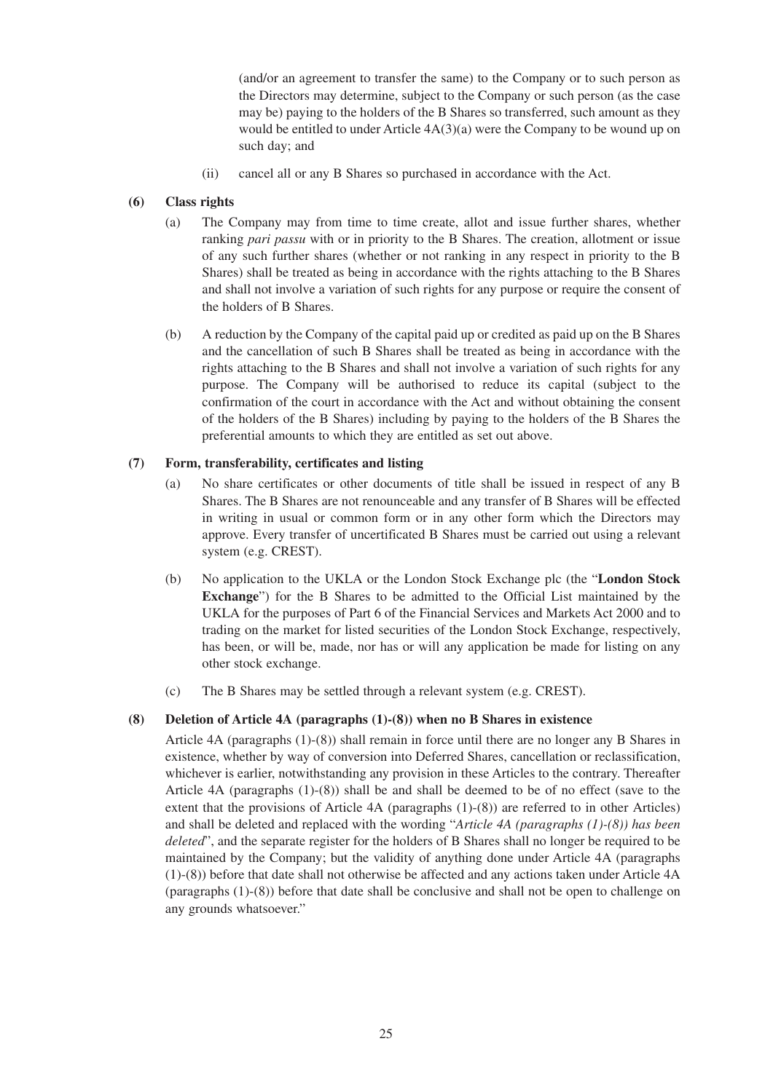(and/or an agreement to transfer the same) to the Company or to such person as the Directors may determine, subject to the Company or such person (as the case may be) paying to the holders of the B Shares so transferred, such amount as they would be entitled to under Article 4A(3)(a) were the Company to be wound up on such day; and

(ii) cancel all or any B Shares so purchased in accordance with the Act.

## **(6) Class rights**

- (a) The Company may from time to time create, allot and issue further shares, whether ranking *pari passu* with or in priority to the B Shares. The creation, allotment or issue of any such further shares (whether or not ranking in any respect in priority to the B Shares) shall be treated as being in accordance with the rights attaching to the B Shares and shall not involve a variation of such rights for any purpose or require the consent of the holders of B Shares.
- (b) A reduction by the Company of the capital paid up or credited as paid up on the B Shares and the cancellation of such B Shares shall be treated as being in accordance with the rights attaching to the B Shares and shall not involve a variation of such rights for any purpose. The Company will be authorised to reduce its capital (subject to the confirmation of the court in accordance with the Act and without obtaining the consent of the holders of the B Shares) including by paying to the holders of the B Shares the preferential amounts to which they are entitled as set out above.

## **(7) Form, transferability, certificates and listing**

- (a) No share certificates or other documents of title shall be issued in respect of any B Shares. The B Shares are not renounceable and any transfer of B Shares will be effected in writing in usual or common form or in any other form which the Directors may approve. Every transfer of uncertificated B Shares must be carried out using a relevant system (e.g. CREST).
- (b) No application to the UKLA or the London Stock Exchange plc (the "**London Stock Exchange**") for the B Shares to be admitted to the Official List maintained by the UKLA for the purposes of Part 6 of the Financial Services and Markets Act 2000 and to trading on the market for listed securities of the London Stock Exchange, respectively, has been, or will be, made, nor has or will any application be made for listing on any other stock exchange.
- (c) The B Shares may be settled through a relevant system (e.g. CREST).

## **(8) Deletion of Article 4A (paragraphs (1)-(8)) when no B Shares in existence**

Article 4A (paragraphs (1)-(8)) shall remain in force until there are no longer any B Shares in existence, whether by way of conversion into Deferred Shares, cancellation or reclassification, whichever is earlier, notwithstanding any provision in these Articles to the contrary. Thereafter Article 4A (paragraphs (1)-(8)) shall be and shall be deemed to be of no effect (save to the extent that the provisions of Article 4A (paragraphs (1)-(8)) are referred to in other Articles) and shall be deleted and replaced with the wording "*Article 4A (paragraphs (1)-(8)) has been deleted*", and the separate register for the holders of B Shares shall no longer be required to be maintained by the Company; but the validity of anything done under Article 4A (paragraphs (1)-(8)) before that date shall not otherwise be affected and any actions taken under Article 4A (paragraphs (1)-(8)) before that date shall be conclusive and shall not be open to challenge on any grounds whatsoever."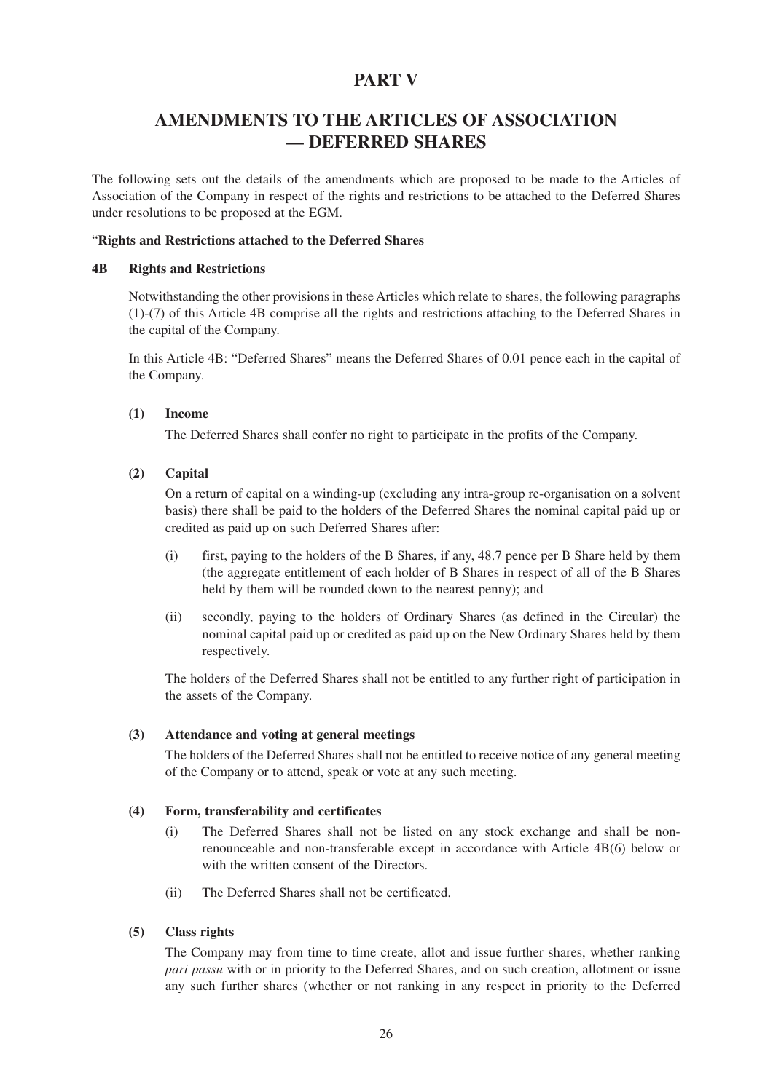## **PART V**

## **AMENDMENTS TO THE ARTICLES OF ASSOCIATION — DEFERRED SHARES**

The following sets out the details of the amendments which are proposed to be made to the Articles of Association of the Company in respect of the rights and restrictions to be attached to the Deferred Shares under resolutions to be proposed at the EGM.

#### "**Rights and Restrictions attached to the Deferred Shares**

#### **4B Rights and Restrictions**

Notwithstanding the other provisions in these Articles which relate to shares, the following paragraphs (1)-(7) of this Article 4B comprise all the rights and restrictions attaching to the Deferred Shares in the capital of the Company.

In this Article 4B: "Deferred Shares" means the Deferred Shares of 0.01 pence each in the capital of the Company.

#### **(1) Income**

The Deferred Shares shall confer no right to participate in the profits of the Company.

## **(2) Capital**

On a return of capital on a winding-up (excluding any intra-group re-organisation on a solvent basis) there shall be paid to the holders of the Deferred Shares the nominal capital paid up or credited as paid up on such Deferred Shares after:

- (i) first, paying to the holders of the B Shares, if any, 48.7 pence per B Share held by them (the aggregate entitlement of each holder of B Shares in respect of all of the B Shares held by them will be rounded down to the nearest penny); and
- (ii) secondly, paying to the holders of Ordinary Shares (as defined in the Circular) the nominal capital paid up or credited as paid up on the New Ordinary Shares held by them respectively.

The holders of the Deferred Shares shall not be entitled to any further right of participation in the assets of the Company.

#### **(3) Attendance and voting at general meetings**

The holders of the Deferred Shares shall not be entitled to receive notice of any general meeting of the Company or to attend, speak or vote at any such meeting.

#### **(4) Form, transferability and certificates**

- (i) The Deferred Shares shall not be listed on any stock exchange and shall be nonrenounceable and non-transferable except in accordance with Article 4B(6) below or with the written consent of the Directors.
- (ii) The Deferred Shares shall not be certificated.

## **(5) Class rights**

The Company may from time to time create, allot and issue further shares, whether ranking *pari passu* with or in priority to the Deferred Shares, and on such creation, allotment or issue any such further shares (whether or not ranking in any respect in priority to the Deferred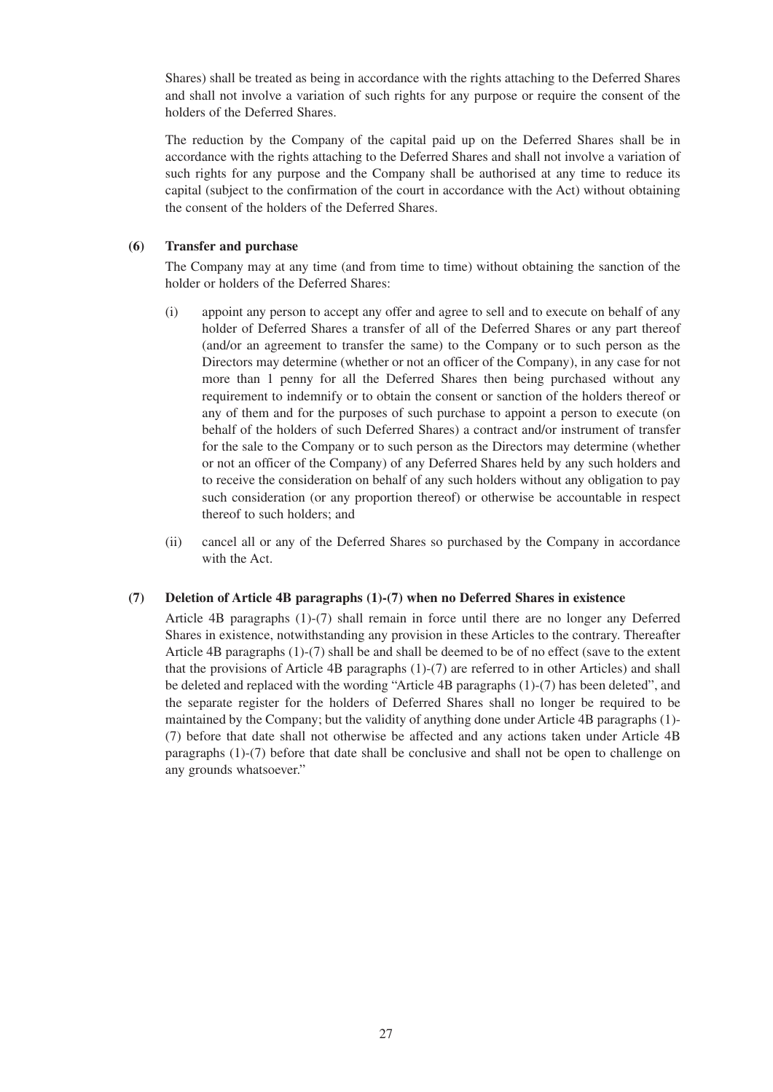Shares) shall be treated as being in accordance with the rights attaching to the Deferred Shares and shall not involve a variation of such rights for any purpose or require the consent of the holders of the Deferred Shares.

The reduction by the Company of the capital paid up on the Deferred Shares shall be in accordance with the rights attaching to the Deferred Shares and shall not involve a variation of such rights for any purpose and the Company shall be authorised at any time to reduce its capital (subject to the confirmation of the court in accordance with the Act) without obtaining the consent of the holders of the Deferred Shares.

## **(6) Transfer and purchase**

The Company may at any time (and from time to time) without obtaining the sanction of the holder or holders of the Deferred Shares:

- (i) appoint any person to accept any offer and agree to sell and to execute on behalf of any holder of Deferred Shares a transfer of all of the Deferred Shares or any part thereof (and/or an agreement to transfer the same) to the Company or to such person as the Directors may determine (whether or not an officer of the Company), in any case for not more than 1 penny for all the Deferred Shares then being purchased without any requirement to indemnify or to obtain the consent or sanction of the holders thereof or any of them and for the purposes of such purchase to appoint a person to execute (on behalf of the holders of such Deferred Shares) a contract and/or instrument of transfer for the sale to the Company or to such person as the Directors may determine (whether or not an officer of the Company) of any Deferred Shares held by any such holders and to receive the consideration on behalf of any such holders without any obligation to pay such consideration (or any proportion thereof) or otherwise be accountable in respect thereof to such holders; and
- (ii) cancel all or any of the Deferred Shares so purchased by the Company in accordance with the Act.

## **(7) Deletion of Article 4B paragraphs (1)-(7) when no Deferred Shares in existence**

Article 4B paragraphs (1)-(7) shall remain in force until there are no longer any Deferred Shares in existence, notwithstanding any provision in these Articles to the contrary. Thereafter Article 4B paragraphs (1)-(7) shall be and shall be deemed to be of no effect (save to the extent that the provisions of Article 4B paragraphs (1)-(7) are referred to in other Articles) and shall be deleted and replaced with the wording "Article 4B paragraphs (1)-(7) has been deleted", and the separate register for the holders of Deferred Shares shall no longer be required to be maintained by the Company; but the validity of anything done under Article 4B paragraphs (1)- (7) before that date shall not otherwise be affected and any actions taken under Article 4B paragraphs (1)-(7) before that date shall be conclusive and shall not be open to challenge on any grounds whatsoever."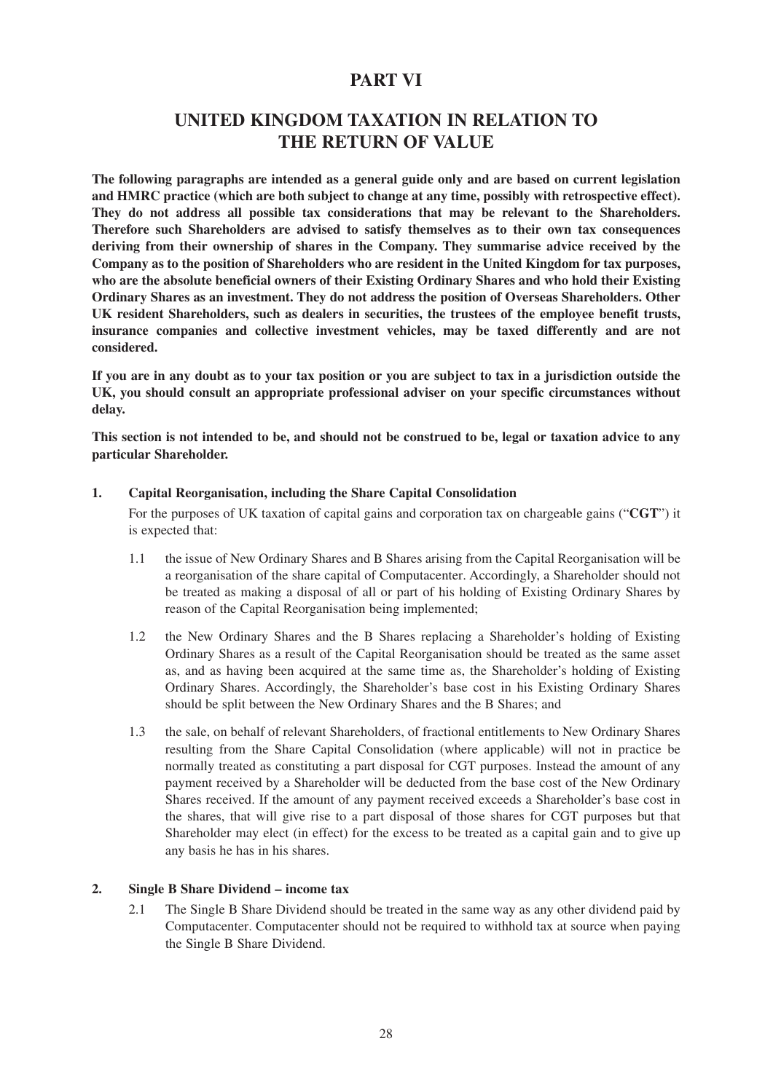## **PART VI**

## **UNITED KINGDOM TAXATION IN RELATION TO THE RETURN OF VALUE**

**The following paragraphs are intended as a general guide only and are based on current legislation and HMRC practice (which are both subject to change at any time, possibly with retrospective effect). They do not address all possible tax considerations that may be relevant to the Shareholders. Therefore such Shareholders are advised to satisfy themselves as to their own tax consequences deriving from their ownership of shares in the Company. They summarise advice received by the Company as to the position of Shareholders who are resident in the United Kingdom for tax purposes, who are the absolute beneficial owners of their Existing Ordinary Shares and who hold their Existing Ordinary Shares as an investment. They do not address the position of Overseas Shareholders. Other UK resident Shareholders, such as dealers in securities, the trustees of the employee benefit trusts, insurance companies and collective investment vehicles, may be taxed differently and are not considered.**

**If you are in any doubt as to your tax position or you are subject to tax in a jurisdiction outside the UK, you should consult an appropriate professional adviser on your specific circumstances without delay.**

**This section is not intended to be, and should not be construed to be, legal or taxation advice to any particular Shareholder.**

### **1. Capital Reorganisation, including the Share Capital Consolidation**

For the purposes of UK taxation of capital gains and corporation tax on chargeable gains ("**CGT**") it is expected that:

- 1.1 the issue of New Ordinary Shares and B Shares arising from the Capital Reorganisation will be a reorganisation of the share capital of Computacenter. Accordingly, a Shareholder should not be treated as making a disposal of all or part of his holding of Existing Ordinary Shares by reason of the Capital Reorganisation being implemented;
- 1.2 the New Ordinary Shares and the B Shares replacing a Shareholder's holding of Existing Ordinary Shares as a result of the Capital Reorganisation should be treated as the same asset as, and as having been acquired at the same time as, the Shareholder's holding of Existing Ordinary Shares. Accordingly, the Shareholder's base cost in his Existing Ordinary Shares should be split between the New Ordinary Shares and the B Shares; and
- 1.3 the sale, on behalf of relevant Shareholders, of fractional entitlements to New Ordinary Shares resulting from the Share Capital Consolidation (where applicable) will not in practice be normally treated as constituting a part disposal for CGT purposes. Instead the amount of any payment received by a Shareholder will be deducted from the base cost of the New Ordinary Shares received. If the amount of any payment received exceeds a Shareholder's base cost in the shares, that will give rise to a part disposal of those shares for CGT purposes but that Shareholder may elect (in effect) for the excess to be treated as a capital gain and to give up any basis he has in his shares.

## **2. Single B Share Dividend – income tax**

2.1 The Single B Share Dividend should be treated in the same way as any other dividend paid by Computacenter. Computacenter should not be required to withhold tax at source when paying the Single B Share Dividend.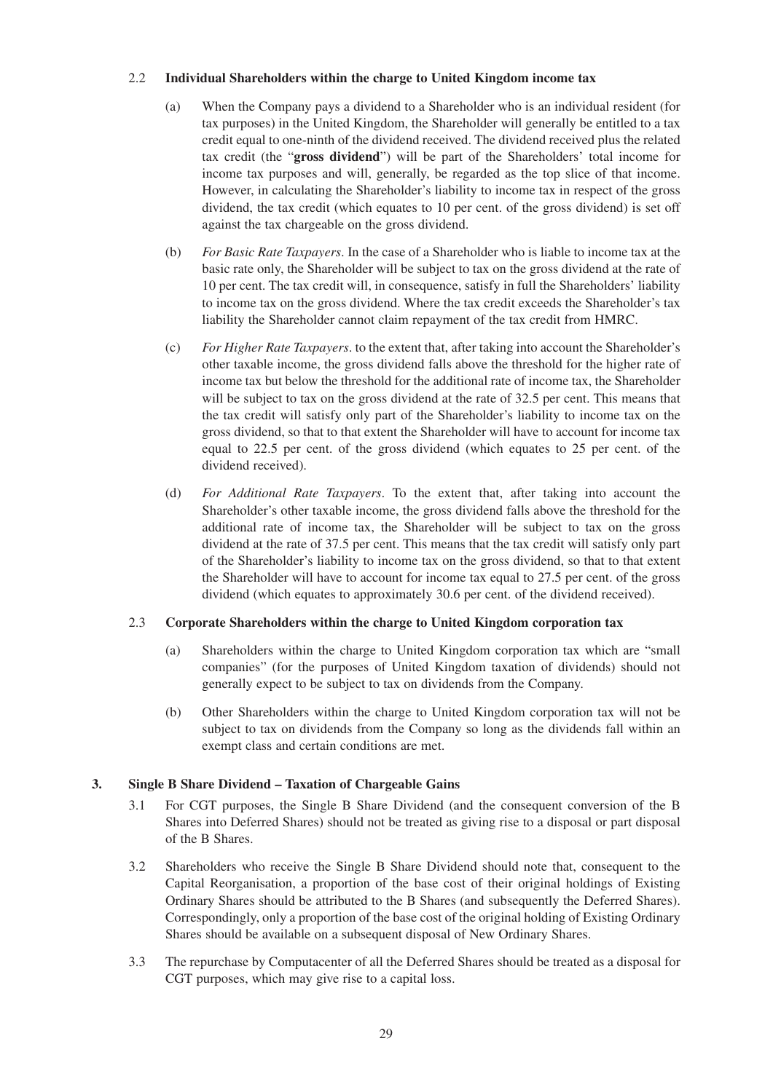### 2.2 **Individual Shareholders within the charge to United Kingdom income tax**

- (a) When the Company pays a dividend to a Shareholder who is an individual resident (for tax purposes) in the United Kingdom, the Shareholder will generally be entitled to a tax credit equal to one-ninth of the dividend received. The dividend received plus the related tax credit (the "**gross dividend**") will be part of the Shareholders' total income for income tax purposes and will, generally, be regarded as the top slice of that income. However, in calculating the Shareholder's liability to income tax in respect of the gross dividend, the tax credit (which equates to 10 per cent. of the gross dividend) is set off against the tax chargeable on the gross dividend.
- (b) *For Basic Rate Taxpayers*. In the case of a Shareholder who is liable to income tax at the basic rate only, the Shareholder will be subject to tax on the gross dividend at the rate of 10 per cent. The tax credit will, in consequence, satisfy in full the Shareholders' liability to income tax on the gross dividend. Where the tax credit exceeds the Shareholder's tax liability the Shareholder cannot claim repayment of the tax credit from HMRC.
- (c) *For Higher Rate Taxpayers*. to the extent that, after taking into account the Shareholder's other taxable income, the gross dividend falls above the threshold for the higher rate of income tax but below the threshold for the additional rate of income tax, the Shareholder will be subject to tax on the gross dividend at the rate of 32.5 per cent. This means that the tax credit will satisfy only part of the Shareholder's liability to income tax on the gross dividend, so that to that extent the Shareholder will have to account for income tax equal to 22.5 per cent. of the gross dividend (which equates to 25 per cent. of the dividend received).
- (d) *For Additional Rate Taxpayers*. To the extent that, after taking into account the Shareholder's other taxable income, the gross dividend falls above the threshold for the additional rate of income tax, the Shareholder will be subject to tax on the gross dividend at the rate of 37.5 per cent. This means that the tax credit will satisfy only part of the Shareholder's liability to income tax on the gross dividend, so that to that extent the Shareholder will have to account for income tax equal to 27.5 per cent. of the gross dividend (which equates to approximately 30.6 per cent. of the dividend received).

## 2.3 **Corporate Shareholders within the charge to United Kingdom corporation tax**

- (a) Shareholders within the charge to United Kingdom corporation tax which are "small companies" (for the purposes of United Kingdom taxation of dividends) should not generally expect to be subject to tax on dividends from the Company.
- (b) Other Shareholders within the charge to United Kingdom corporation tax will not be subject to tax on dividends from the Company so long as the dividends fall within an exempt class and certain conditions are met.

## **3. Single B Share Dividend – Taxation of Chargeable Gains**

- 3.1 For CGT purposes, the Single B Share Dividend (and the consequent conversion of the B Shares into Deferred Shares) should not be treated as giving rise to a disposal or part disposal of the B Shares.
- 3.2 Shareholders who receive the Single B Share Dividend should note that, consequent to the Capital Reorganisation, a proportion of the base cost of their original holdings of Existing Ordinary Shares should be attributed to the B Shares (and subsequently the Deferred Shares). Correspondingly, only a proportion of the base cost of the original holding of Existing Ordinary Shares should be available on a subsequent disposal of New Ordinary Shares.
- 3.3 The repurchase by Computacenter of all the Deferred Shares should be treated as a disposal for CGT purposes, which may give rise to a capital loss.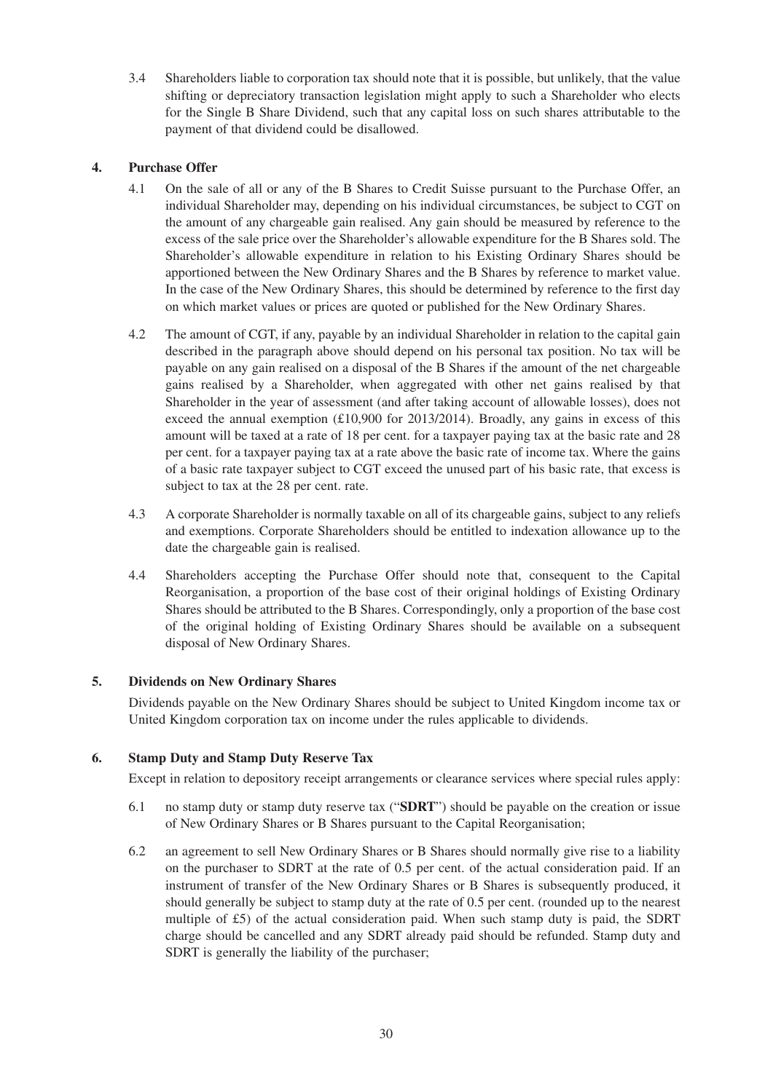3.4 Shareholders liable to corporation tax should note that it is possible, but unlikely, that the value shifting or depreciatory transaction legislation might apply to such a Shareholder who elects for the Single B Share Dividend, such that any capital loss on such shares attributable to the payment of that dividend could be disallowed.

## **4. Purchase Offer**

- 4.1 On the sale of all or any of the B Shares to Credit Suisse pursuant to the Purchase Offer, an individual Shareholder may, depending on his individual circumstances, be subject to CGT on the amount of any chargeable gain realised. Any gain should be measured by reference to the excess of the sale price over the Shareholder's allowable expenditure for the B Shares sold. The Shareholder's allowable expenditure in relation to his Existing Ordinary Shares should be apportioned between the New Ordinary Shares and the B Shares by reference to market value. In the case of the New Ordinary Shares, this should be determined by reference to the first day on which market values or prices are quoted or published for the New Ordinary Shares.
- 4.2 The amount of CGT, if any, payable by an individual Shareholder in relation to the capital gain described in the paragraph above should depend on his personal tax position. No tax will be payable on any gain realised on a disposal of the B Shares if the amount of the net chargeable gains realised by a Shareholder, when aggregated with other net gains realised by that Shareholder in the year of assessment (and after taking account of allowable losses), does not exceed the annual exemption  $(\text{\textsterling}10,900)$  for 2013/2014). Broadly, any gains in excess of this amount will be taxed at a rate of 18 per cent. for a taxpayer paying tax at the basic rate and 28 per cent. for a taxpayer paying tax at a rate above the basic rate of income tax. Where the gains of a basic rate taxpayer subject to CGT exceed the unused part of his basic rate, that excess is subject to tax at the 28 per cent. rate.
- 4.3 A corporate Shareholder is normally taxable on all of its chargeable gains, subject to any reliefs and exemptions. Corporate Shareholders should be entitled to indexation allowance up to the date the chargeable gain is realised.
- 4.4 Shareholders accepting the Purchase Offer should note that, consequent to the Capital Reorganisation, a proportion of the base cost of their original holdings of Existing Ordinary Shares should be attributed to the B Shares. Correspondingly, only a proportion of the base cost of the original holding of Existing Ordinary Shares should be available on a subsequent disposal of New Ordinary Shares.

## **5. Dividends on New Ordinary Shares**

Dividends payable on the New Ordinary Shares should be subject to United Kingdom income tax or United Kingdom corporation tax on income under the rules applicable to dividends.

## **6. Stamp Duty and Stamp Duty Reserve Tax**

Except in relation to depository receipt arrangements or clearance services where special rules apply:

- 6.1 no stamp duty or stamp duty reserve tax ("**SDRT**") should be payable on the creation or issue of New Ordinary Shares or B Shares pursuant to the Capital Reorganisation;
- 6.2 an agreement to sell New Ordinary Shares or B Shares should normally give rise to a liability on the purchaser to SDRT at the rate of 0.5 per cent. of the actual consideration paid. If an instrument of transfer of the New Ordinary Shares or B Shares is subsequently produced, it should generally be subject to stamp duty at the rate of 0.5 per cent. (rounded up to the nearest multiple of £5) of the actual consideration paid. When such stamp duty is paid, the SDRT charge should be cancelled and any SDRT already paid should be refunded. Stamp duty and SDRT is generally the liability of the purchaser;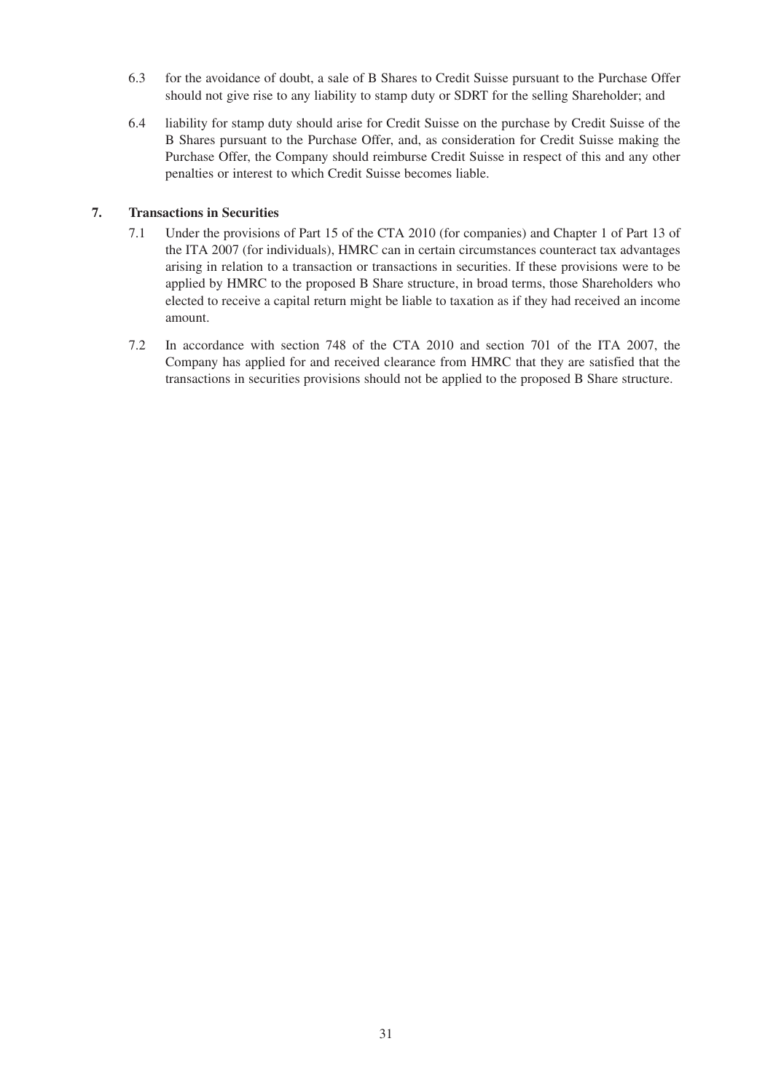- 6.3 for the avoidance of doubt, a sale of B Shares to Credit Suisse pursuant to the Purchase Offer should not give rise to any liability to stamp duty or SDRT for the selling Shareholder; and
- 6.4 liability for stamp duty should arise for Credit Suisse on the purchase by Credit Suisse of the B Shares pursuant to the Purchase Offer, and, as consideration for Credit Suisse making the Purchase Offer, the Company should reimburse Credit Suisse in respect of this and any other penalties or interest to which Credit Suisse becomes liable.

## **7. Transactions in Securities**

- 7.1 Under the provisions of Part 15 of the CTA 2010 (for companies) and Chapter 1 of Part 13 of the ITA 2007 (for individuals), HMRC can in certain circumstances counteract tax advantages arising in relation to a transaction or transactions in securities. If these provisions were to be applied by HMRC to the proposed B Share structure, in broad terms, those Shareholders who elected to receive a capital return might be liable to taxation as if they had received an income amount.
- 7.2 In accordance with section 748 of the CTA 2010 and section 701 of the ITA 2007, the Company has applied for and received clearance from HMRC that they are satisfied that the transactions in securities provisions should not be applied to the proposed B Share structure.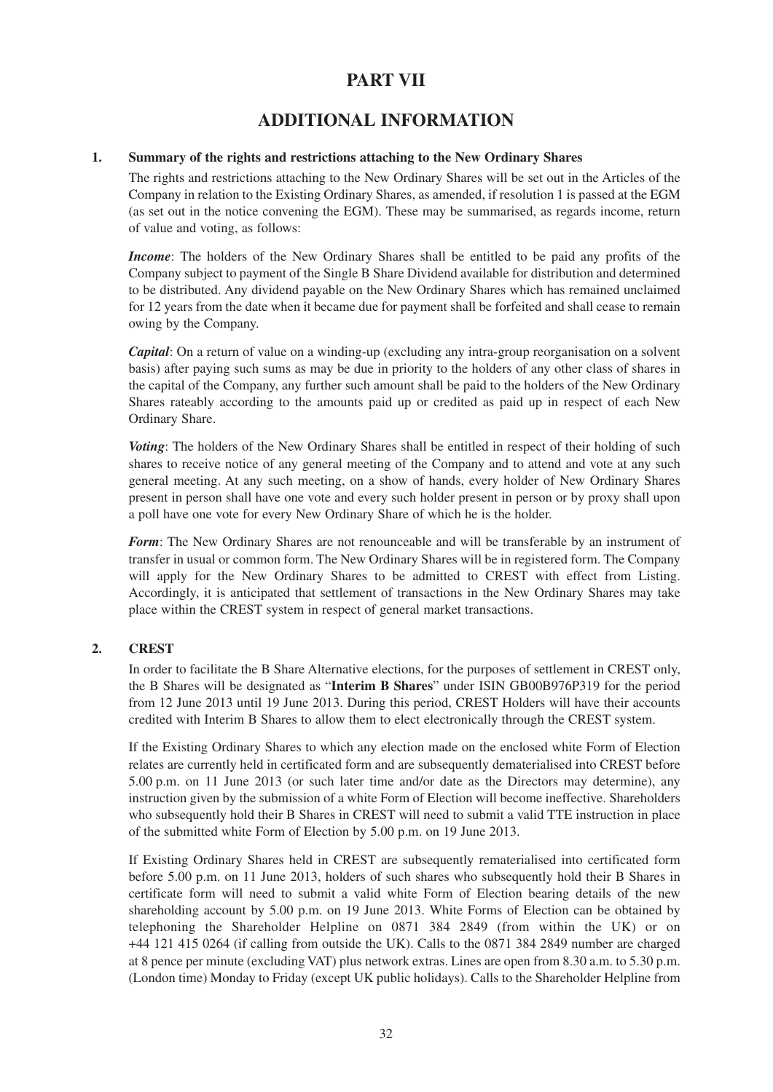## **PART VII**

## **ADDITIONAL INFORMATION**

## **1. Summary of the rights and restrictions attaching to the New Ordinary Shares**

The rights and restrictions attaching to the New Ordinary Shares will be set out in the Articles of the Company in relation to the Existing Ordinary Shares, as amended, if resolution 1 is passed at the EGM (as set out in the notice convening the EGM). These may be summarised, as regards income, return of value and voting, as follows:

*Income*: The holders of the New Ordinary Shares shall be entitled to be paid any profits of the Company subject to payment of the Single B Share Dividend available for distribution and determined to be distributed. Any dividend payable on the New Ordinary Shares which has remained unclaimed for 12 years from the date when it became due for payment shall be forfeited and shall cease to remain owing by the Company.

*Capital*: On a return of value on a winding-up (excluding any intra-group reorganisation on a solvent basis) after paying such sums as may be due in priority to the holders of any other class of shares in the capital of the Company, any further such amount shall be paid to the holders of the New Ordinary Shares rateably according to the amounts paid up or credited as paid up in respect of each New Ordinary Share.

*Voting*: The holders of the New Ordinary Shares shall be entitled in respect of their holding of such shares to receive notice of any general meeting of the Company and to attend and vote at any such general meeting. At any such meeting, on a show of hands, every holder of New Ordinary Shares present in person shall have one vote and every such holder present in person or by proxy shall upon a poll have one vote for every New Ordinary Share of which he is the holder.

*Form*: The New Ordinary Shares are not renounceable and will be transferable by an instrument of transfer in usual or common form. The New Ordinary Shares will be in registered form. The Company will apply for the New Ordinary Shares to be admitted to CREST with effect from Listing. Accordingly, it is anticipated that settlement of transactions in the New Ordinary Shares may take place within the CREST system in respect of general market transactions.

## **2. CREST**

In order to facilitate the B Share Alternative elections, for the purposes of settlement in CREST only, the B Shares will be designated as "**Interim B Shares**" under ISIN GB00B976P319 for the period from 12 June 2013 until 19 June 2013. During this period, CREST Holders will have their accounts credited with Interim B Shares to allow them to elect electronically through the CREST system.

If the Existing Ordinary Shares to which any election made on the enclosed white Form of Election relates are currently held in certificated form and are subsequently dematerialised into CREST before 5.00 p.m. on 11 June 2013 (or such later time and/or date as the Directors may determine), any instruction given by the submission of a white Form of Election will become ineffective. Shareholders who subsequently hold their B Shares in CREST will need to submit a valid TTE instruction in place of the submitted white Form of Election by 5.00 p.m. on 19 June 2013.

If Existing Ordinary Shares held in CREST are subsequently rematerialised into certificated form before 5.00 p.m. on 11 June 2013, holders of such shares who subsequently hold their B Shares in certificate form will need to submit a valid white Form of Election bearing details of the new shareholding account by 5.00 p.m. on 19 June 2013. White Forms of Election can be obtained by telephoning the Shareholder Helpline on 0871 384 2849 (from within the UK) or on +44 121 415 0264 (if calling from outside the UK). Calls to the 0871 384 2849 number are charged at 8 pence per minute (excluding VAT) plus network extras. Lines are open from 8.30 a.m. to 5.30 p.m. (London time) Monday to Friday (except UK public holidays). Calls to the Shareholder Helpline from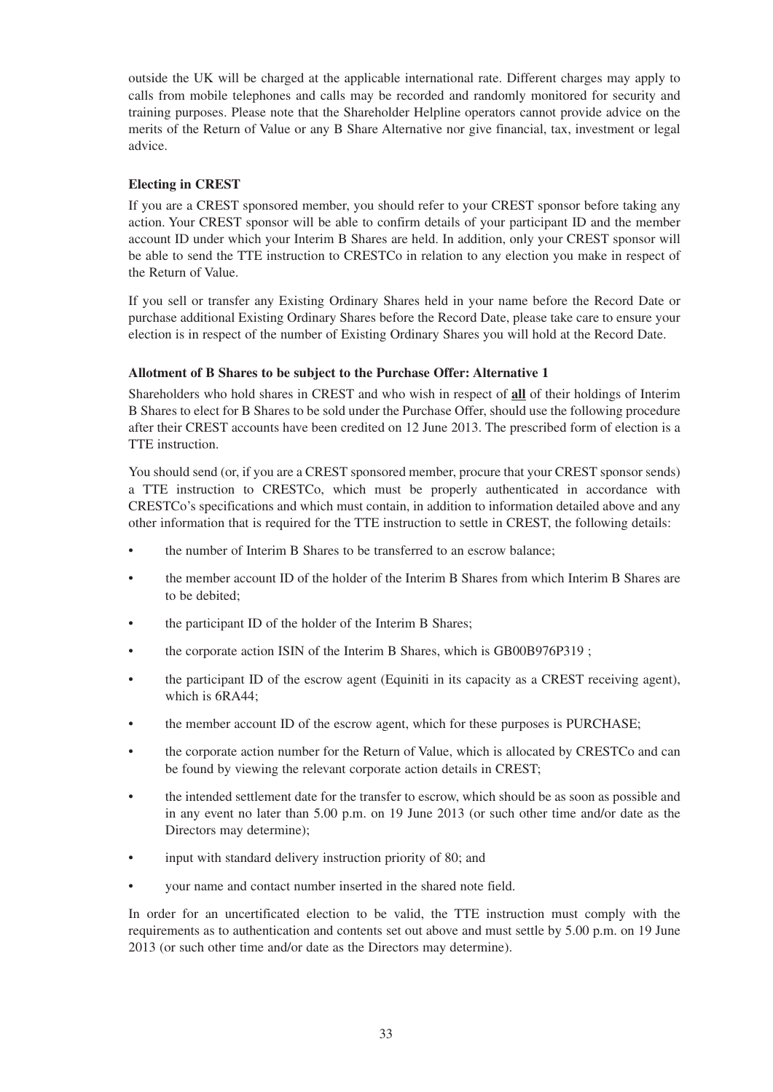outside the UK will be charged at the applicable international rate. Different charges may apply to calls from mobile telephones and calls may be recorded and randomly monitored for security and training purposes. Please note that the Shareholder Helpline operators cannot provide advice on the merits of the Return of Value or any B Share Alternative nor give financial, tax, investment or legal advice.

## **Electing in CREST**

If you are a CREST sponsored member, you should refer to your CREST sponsor before taking any action. Your CREST sponsor will be able to confirm details of your participant ID and the member account ID under which your Interim B Shares are held. In addition, only your CREST sponsor will be able to send the TTE instruction to CRESTCo in relation to any election you make in respect of the Return of Value.

If you sell or transfer any Existing Ordinary Shares held in your name before the Record Date or purchase additional Existing Ordinary Shares before the Record Date, please take care to ensure your election is in respect of the number of Existing Ordinary Shares you will hold at the Record Date.

## **Allotment of B Shares to be subject to the Purchase Offer: Alternative 1**

Shareholders who hold shares in CREST and who wish in respect of **all** of their holdings of Interim B Shares to elect for B Shares to be sold under the Purchase Offer, should use the following procedure after their CREST accounts have been credited on 12 June 2013. The prescribed form of election is a TTE instruction.

You should send (or, if you are a CREST sponsored member, procure that your CREST sponsor sends) a TTE instruction to CRESTCo, which must be properly authenticated in accordance with CRESTCo's specifications and which must contain, in addition to information detailed above and any other information that is required for the TTE instruction to settle in CREST, the following details:

- the number of Interim B Shares to be transferred to an escrow balance;
- the member account ID of the holder of the Interim B Shares from which Interim B Shares are to be debited;
- the participant ID of the holder of the Interim B Shares;
- the corporate action ISIN of the Interim B Shares, which is GB00B976P319 ;
- the participant ID of the escrow agent (Equiniti in its capacity as a CREST receiving agent), which is 6RA44;
- the member account ID of the escrow agent, which for these purposes is PURCHASE;
- the corporate action number for the Return of Value, which is allocated by CRESTCo and can be found by viewing the relevant corporate action details in CREST;
- the intended settlement date for the transfer to escrow, which should be as soon as possible and in any event no later than 5.00 p.m. on 19 June 2013 (or such other time and/or date as the Directors may determine);
- input with standard delivery instruction priority of 80; and
- your name and contact number inserted in the shared note field.

In order for an uncertificated election to be valid, the TTE instruction must comply with the requirements as to authentication and contents set out above and must settle by 5.00 p.m. on 19 June 2013 (or such other time and/or date as the Directors may determine).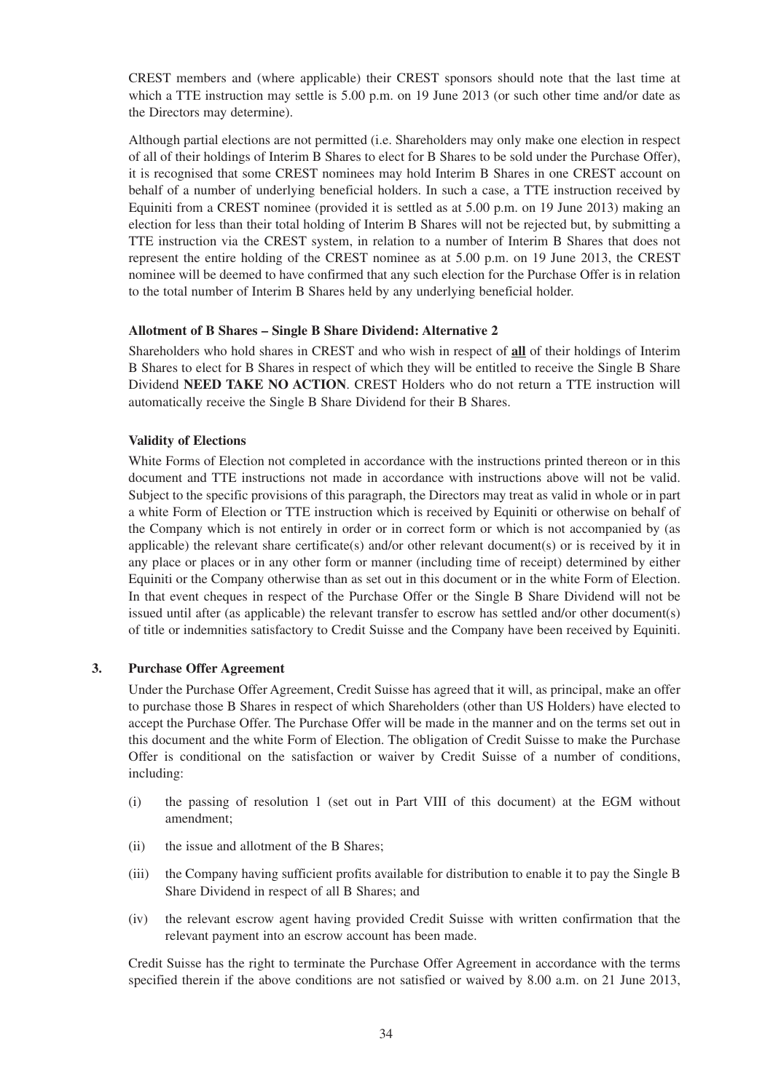CREST members and (where applicable) their CREST sponsors should note that the last time at which a TTE instruction may settle is 5.00 p.m. on 19 June 2013 (or such other time and/or date as the Directors may determine).

Although partial elections are not permitted (i.e. Shareholders may only make one election in respect of all of their holdings of Interim B Shares to elect for B Shares to be sold under the Purchase Offer), it is recognised that some CREST nominees may hold Interim B Shares in one CREST account on behalf of a number of underlying beneficial holders. In such a case, a TTE instruction received by Equiniti from a CREST nominee (provided it is settled as at 5.00 p.m. on 19 June 2013) making an election for less than their total holding of Interim B Shares will not be rejected but, by submitting a TTE instruction via the CREST system, in relation to a number of Interim B Shares that does not represent the entire holding of the CREST nominee as at 5.00 p.m. on 19 June 2013, the CREST nominee will be deemed to have confirmed that any such election for the Purchase Offer is in relation to the total number of Interim B Shares held by any underlying beneficial holder.

#### **Allotment of B Shares – Single B Share Dividend: Alternative 2**

Shareholders who hold shares in CREST and who wish in respect of **all** of their holdings of Interim B Shares to elect for B Shares in respect of which they will be entitled to receive the Single B Share Dividend **NEED TAKE NO ACTION**. CREST Holders who do not return a TTE instruction will automatically receive the Single B Share Dividend for their B Shares.

## **Validity of Elections**

White Forms of Election not completed in accordance with the instructions printed thereon or in this document and TTE instructions not made in accordance with instructions above will not be valid. Subject to the specific provisions of this paragraph, the Directors may treat as valid in whole or in part a white Form of Election or TTE instruction which is received by Equiniti or otherwise on behalf of the Company which is not entirely in order or in correct form or which is not accompanied by (as applicable) the relevant share certificate(s) and/or other relevant document(s) or is received by it in any place or places or in any other form or manner (including time of receipt) determined by either Equiniti or the Company otherwise than as set out in this document or in the white Form of Election. In that event cheques in respect of the Purchase Offer or the Single B Share Dividend will not be issued until after (as applicable) the relevant transfer to escrow has settled and/or other document(s) of title or indemnities satisfactory to Credit Suisse and the Company have been received by Equiniti.

#### **3. Purchase Offer Agreement**

Under the Purchase Offer Agreement, Credit Suisse has agreed that it will, as principal, make an offer to purchase those B Shares in respect of which Shareholders (other than US Holders) have elected to accept the Purchase Offer. The Purchase Offer will be made in the manner and on the terms set out in this document and the white Form of Election. The obligation of Credit Suisse to make the Purchase Offer is conditional on the satisfaction or waiver by Credit Suisse of a number of conditions, including:

- (i) the passing of resolution 1 (set out in Part VIII of this document) at the EGM without amendment;
- (ii) the issue and allotment of the B Shares;
- (iii) the Company having sufficient profits available for distribution to enable it to pay the Single B Share Dividend in respect of all B Shares; and
- (iv) the relevant escrow agent having provided Credit Suisse with written confirmation that the relevant payment into an escrow account has been made.

Credit Suisse has the right to terminate the Purchase Offer Agreement in accordance with the terms specified therein if the above conditions are not satisfied or waived by 8.00 a.m. on 21 June 2013,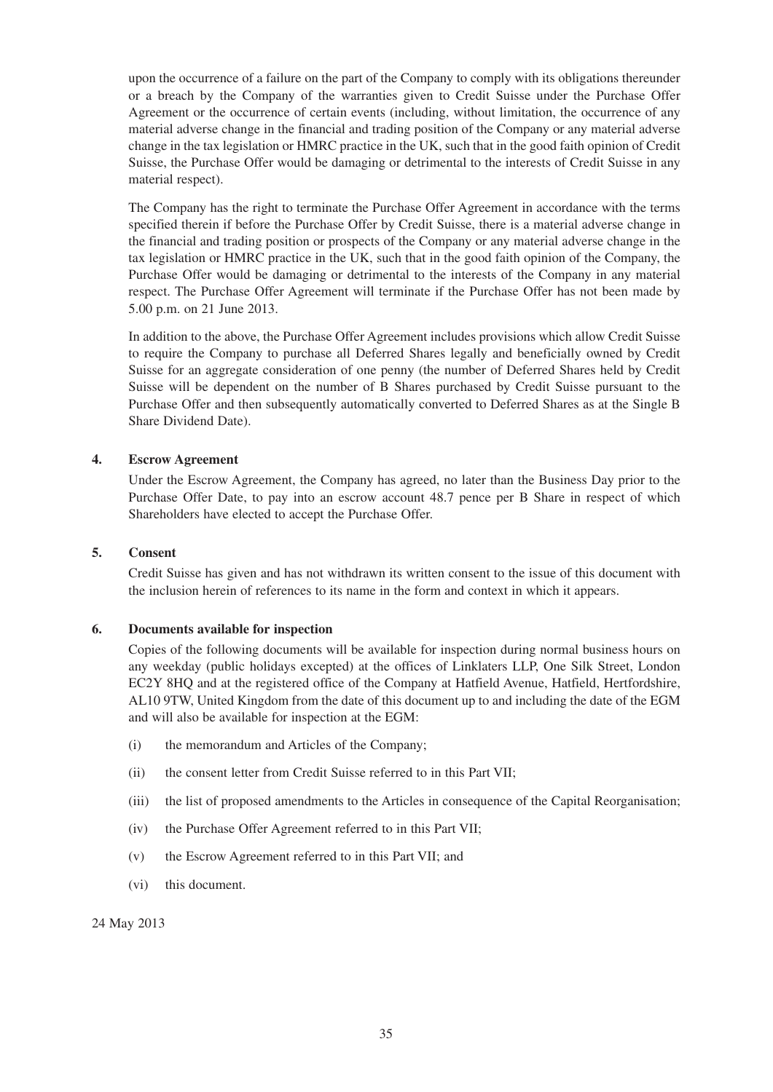upon the occurrence of a failure on the part of the Company to comply with its obligations thereunder or a breach by the Company of the warranties given to Credit Suisse under the Purchase Offer Agreement or the occurrence of certain events (including, without limitation, the occurrence of any material adverse change in the financial and trading position of the Company or any material adverse change in the tax legislation or HMRC practice in the UK, such that in the good faith opinion of Credit Suisse, the Purchase Offer would be damaging or detrimental to the interests of Credit Suisse in any material respect).

The Company has the right to terminate the Purchase Offer Agreement in accordance with the terms specified therein if before the Purchase Offer by Credit Suisse, there is a material adverse change in the financial and trading position or prospects of the Company or any material adverse change in the tax legislation or HMRC practice in the UK, such that in the good faith opinion of the Company, the Purchase Offer would be damaging or detrimental to the interests of the Company in any material respect. The Purchase Offer Agreement will terminate if the Purchase Offer has not been made by 5.00 p.m. on 21 June 2013.

In addition to the above, the Purchase Offer Agreement includes provisions which allow Credit Suisse to require the Company to purchase all Deferred Shares legally and beneficially owned by Credit Suisse for an aggregate consideration of one penny (the number of Deferred Shares held by Credit Suisse will be dependent on the number of B Shares purchased by Credit Suisse pursuant to the Purchase Offer and then subsequently automatically converted to Deferred Shares as at the Single B Share Dividend Date).

## **4. Escrow Agreement**

Under the Escrow Agreement, the Company has agreed, no later than the Business Day prior to the Purchase Offer Date, to pay into an escrow account 48.7 pence per B Share in respect of which Shareholders have elected to accept the Purchase Offer.

#### **5. Consent**

Credit Suisse has given and has not withdrawn its written consent to the issue of this document with the inclusion herein of references to its name in the form and context in which it appears.

#### **6. Documents available for inspection**

Copies of the following documents will be available for inspection during normal business hours on any weekday (public holidays excepted) at the offices of Linklaters LLP, One Silk Street, London EC2Y 8HQ and at the registered office of the Company at Hatfield Avenue, Hatfield, Hertfordshire, AL10 9TW, United Kingdom from the date of this document up to and including the date of the EGM and will also be available for inspection at the EGM:

- (i) the memorandum and Articles of the Company;
- (ii) the consent letter from Credit Suisse referred to in this Part VII;
- (iii) the list of proposed amendments to the Articles in consequence of the Capital Reorganisation;
- (iv) the Purchase Offer Agreement referred to in this Part VII;
- (v) the Escrow Agreement referred to in this Part VII; and
- (vi) this document.

24 May 2013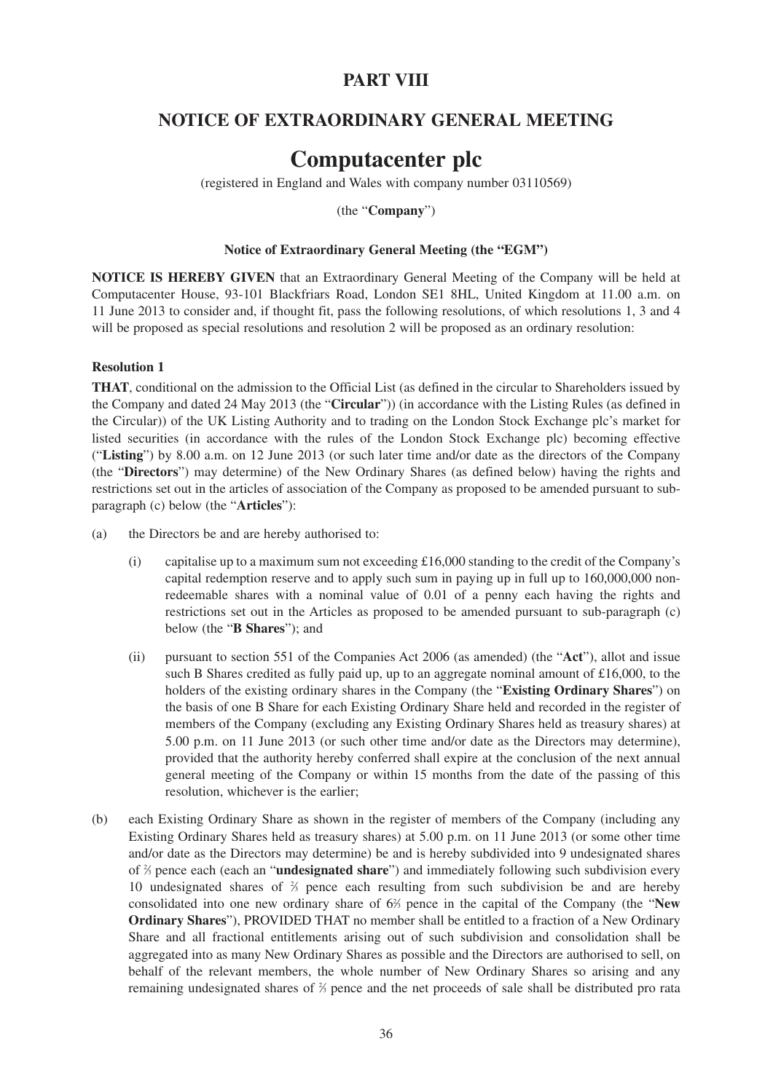## **PART VIII**

## **NOTICE OF EXTRAORDINARY GENERAL MEETING**

# **Computacenter plc**

(registered in England and Wales with company number 03110569)

(the "**Company**")

#### **Notice of Extraordinary General Meeting (the "EGM")**

**NOTICE IS HEREBY GIVEN** that an Extraordinary General Meeting of the Company will be held at Computacenter House, 93-101 Blackfriars Road, London SE1 8HL, United Kingdom at 11.00 a.m. on 11 June 2013 to consider and, if thought fit, pass the following resolutions, of which resolutions 1, 3 and 4 will be proposed as special resolutions and resolution 2 will be proposed as an ordinary resolution:

#### **Resolution 1**

**THAT**, conditional on the admission to the Official List (as defined in the circular to Shareholders issued by the Company and dated 24 May 2013 (the "**Circular**")) (in accordance with the Listing Rules (as defined in the Circular)) of the UK Listing Authority and to trading on the London Stock Exchange plc's market for listed securities (in accordance with the rules of the London Stock Exchange plc) becoming effective ("**Listing**") by 8.00 a.m. on 12 June 2013 (or such later time and/or date as the directors of the Company (the "**Directors**") may determine) of the New Ordinary Shares (as defined below) having the rights and restrictions set out in the articles of association of the Company as proposed to be amended pursuant to subparagraph (c) below (the "**Articles**"):

- (a) the Directors be and are hereby authorised to:
	- (i) capitalise up to a maximum sum not exceeding  $\pounds16,000$  standing to the credit of the Company's capital redemption reserve and to apply such sum in paying up in full up to 160,000,000 nonredeemable shares with a nominal value of 0.01 of a penny each having the rights and restrictions set out in the Articles as proposed to be amended pursuant to sub-paragraph (c) below (the "**B Shares**"); and
	- (ii) pursuant to section 551 of the Companies Act 2006 (as amended) (the "**Act**"), allot and issue such B Shares credited as fully paid up, up to an aggregate nominal amount of £16,000, to the holders of the existing ordinary shares in the Company (the "**Existing Ordinary Shares**") on the basis of one B Share for each Existing Ordinary Share held and recorded in the register of members of the Company (excluding any Existing Ordinary Shares held as treasury shares) at 5.00 p.m. on 11 June 2013 (or such other time and/or date as the Directors may determine), provided that the authority hereby conferred shall expire at the conclusion of the next annual general meeting of the Company or within 15 months from the date of the passing of this resolution, whichever is the earlier;
- (b) each Existing Ordinary Share as shown in the register of members of the Company (including any Existing Ordinary Shares held as treasury shares) at 5.00 p.m. on 11 June 2013 (or some other time and/or date as the Directors may determine) be and is hereby subdivided into 9 undesignated shares of <sup>2</sup> ⁄3 pence each (each an "**undesignated share**") and immediately following such subdivision every 10 undesignated shares of  $\frac{2}{3}$  pence each resulting from such subdivision be and are hereby consolidated into one new ordinary share of 62 ⁄3 pence in the capital of the Company (the "**New Ordinary Shares**"), PROVIDED THAT no member shall be entitled to a fraction of a New Ordinary Share and all fractional entitlements arising out of such subdivision and consolidation shall be aggregated into as many New Ordinary Shares as possible and the Directors are authorised to sell, on behalf of the relevant members, the whole number of New Ordinary Shares so arising and any remaining undesignated shares of  $\frac{2}{3}$  pence and the net proceeds of sale shall be distributed pro rata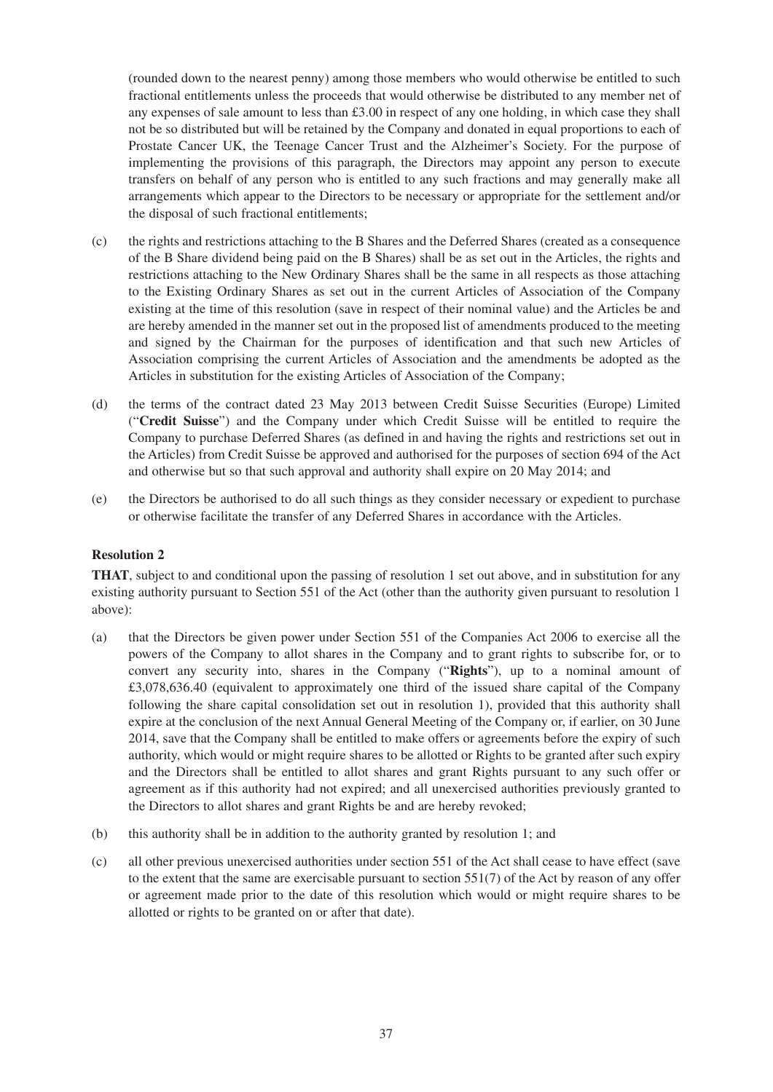(rounded down to the nearest penny) among those members who would otherwise be entitled to such fractional entitlements unless the proceeds that would otherwise be distributed to any member net of any expenses of sale amount to less than £3.00 in respect of any one holding, in which case they shall not be so distributed but will be retained by the Company and donated in equal proportions to each of Prostate Cancer UK, the Teenage Cancer Trust and the Alzheimer's Society. For the purpose of implementing the provisions of this paragraph, the Directors may appoint any person to execute transfers on behalf of any person who is entitled to any such fractions and may generally make all arrangements which appear to the Directors to be necessary or appropriate for the settlement and/or the disposal of such fractional entitlements;

- (c) the rights and restrictions attaching to the B Shares and the Deferred Shares (created as a consequence of the B Share dividend being paid on the B Shares) shall be as set out in the Articles, the rights and restrictions attaching to the New Ordinary Shares shall be the same in all respects as those attaching to the Existing Ordinary Shares as set out in the current Articles of Association of the Company existing at the time of this resolution (save in respect of their nominal value) and the Articles be and are hereby amended in the manner set out in the proposed list of amendments produced to the meeting and signed by the Chairman for the purposes of identification and that such new Articles of Association comprising the current Articles of Association and the amendments be adopted as the Articles in substitution for the existing Articles of Association of the Company;
- (d) the terms of the contract dated 23 May 2013 between Credit Suisse Securities (Europe) Limited ("**Credit Suisse**") and the Company under which Credit Suisse will be entitled to require the Company to purchase Deferred Shares (as defined in and having the rights and restrictions set out in the Articles) from Credit Suisse be approved and authorised for the purposes of section 694 of the Act and otherwise but so that such approval and authority shall expire on 20 May 2014; and
- (e) the Directors be authorised to do all such things as they consider necessary or expedient to purchase or otherwise facilitate the transfer of any Deferred Shares in accordance with the Articles.

## **Resolution 2**

**THAT**, subject to and conditional upon the passing of resolution 1 set out above, and in substitution for any existing authority pursuant to Section 551 of the Act (other than the authority given pursuant to resolution 1 above):

- (a) that the Directors be given power under Section 551 of the Companies Act 2006 to exercise all the powers of the Company to allot shares in the Company and to grant rights to subscribe for, or to convert any security into, shares in the Company ("**Rights**"), up to a nominal amount of £3,078,636.40 (equivalent to approximately one third of the issued share capital of the Company following the share capital consolidation set out in resolution 1), provided that this authority shall expire at the conclusion of the next Annual General Meeting of the Company or, if earlier, on 30 June 2014, save that the Company shall be entitled to make offers or agreements before the expiry of such authority, which would or might require shares to be allotted or Rights to be granted after such expiry and the Directors shall be entitled to allot shares and grant Rights pursuant to any such offer or agreement as if this authority had not expired; and all unexercised authorities previously granted to the Directors to allot shares and grant Rights be and are hereby revoked;
- (b) this authority shall be in addition to the authority granted by resolution 1; and
- (c) all other previous unexercised authorities under section 551 of the Act shall cease to have effect (save to the extent that the same are exercisable pursuant to section  $551(7)$  of the Act by reason of any offer or agreement made prior to the date of this resolution which would or might require shares to be allotted or rights to be granted on or after that date).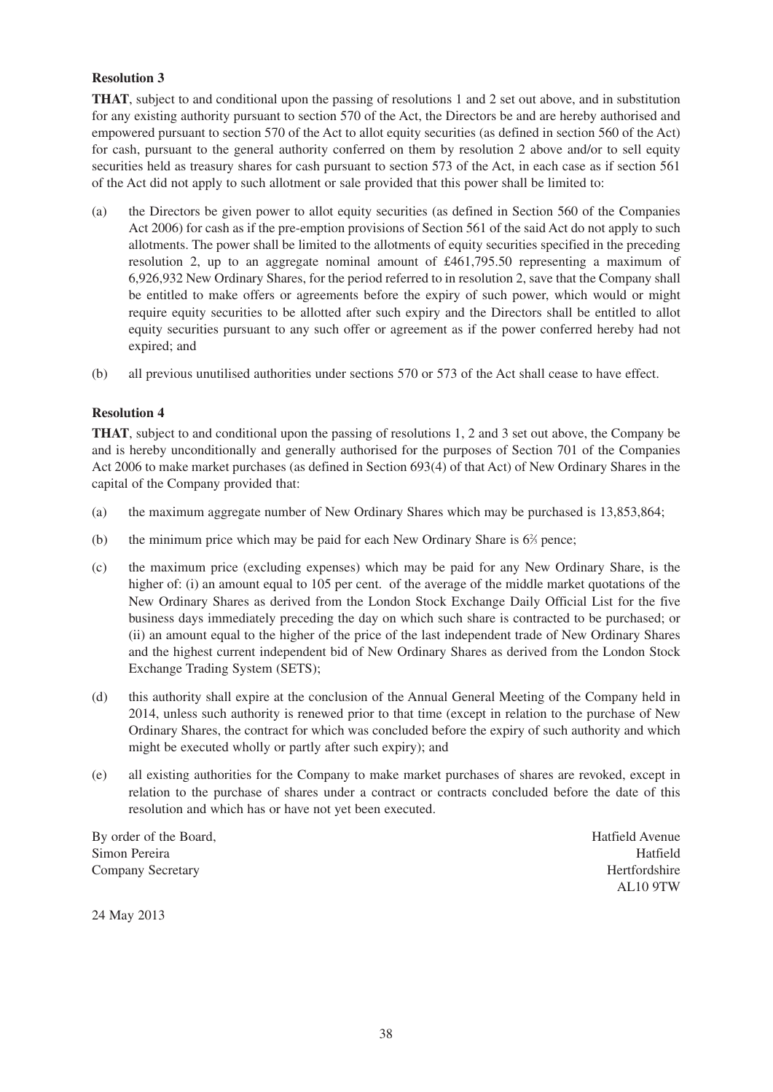## **Resolution 3**

**THAT**, subject to and conditional upon the passing of resolutions 1 and 2 set out above, and in substitution for any existing authority pursuant to section 570 of the Act, the Directors be and are hereby authorised and empowered pursuant to section 570 of the Act to allot equity securities (as defined in section 560 of the Act) for cash, pursuant to the general authority conferred on them by resolution 2 above and/or to sell equity securities held as treasury shares for cash pursuant to section 573 of the Act, in each case as if section 561 of the Act did not apply to such allotment or sale provided that this power shall be limited to:

- (a) the Directors be given power to allot equity securities (as defined in Section 560 of the Companies Act 2006) for cash as if the pre-emption provisions of Section 561 of the said Act do not apply to such allotments. The power shall be limited to the allotments of equity securities specified in the preceding resolution 2, up to an aggregate nominal amount of £461,795.50 representing a maximum of 6,926,932 New Ordinary Shares, for the period referred to in resolution 2, save that the Company shall be entitled to make offers or agreements before the expiry of such power, which would or might require equity securities to be allotted after such expiry and the Directors shall be entitled to allot equity securities pursuant to any such offer or agreement as if the power conferred hereby had not expired; and
- (b) all previous unutilised authorities under sections 570 or 573 of the Act shall cease to have effect.

#### **Resolution 4**

**THAT**, subject to and conditional upon the passing of resolutions 1, 2 and 3 set out above, the Company be and is hereby unconditionally and generally authorised for the purposes of Section 701 of the Companies Act 2006 to make market purchases (as defined in Section 693(4) of that Act) of New Ordinary Shares in the capital of the Company provided that:

- (a) the maximum aggregate number of New Ordinary Shares which may be purchased is 13,853,864;
- (b) the minimum price which may be paid for each New Ordinary Share is  $6\%$  pence;
- (c) the maximum price (excluding expenses) which may be paid for any New Ordinary Share, is the higher of: (i) an amount equal to 105 per cent. of the average of the middle market quotations of the New Ordinary Shares as derived from the London Stock Exchange Daily Official List for the five business days immediately preceding the day on which such share is contracted to be purchased; or (ii) an amount equal to the higher of the price of the last independent trade of New Ordinary Shares and the highest current independent bid of New Ordinary Shares as derived from the London Stock Exchange Trading System (SETS);
- (d) this authority shall expire at the conclusion of the Annual General Meeting of the Company held in 2014, unless such authority is renewed prior to that time (except in relation to the purchase of New Ordinary Shares, the contract for which was concluded before the expiry of such authority and which might be executed wholly or partly after such expiry); and
- (e) all existing authorities for the Company to make market purchases of shares are revoked, except in relation to the purchase of shares under a contract or contracts concluded before the date of this resolution and which has or have not yet been executed.

By order of the Board, **Hatfield** Avenue Simon Pereira **Hatfield** Company Secretary Hertfordshire

AL10 9TW

24 May 2013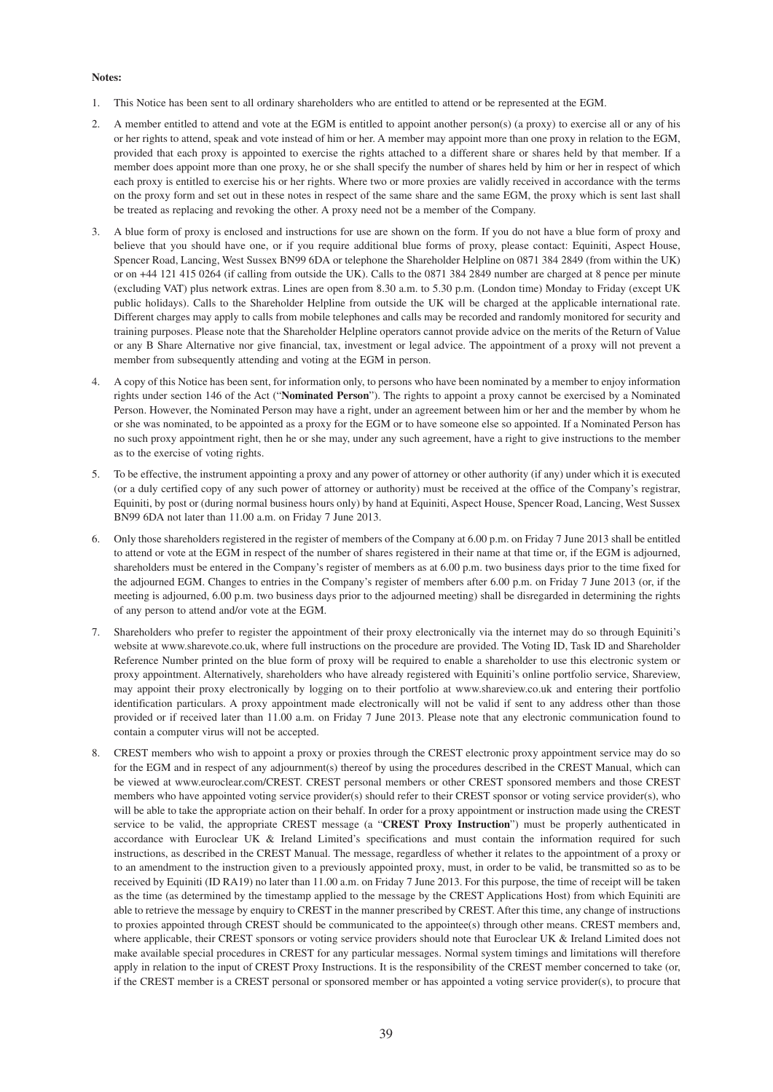#### **Notes:**

- 1. This Notice has been sent to all ordinary shareholders who are entitled to attend or be represented at the EGM.
- 2. A member entitled to attend and vote at the EGM is entitled to appoint another person(s) (a proxy) to exercise all or any of his or her rights to attend, speak and vote instead of him or her. A member may appoint more than one proxy in relation to the EGM, provided that each proxy is appointed to exercise the rights attached to a different share or shares held by that member. If a member does appoint more than one proxy, he or she shall specify the number of shares held by him or her in respect of which each proxy is entitled to exercise his or her rights. Where two or more proxies are validly received in accordance with the terms on the proxy form and set out in these notes in respect of the same share and the same EGM, the proxy which is sent last shall be treated as replacing and revoking the other. A proxy need not be a member of the Company.
- 3. A blue form of proxy is enclosed and instructions for use are shown on the form. If you do not have a blue form of proxy and believe that you should have one, or if you require additional blue forms of proxy, please contact: Equiniti, Aspect House, Spencer Road, Lancing, West Sussex BN99 6DA or telephone the Shareholder Helpline on 0871 384 2849 (from within the UK) or on +44 121 415 0264 (if calling from outside the UK). Calls to the 0871 384 2849 number are charged at 8 pence per minute (excluding VAT) plus network extras. Lines are open from 8.30 a.m. to 5.30 p.m. (London time) Monday to Friday (except UK public holidays). Calls to the Shareholder Helpline from outside the UK will be charged at the applicable international rate. Different charges may apply to calls from mobile telephones and calls may be recorded and randomly monitored for security and training purposes. Please note that the Shareholder Helpline operators cannot provide advice on the merits of the Return of Value or any B Share Alternative nor give financial, tax, investment or legal advice. The appointment of a proxy will not prevent a member from subsequently attending and voting at the EGM in person.
- 4. A copy of this Notice has been sent, for information only, to persons who have been nominated by a member to enjoy information rights under section 146 of the Act ("**Nominated Person**"). The rights to appoint a proxy cannot be exercised by a Nominated Person. However, the Nominated Person may have a right, under an agreement between him or her and the member by whom he or she was nominated, to be appointed as a proxy for the EGM or to have someone else so appointed. If a Nominated Person has no such proxy appointment right, then he or she may, under any such agreement, have a right to give instructions to the member as to the exercise of voting rights.
- 5. To be effective, the instrument appointing a proxy and any power of attorney or other authority (if any) under which it is executed (or a duly certified copy of any such power of attorney or authority) must be received at the office of the Company's registrar, Equiniti, by post or (during normal business hours only) by hand at Equiniti, Aspect House, Spencer Road, Lancing, West Sussex BN99 6DA not later than 11.00 a.m. on Friday 7 June 2013.
- 6. Only those shareholders registered in the register of members of the Company at 6.00 p.m. on Friday 7 June 2013 shall be entitled to attend or vote at the EGM in respect of the number of shares registered in their name at that time or, if the EGM is adjourned, shareholders must be entered in the Company's register of members as at 6.00 p.m. two business days prior to the time fixed for the adjourned EGM. Changes to entries in the Company's register of members after 6.00 p.m. on Friday 7 June 2013 (or, if the meeting is adjourned, 6.00 p.m. two business days prior to the adjourned meeting) shall be disregarded in determining the rights of any person to attend and/or vote at the EGM.
- 7. Shareholders who prefer to register the appointment of their proxy electronically via the internet may do so through Equiniti's website at www.sharevote.co.uk, where full instructions on the procedure are provided. The Voting ID, Task ID and Shareholder Reference Number printed on the blue form of proxy will be required to enable a shareholder to use this electronic system or proxy appointment. Alternatively, shareholders who have already registered with Equiniti's online portfolio service, Shareview, may appoint their proxy electronically by logging on to their portfolio at www.shareview.co.uk and entering their portfolio identification particulars. A proxy appointment made electronically will not be valid if sent to any address other than those provided or if received later than 11.00 a.m. on Friday 7 June 2013. Please note that any electronic communication found to contain a computer virus will not be accepted.
- 8. CREST members who wish to appoint a proxy or proxies through the CREST electronic proxy appointment service may do so for the EGM and in respect of any adjournment(s) thereof by using the procedures described in the CREST Manual, which can be viewed at www.euroclear.com/CREST. CREST personal members or other CREST sponsored members and those CREST members who have appointed voting service provider(s) should refer to their CREST sponsor or voting service provider(s), who will be able to take the appropriate action on their behalf. In order for a proxy appointment or instruction made using the CREST service to be valid, the appropriate CREST message (a "**CREST Proxy Instruction**") must be properly authenticated in accordance with Euroclear UK & Ireland Limited's specifications and must contain the information required for such instructions, as described in the CREST Manual. The message, regardless of whether it relates to the appointment of a proxy or to an amendment to the instruction given to a previously appointed proxy, must, in order to be valid, be transmitted so as to be received by Equiniti (ID RA19) no later than 11.00 a.m. on Friday 7 June 2013. For this purpose, the time of receipt will be taken as the time (as determined by the timestamp applied to the message by the CREST Applications Host) from which Equiniti are able to retrieve the message by enquiry to CREST in the manner prescribed by CREST. After this time, any change of instructions to proxies appointed through CREST should be communicated to the appointee(s) through other means. CREST members and, where applicable, their CREST sponsors or voting service providers should note that Euroclear UK & Ireland Limited does not make available special procedures in CREST for any particular messages. Normal system timings and limitations will therefore apply in relation to the input of CREST Proxy Instructions. It is the responsibility of the CREST member concerned to take (or, if the CREST member is a CREST personal or sponsored member or has appointed a voting service provider(s), to procure that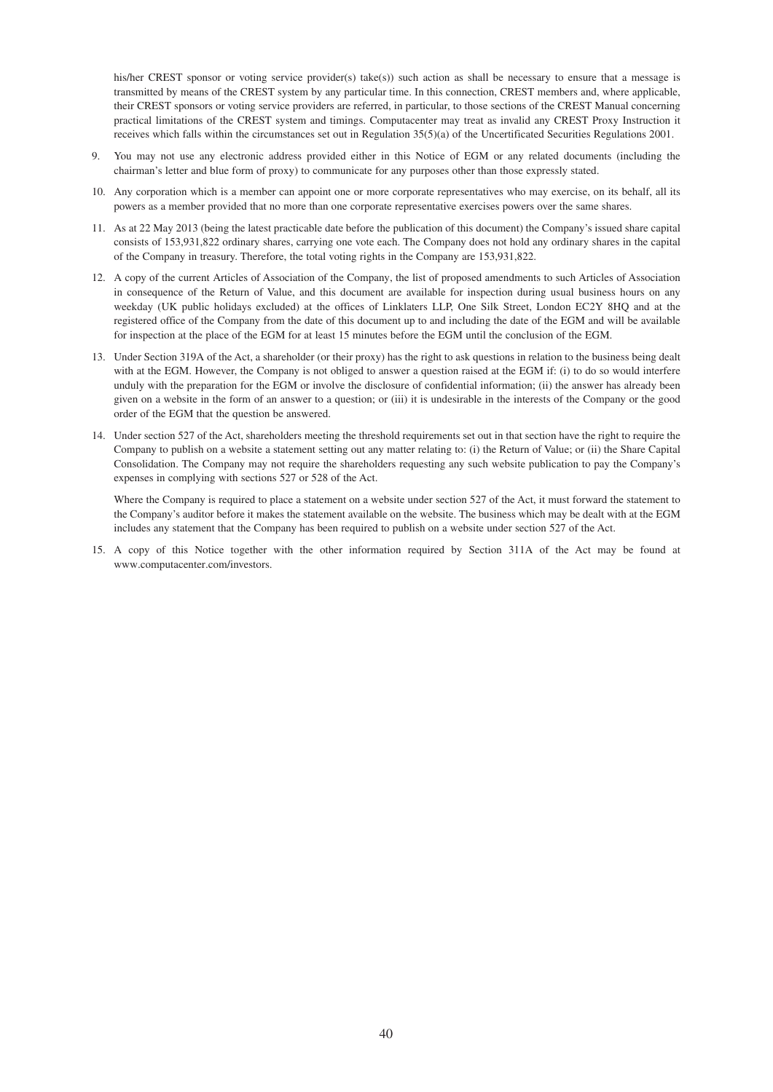his/her CREST sponsor or voting service provider(s) take(s)) such action as shall be necessary to ensure that a message is transmitted by means of the CREST system by any particular time. In this connection, CREST members and, where applicable, their CREST sponsors or voting service providers are referred, in particular, to those sections of the CREST Manual concerning practical limitations of the CREST system and timings. Computacenter may treat as invalid any CREST Proxy Instruction it receives which falls within the circumstances set out in Regulation 35(5)(a) of the Uncertificated Securities Regulations 2001.

- You may not use any electronic address provided either in this Notice of EGM or any related documents (including the chairman's letter and blue form of proxy) to communicate for any purposes other than those expressly stated.
- 10. Any corporation which is a member can appoint one or more corporate representatives who may exercise, on its behalf, all its powers as a member provided that no more than one corporate representative exercises powers over the same shares.
- 11. As at 22 May 2013 (being the latest practicable date before the publication of this document) the Company's issued share capital consists of 153,931,822 ordinary shares, carrying one vote each. The Company does not hold any ordinary shares in the capital of the Company in treasury. Therefore, the total voting rights in the Company are 153,931,822.
- 12. A copy of the current Articles of Association of the Company, the list of proposed amendments to such Articles of Association in consequence of the Return of Value, and this document are available for inspection during usual business hours on any weekday (UK public holidays excluded) at the offices of Linklaters LLP, One Silk Street, London EC2Y 8HQ and at the registered office of the Company from the date of this document up to and including the date of the EGM and will be available for inspection at the place of the EGM for at least 15 minutes before the EGM until the conclusion of the EGM.
- 13. Under Section 319A of the Act, a shareholder (or their proxy) has the right to ask questions in relation to the business being dealt with at the EGM. However, the Company is not obliged to answer a question raised at the EGM if: (i) to do so would interfere unduly with the preparation for the EGM or involve the disclosure of confidential information; (ii) the answer has already been given on a website in the form of an answer to a question; or (iii) it is undesirable in the interests of the Company or the good order of the EGM that the question be answered.
- 14. Under section 527 of the Act, shareholders meeting the threshold requirements set out in that section have the right to require the Company to publish on a website a statement setting out any matter relating to: (i) the Return of Value; or (ii) the Share Capital Consolidation. The Company may not require the shareholders requesting any such website publication to pay the Company's expenses in complying with sections 527 or 528 of the Act.

 Where the Company is required to place a statement on a website under section 527 of the Act, it must forward the statement to the Company's auditor before it makes the statement available on the website. The business which may be dealt with at the EGM includes any statement that the Company has been required to publish on a website under section 527 of the Act.

15. A copy of this Notice together with the other information required by Section 311A of the Act may be found at www.computacenter.com/investors.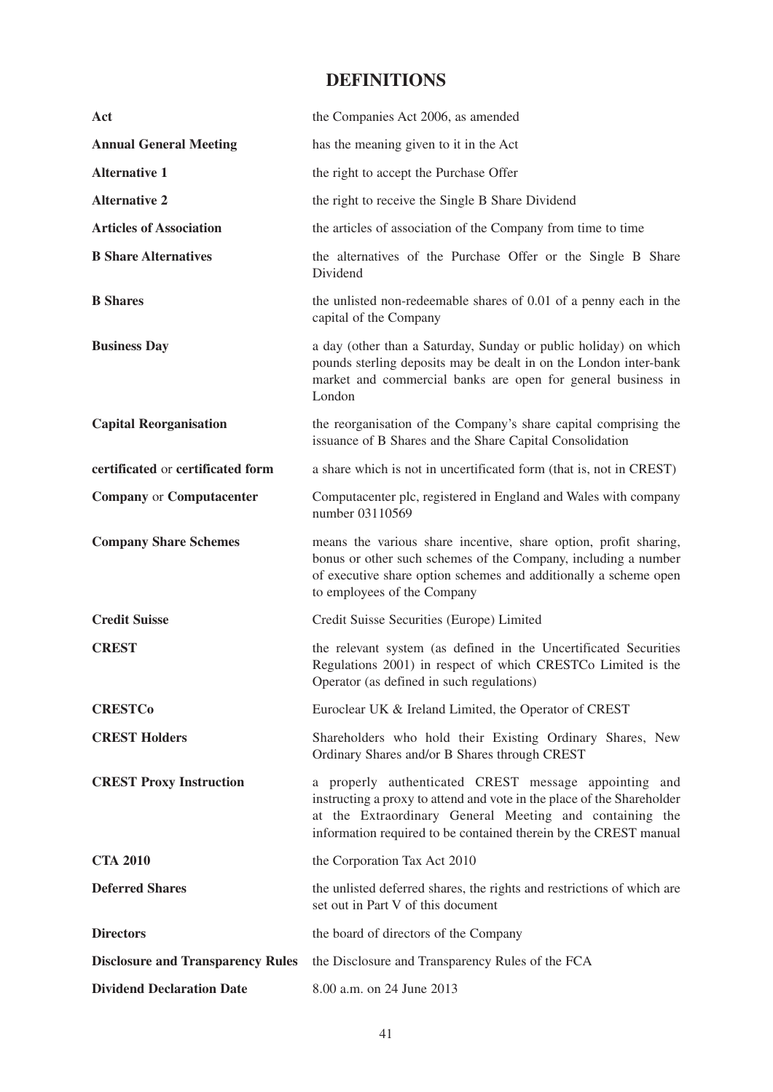# **DEFINITIONS**

| Act                                      | the Companies Act 2006, as amended                                                                                                                                                                                                                             |
|------------------------------------------|----------------------------------------------------------------------------------------------------------------------------------------------------------------------------------------------------------------------------------------------------------------|
| <b>Annual General Meeting</b>            | has the meaning given to it in the Act                                                                                                                                                                                                                         |
| <b>Alternative 1</b>                     | the right to accept the Purchase Offer                                                                                                                                                                                                                         |
| <b>Alternative 2</b>                     | the right to receive the Single B Share Dividend                                                                                                                                                                                                               |
| <b>Articles of Association</b>           | the articles of association of the Company from time to time                                                                                                                                                                                                   |
| <b>B</b> Share Alternatives              | the alternatives of the Purchase Offer or the Single B Share<br>Dividend                                                                                                                                                                                       |
| <b>B</b> Shares                          | the unlisted non-redeemable shares of 0.01 of a penny each in the<br>capital of the Company                                                                                                                                                                    |
| <b>Business Day</b>                      | a day (other than a Saturday, Sunday or public holiday) on which<br>pounds sterling deposits may be dealt in on the London inter-bank<br>market and commercial banks are open for general business in<br>London                                                |
| <b>Capital Reorganisation</b>            | the reorganisation of the Company's share capital comprising the<br>issuance of B Shares and the Share Capital Consolidation                                                                                                                                   |
| certificated or certificated form        | a share which is not in uncertificated form (that is, not in CREST)                                                                                                                                                                                            |
| <b>Company or Computacenter</b>          | Computacenter plc, registered in England and Wales with company<br>number 03110569                                                                                                                                                                             |
| <b>Company Share Schemes</b>             | means the various share incentive, share option, profit sharing,<br>bonus or other such schemes of the Company, including a number<br>of executive share option schemes and additionally a scheme open<br>to employees of the Company                          |
| <b>Credit Suisse</b>                     | Credit Suisse Securities (Europe) Limited                                                                                                                                                                                                                      |
| <b>CREST</b>                             | the relevant system (as defined in the Uncertificated Securities<br>Regulations 2001) in respect of which CRESTCo Limited is the<br>Operator (as defined in such regulations)                                                                                  |
| <b>CRESTCo</b>                           | Euroclear UK & Ireland Limited, the Operator of CREST                                                                                                                                                                                                          |
| <b>CREST Holders</b>                     | Shareholders who hold their Existing Ordinary Shares, New<br>Ordinary Shares and/or B Shares through CREST                                                                                                                                                     |
| <b>CREST Proxy Instruction</b>           | a properly authenticated CREST message appointing and<br>instructing a proxy to attend and vote in the place of the Shareholder<br>at the Extraordinary General Meeting and containing the<br>information required to be contained therein by the CREST manual |
| <b>CTA 2010</b>                          | the Corporation Tax Act 2010                                                                                                                                                                                                                                   |
| <b>Deferred Shares</b>                   | the unlisted deferred shares, the rights and restrictions of which are<br>set out in Part V of this document                                                                                                                                                   |
| <b>Directors</b>                         | the board of directors of the Company                                                                                                                                                                                                                          |
| <b>Disclosure and Transparency Rules</b> | the Disclosure and Transparency Rules of the FCA                                                                                                                                                                                                               |
| <b>Dividend Declaration Date</b>         | 8.00 a.m. on 24 June 2013                                                                                                                                                                                                                                      |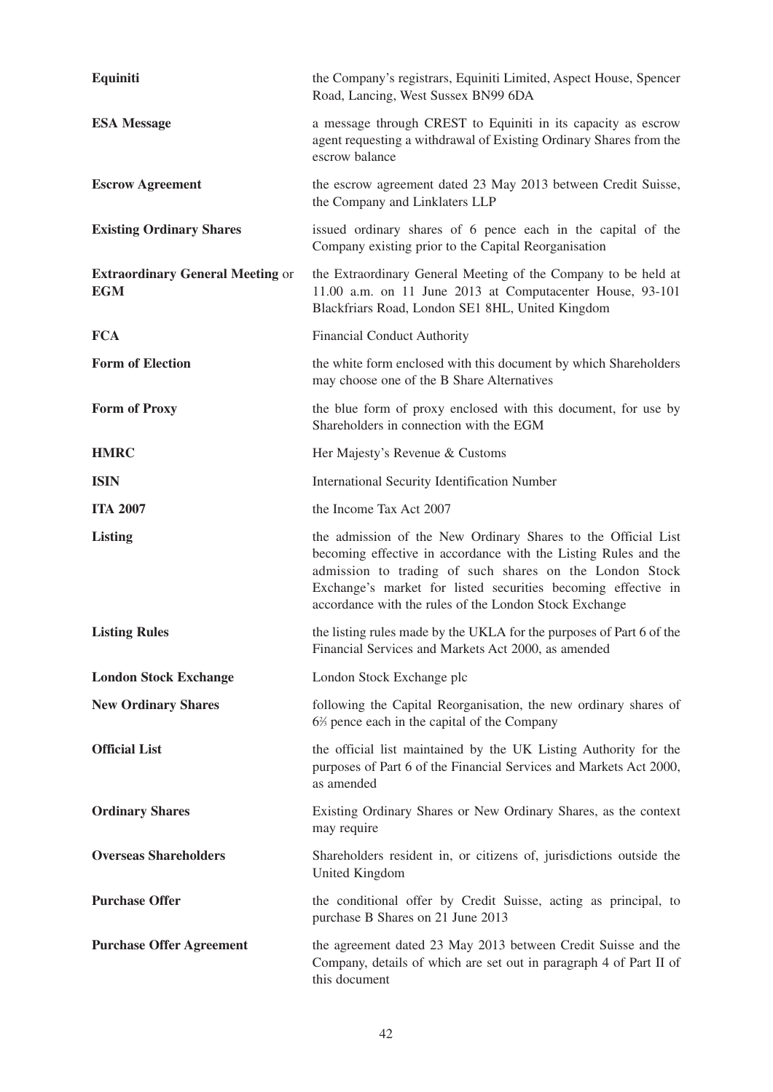| Equiniti                                              | the Company's registrars, Equiniti Limited, Aspect House, Spencer<br>Road, Lancing, West Sussex BN99 6DA                                                                                                                                                                                                               |
|-------------------------------------------------------|------------------------------------------------------------------------------------------------------------------------------------------------------------------------------------------------------------------------------------------------------------------------------------------------------------------------|
| <b>ESA Message</b>                                    | a message through CREST to Equiniti in its capacity as escrow<br>agent requesting a withdrawal of Existing Ordinary Shares from the<br>escrow balance                                                                                                                                                                  |
| <b>Escrow Agreement</b>                               | the escrow agreement dated 23 May 2013 between Credit Suisse,<br>the Company and Linklaters LLP                                                                                                                                                                                                                        |
| <b>Existing Ordinary Shares</b>                       | issued ordinary shares of 6 pence each in the capital of the<br>Company existing prior to the Capital Reorganisation                                                                                                                                                                                                   |
| <b>Extraordinary General Meeting or</b><br><b>EGM</b> | the Extraordinary General Meeting of the Company to be held at<br>11.00 a.m. on 11 June 2013 at Computacenter House, 93-101<br>Blackfriars Road, London SE1 8HL, United Kingdom                                                                                                                                        |
| <b>FCA</b>                                            | <b>Financial Conduct Authority</b>                                                                                                                                                                                                                                                                                     |
| <b>Form of Election</b>                               | the white form enclosed with this document by which Shareholders<br>may choose one of the B Share Alternatives                                                                                                                                                                                                         |
| <b>Form of Proxy</b>                                  | the blue form of proxy enclosed with this document, for use by<br>Shareholders in connection with the EGM                                                                                                                                                                                                              |
| <b>HMRC</b>                                           | Her Majesty's Revenue & Customs                                                                                                                                                                                                                                                                                        |
| <b>ISIN</b>                                           | International Security Identification Number                                                                                                                                                                                                                                                                           |
| <b>ITA 2007</b>                                       | the Income Tax Act 2007                                                                                                                                                                                                                                                                                                |
|                                                       |                                                                                                                                                                                                                                                                                                                        |
| <b>Listing</b>                                        | the admission of the New Ordinary Shares to the Official List<br>becoming effective in accordance with the Listing Rules and the<br>admission to trading of such shares on the London Stock<br>Exchange's market for listed securities becoming effective in<br>accordance with the rules of the London Stock Exchange |
| <b>Listing Rules</b>                                  | the listing rules made by the UKLA for the purposes of Part 6 of the<br>Financial Services and Markets Act 2000, as amended                                                                                                                                                                                            |
| <b>London Stock Exchange</b>                          | London Stock Exchange plc                                                                                                                                                                                                                                                                                              |
| <b>New Ordinary Shares</b>                            | following the Capital Reorganisation, the new ordinary shares of<br>6% pence each in the capital of the Company                                                                                                                                                                                                        |
| <b>Official List</b>                                  | the official list maintained by the UK Listing Authority for the<br>purposes of Part 6 of the Financial Services and Markets Act 2000,<br>as amended                                                                                                                                                                   |
| <b>Ordinary Shares</b>                                | Existing Ordinary Shares or New Ordinary Shares, as the context<br>may require                                                                                                                                                                                                                                         |
| <b>Overseas Shareholders</b>                          | Shareholders resident in, or citizens of, jurisdictions outside the<br>United Kingdom                                                                                                                                                                                                                                  |
| <b>Purchase Offer</b>                                 | the conditional offer by Credit Suisse, acting as principal, to<br>purchase B Shares on 21 June 2013                                                                                                                                                                                                                   |